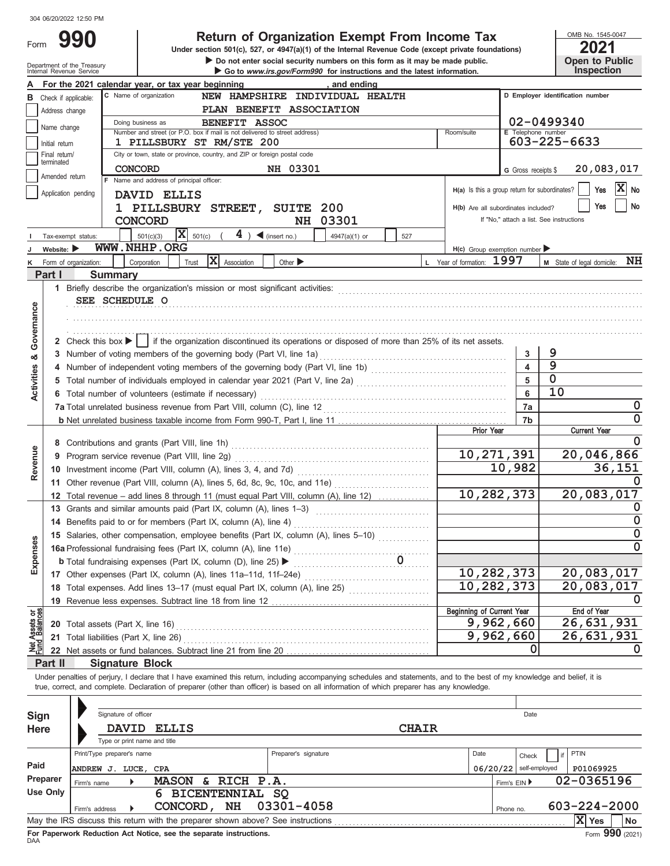| ⊢orm |  |
|------|--|
|      |  |

# **Return of Organization Exempt From Income Tax**

Department of the Treasury<br>Internal Revenue Service<br>Internal Revenue Service  $\triangleright$  Do not enter social security numbers on this form as it may be made public. **Under section 501(c), 527, or 4947(a)(1) of the Internal Revenue Code (except private foundations)** OMB No. 1545-0047

| LVL I |                       |
|-------|-----------------------|
|       | <b>Open to Public</b> |
|       | <b>Inspection</b>     |

|                                |                                                                                                                                                                               | ilileli idi Kevenue oervice<br><b>SO TO MWW.IIS.gov/Formssu</b> for instructions and the latest information.                                                               |                                               |                          | <b>III</b> Sherman                       |  |  |  |  |  |  |  |
|--------------------------------|-------------------------------------------------------------------------------------------------------------------------------------------------------------------------------|----------------------------------------------------------------------------------------------------------------------------------------------------------------------------|-----------------------------------------------|--------------------------|------------------------------------------|--|--|--|--|--|--|--|
|                                |                                                                                                                                                                               | For the 2021 calendar year, or tax year beginning<br>, and ending                                                                                                          |                                               |                          |                                          |  |  |  |  |  |  |  |
| в                              |                                                                                                                                                                               | C Name of organization<br>NEW HAMPSHIRE INDIVIDUAL HEALTH<br>Check if applicable:                                                                                          |                                               |                          | D Employer identification number         |  |  |  |  |  |  |  |
|                                | PLAN BENEFIT ASSOCIATION<br>Address change                                                                                                                                    |                                                                                                                                                                            |                                               |                          |                                          |  |  |  |  |  |  |  |
|                                |                                                                                                                                                                               | 02-0499340<br>Doing business as                                                                                                                                            |                                               |                          |                                          |  |  |  |  |  |  |  |
|                                | Name change                                                                                                                                                                   | BENEFIT ASSOC                                                                                                                                                              |                                               |                          |                                          |  |  |  |  |  |  |  |
|                                | Number and street (or P.O. box if mail is not delivered to street address)<br>E Telephone number<br>Room/suite<br>603-225-6633<br>1 PILLSBURY ST RM/STE 200<br>Initial return |                                                                                                                                                                            |                                               |                          |                                          |  |  |  |  |  |  |  |
|                                | Final return/                                                                                                                                                                 | City or town, state or province, country, and ZIP or foreign postal code                                                                                                   |                                               |                          |                                          |  |  |  |  |  |  |  |
|                                | terminated                                                                                                                                                                    |                                                                                                                                                                            |                                               |                          |                                          |  |  |  |  |  |  |  |
|                                | Amended return                                                                                                                                                                | NH 03301<br><b>CONCORD</b>                                                                                                                                                 |                                               | G Gross receipts \$      | 20,083,017                               |  |  |  |  |  |  |  |
|                                |                                                                                                                                                                               | F Name and address of principal officer:                                                                                                                                   | H(a) Is this a group return for subordinates? |                          | $ X $ No<br>Yes                          |  |  |  |  |  |  |  |
|                                |                                                                                                                                                                               | Application pending<br>DAVID ELLIS                                                                                                                                         |                                               |                          |                                          |  |  |  |  |  |  |  |
|                                |                                                                                                                                                                               | 1 PILLSBURY STREET, SUITE 200                                                                                                                                              | H(b) Are all subordinates included?           |                          | No<br>Yes                                |  |  |  |  |  |  |  |
|                                |                                                                                                                                                                               | 03301<br><b>CONCORD</b><br>NH                                                                                                                                              |                                               |                          | If "No," attach a list. See instructions |  |  |  |  |  |  |  |
|                                |                                                                                                                                                                               | $\overline{\mathbf{X}}$ 501(c)<br>$4$ ) $\blacktriangleleft$ (insert no.)<br>501(c)(3)<br>4947(a)(1) or<br>527                                                             |                                               |                          |                                          |  |  |  |  |  |  |  |
|                                |                                                                                                                                                                               | Tax-exempt status:                                                                                                                                                         |                                               |                          |                                          |  |  |  |  |  |  |  |
|                                | Website: $\blacktriangleright$                                                                                                                                                | WWW.NHHP.ORG                                                                                                                                                               | $H(c)$ Group exemption number                 |                          |                                          |  |  |  |  |  |  |  |
|                                |                                                                                                                                                                               | $ \mathbf{X} $ Association<br>Corporation<br>Other $\blacktriangleright$<br>Form of organization:<br>Trust                                                                 | L Year of formation: 1997                     |                          | NH<br>M State of legal domicile:         |  |  |  |  |  |  |  |
|                                | Part I                                                                                                                                                                        | <b>Summary</b>                                                                                                                                                             |                                               |                          |                                          |  |  |  |  |  |  |  |
|                                |                                                                                                                                                                               |                                                                                                                                                                            |                                               |                          |                                          |  |  |  |  |  |  |  |
|                                |                                                                                                                                                                               | SEE SCHEDULE O                                                                                                                                                             |                                               |                          |                                          |  |  |  |  |  |  |  |
|                                |                                                                                                                                                                               |                                                                                                                                                                            |                                               |                          |                                          |  |  |  |  |  |  |  |
|                                |                                                                                                                                                                               |                                                                                                                                                                            |                                               |                          |                                          |  |  |  |  |  |  |  |
| Governance                     |                                                                                                                                                                               |                                                                                                                                                                            |                                               |                          |                                          |  |  |  |  |  |  |  |
|                                |                                                                                                                                                                               | 2 Check this box $\blacktriangleright$   if the organization discontinued its operations or disposed of more than 25% of its net assets.                                   |                                               |                          |                                          |  |  |  |  |  |  |  |
|                                |                                                                                                                                                                               | 3 Number of voting members of the governing body (Part VI, line 1a)                                                                                                        |                                               | 3                        | 9                                        |  |  |  |  |  |  |  |
| න්                             |                                                                                                                                                                               |                                                                                                                                                                            |                                               | $\overline{\mathbf{4}}$  | $\overline{9}$                           |  |  |  |  |  |  |  |
|                                |                                                                                                                                                                               |                                                                                                                                                                            |                                               |                          | $\mathbf 0$                              |  |  |  |  |  |  |  |
| Activities                     |                                                                                                                                                                               | Total number of individuals employed in calendar year 2021 (Part V, line 2a) [[[[[[[[[[[[[[[[[[[[[[[[[[[[[[[[                                                              |                                               | 5                        |                                          |  |  |  |  |  |  |  |
|                                |                                                                                                                                                                               | 6 Total number of volunteers (estimate if necessary)                                                                                                                       |                                               | 6                        | 10                                       |  |  |  |  |  |  |  |
|                                |                                                                                                                                                                               |                                                                                                                                                                            |                                               | 7a                       | 0                                        |  |  |  |  |  |  |  |
|                                |                                                                                                                                                                               |                                                                                                                                                                            |                                               | 7b                       | 0                                        |  |  |  |  |  |  |  |
|                                |                                                                                                                                                                               |                                                                                                                                                                            | <b>Prior Year</b>                             |                          | <b>Current Year</b>                      |  |  |  |  |  |  |  |
|                                |                                                                                                                                                                               |                                                                                                                                                                            |                                               |                          | 0                                        |  |  |  |  |  |  |  |
| Revenue                        |                                                                                                                                                                               |                                                                                                                                                                            | 10,271,391                                    |                          | 20,046,866                               |  |  |  |  |  |  |  |
|                                |                                                                                                                                                                               |                                                                                                                                                                            |                                               | 10,982                   | 36,151                                   |  |  |  |  |  |  |  |
|                                |                                                                                                                                                                               |                                                                                                                                                                            |                                               |                          |                                          |  |  |  |  |  |  |  |
|                                |                                                                                                                                                                               |                                                                                                                                                                            |                                               | 10,282,373               | 20,083,017                               |  |  |  |  |  |  |  |
|                                |                                                                                                                                                                               | 12 Total revenue – add lines 8 through 11 (must equal Part VIII, column (A), line 12)                                                                                      |                                               |                          |                                          |  |  |  |  |  |  |  |
|                                |                                                                                                                                                                               | 13 Grants and similar amounts paid (Part IX, column (A), lines 1-3)                                                                                                        |                                               |                          |                                          |  |  |  |  |  |  |  |
|                                |                                                                                                                                                                               | 14 Benefits paid to or for members (Part IX, column (A), line 4)                                                                                                           |                                               |                          | 0                                        |  |  |  |  |  |  |  |
|                                |                                                                                                                                                                               | 15 Salaries, other compensation, employee benefits (Part IX, column (A), lines 5-10)                                                                                       |                                               |                          | 0                                        |  |  |  |  |  |  |  |
| penses                         |                                                                                                                                                                               | 16a Professional fundraising fees (Part IX, column (A), line 11e)                                                                                                          |                                               |                          | 0                                        |  |  |  |  |  |  |  |
|                                |                                                                                                                                                                               | <b>b</b> Total fundraising expenses (Part IX, column (D), line 25) $\blacktriangleright$                                                                                   |                                               |                          |                                          |  |  |  |  |  |  |  |
| 囚                              |                                                                                                                                                                               | 17 Other expenses (Part IX, column (A), lines 11a-11d, 11f-24e)                                                                                                            |                                               | 10,282,373               | 20,083,017                               |  |  |  |  |  |  |  |
|                                |                                                                                                                                                                               | 18 Total expenses. Add lines 13-17 (must equal Part IX, column (A), line 25) [[[[[[[[[[[[[[[[[[[[[[[[[[[[[[[[                                                              | 10,282,373                                    |                          | 20,083,017                               |  |  |  |  |  |  |  |
|                                |                                                                                                                                                                               |                                                                                                                                                                            |                                               |                          |                                          |  |  |  |  |  |  |  |
|                                |                                                                                                                                                                               | 19 Revenue less expenses. Subtract line 18 from line 12                                                                                                                    | <b>Beginning of Current Year</b>              |                          | <b>End of Year</b>                       |  |  |  |  |  |  |  |
| Net Assets or<br>Fund Balances |                                                                                                                                                                               |                                                                                                                                                                            |                                               | 9,962,660                | 26,631,931                               |  |  |  |  |  |  |  |
|                                |                                                                                                                                                                               | 20 Total assets (Part X, line 16)                                                                                                                                          |                                               |                          |                                          |  |  |  |  |  |  |  |
|                                |                                                                                                                                                                               | 21 Total liabilities (Part X, line 26)                                                                                                                                     |                                               | 9,962,660                | 26,631,931                               |  |  |  |  |  |  |  |
|                                |                                                                                                                                                                               | 22 Net assets or fund balances. Subtract line 21 from line 20                                                                                                              |                                               | 0                        | 0                                        |  |  |  |  |  |  |  |
|                                | Part II                                                                                                                                                                       | <b>Signature Block</b>                                                                                                                                                     |                                               |                          |                                          |  |  |  |  |  |  |  |
|                                |                                                                                                                                                                               | Under penalties of perjury, I declare that I have examined this return, including accompanying schedules and statements, and to the best of my knowledge and belief, it is |                                               |                          |                                          |  |  |  |  |  |  |  |
|                                |                                                                                                                                                                               | true, correct, and complete. Declaration of preparer (other than officer) is based on all information of which preparer has any knowledge.                                 |                                               |                          |                                          |  |  |  |  |  |  |  |
|                                |                                                                                                                                                                               |                                                                                                                                                                            |                                               |                          |                                          |  |  |  |  |  |  |  |
|                                |                                                                                                                                                                               | Signature of officer                                                                                                                                                       |                                               |                          |                                          |  |  |  |  |  |  |  |
| Sign                           |                                                                                                                                                                               |                                                                                                                                                                            |                                               | Date                     |                                          |  |  |  |  |  |  |  |
| <b>Here</b>                    |                                                                                                                                                                               | <b>DAVID</b><br><b>ELLIS</b>                                                                                                                                               | <b>CHAIR</b>                                  |                          |                                          |  |  |  |  |  |  |  |
|                                |                                                                                                                                                                               | Type or print name and title                                                                                                                                               |                                               |                          |                                          |  |  |  |  |  |  |  |
|                                |                                                                                                                                                                               | Print/Type preparer's name<br>Preparer's signature                                                                                                                         | Date                                          | Check                    | <b>PTIN</b>                              |  |  |  |  |  |  |  |
| Paid                           |                                                                                                                                                                               | ANDREW J. LUCE, CPA                                                                                                                                                        |                                               | $06/20/22$ self-employed | P01069925                                |  |  |  |  |  |  |  |
|                                | <b>Preparer</b>                                                                                                                                                               | MASON & RICH P.A.                                                                                                                                                          |                                               |                          | 02-0365196                               |  |  |  |  |  |  |  |
|                                | <b>Use Only</b>                                                                                                                                                               | Firm's name                                                                                                                                                                |                                               | Firm's EIN ▶             |                                          |  |  |  |  |  |  |  |
|                                |                                                                                                                                                                               | 6 BICENTENNIAL SQ                                                                                                                                                          |                                               |                          |                                          |  |  |  |  |  |  |  |
|                                |                                                                                                                                                                               | CONCORD, NH<br>03301-4058<br>Firm's address                                                                                                                                |                                               | Phone no.                | 603-224-2000                             |  |  |  |  |  |  |  |
|                                |                                                                                                                                                                               | May the IRS discuss this return with the preparer shown above? See instructions                                                                                            |                                               |                          | $ X $ Yes<br>No                          |  |  |  |  |  |  |  |

| Sign        |                            | Signature of officer         |                                                                    |                        |                                                                                 |              |      |              | Date          |    |                    |                 |
|-------------|----------------------------|------------------------------|--------------------------------------------------------------------|------------------------|---------------------------------------------------------------------------------|--------------|------|--------------|---------------|----|--------------------|-----------------|
| <b>Here</b> |                            | <b>DAVID</b>                 | <b>ELLIS</b>                                                       |                        |                                                                                 | <b>CHAIR</b> |      |              |               |    |                    |                 |
|             |                            | Type or print name and title |                                                                    |                        |                                                                                 |              |      |              |               |    |                    |                 |
|             | Print/Type preparer's name |                              |                                                                    |                        | Preparer's signature                                                            |              | Date |              | Check         | if | PTIN               |                 |
| Paid        | ANDREW J.                  | LUCE, CPA                    |                                                                    |                        |                                                                                 |              |      | 06/20/22     | self-employed |    | P01069925          |                 |
| Preparer    | Firm's name                |                              | <b>MASON</b>                                                       | & RICH P.A.            |                                                                                 |              |      | Firm's EIN ▶ |               |    | 02-0365196         |                 |
| Use Only    |                            |                              | 6                                                                  | <b>BICENTENNIAL SQ</b> |                                                                                 |              |      |              |               |    |                    |                 |
|             | Firm's address             |                              | <b>CONCORD</b>                                                     | <b>NH</b>              | 03301-4058                                                                      |              |      | Phone no.    |               |    | $603 - 224 - 2000$ |                 |
|             |                            |                              |                                                                    |                        | May the IRS discuss this return with the preparer shown above? See instructions |              |      |              |               |    | X Yes              | No              |
| <b>DAA</b>  |                            |                              | For Paperwork Reduction Act Notice, see the separate instructions. |                        |                                                                                 |              |      |              |               |    |                    | Form 990 (2021) |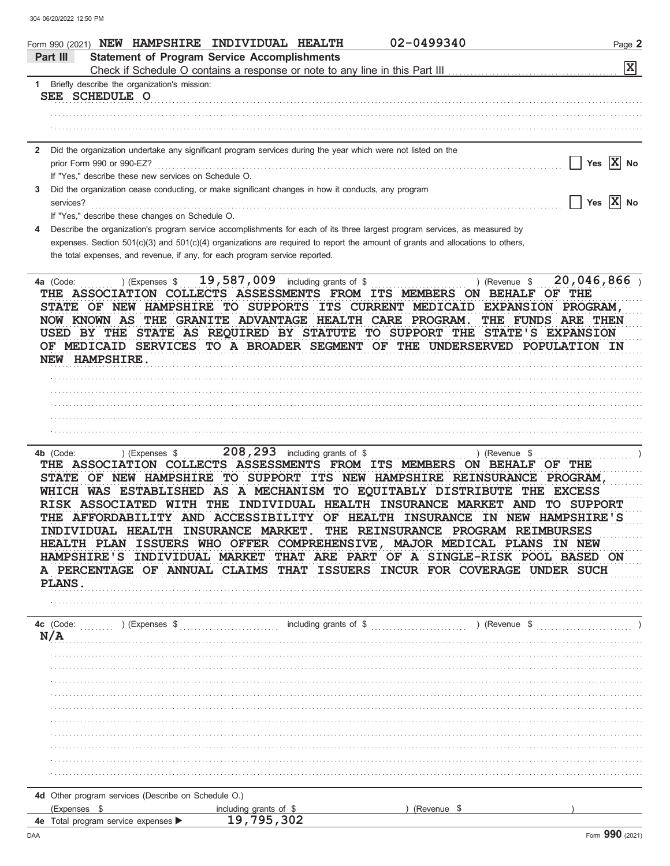|              | 02-0499340<br>Form 990 (2021) NEW HAMPSHIRE INDIVIDUAL HEALTH                                                                                                                                                                                                                                                                                                                                                                                                                                                                                                                                                                                                                                                                                                                                         | Page 2                                           |
|--------------|-------------------------------------------------------------------------------------------------------------------------------------------------------------------------------------------------------------------------------------------------------------------------------------------------------------------------------------------------------------------------------------------------------------------------------------------------------------------------------------------------------------------------------------------------------------------------------------------------------------------------------------------------------------------------------------------------------------------------------------------------------------------------------------------------------|--------------------------------------------------|
|              | <b>Statement of Program Service Accomplishments</b><br>Part III                                                                                                                                                                                                                                                                                                                                                                                                                                                                                                                                                                                                                                                                                                                                       |                                                  |
|              |                                                                                                                                                                                                                                                                                                                                                                                                                                                                                                                                                                                                                                                                                                                                                                                                       | X                                                |
|              | 1 Briefly describe the organization's mission:<br>SEE SCHEDULE O                                                                                                                                                                                                                                                                                                                                                                                                                                                                                                                                                                                                                                                                                                                                      |                                                  |
|              |                                                                                                                                                                                                                                                                                                                                                                                                                                                                                                                                                                                                                                                                                                                                                                                                       |                                                  |
|              |                                                                                                                                                                                                                                                                                                                                                                                                                                                                                                                                                                                                                                                                                                                                                                                                       |                                                  |
| $\mathbf{2}$ | Did the organization undertake any significant program services during the year which were not listed on the                                                                                                                                                                                                                                                                                                                                                                                                                                                                                                                                                                                                                                                                                          |                                                  |
|              | prior Form 990 or 990-EZ?                                                                                                                                                                                                                                                                                                                                                                                                                                                                                                                                                                                                                                                                                                                                                                             | Yes $\overline{X}$ No                            |
|              | If "Yes," describe these new services on Schedule O.                                                                                                                                                                                                                                                                                                                                                                                                                                                                                                                                                                                                                                                                                                                                                  |                                                  |
| 3            | Did the organization cease conducting, or make significant changes in how it conducts, any program<br>services?                                                                                                                                                                                                                                                                                                                                                                                                                                                                                                                                                                                                                                                                                       | $\sqrt{\frac{1}{1}}$ Yes $\sqrt{\frac{1}{1}}$ No |
|              | If "Yes," describe these changes on Schedule O.                                                                                                                                                                                                                                                                                                                                                                                                                                                                                                                                                                                                                                                                                                                                                       |                                                  |
|              | Describe the organization's program service accomplishments for each of its three largest program services, as measured by                                                                                                                                                                                                                                                                                                                                                                                                                                                                                                                                                                                                                                                                            |                                                  |
|              | expenses. Section 501(c)(3) and 501(c)(4) organizations are required to report the amount of grants and allocations to others,                                                                                                                                                                                                                                                                                                                                                                                                                                                                                                                                                                                                                                                                        |                                                  |
|              | the total expenses, and revenue, if any, for each program service reported.                                                                                                                                                                                                                                                                                                                                                                                                                                                                                                                                                                                                                                                                                                                           |                                                  |
|              | ) (Expenses $$19,587,009$ including grants of \$<br>) (Revenue \$<br>4a (Code:<br>THE ASSOCIATION COLLECTS ASSESSMENTS FROM ITS MEMBERS ON BEHALF OF THE<br>STATE OF NEW HAMPSHIRE TO SUPPORTS ITS CURRENT MEDICAID EXPANSION PROGRAM,<br>NOW KNOWN AS THE GRANITE ADVANTAGE HEALTH CARE PROGRAM.<br>USED BY THE STATE AS REQUIRED BY STATUTE TO SUPPORT THE STATE'S EXPANSION<br>OF MEDICAID SERVICES TO A BROADER SEGMENT OF THE UNDERSERVED POPULATION IN<br>NEW HAMPSHIRE.                                                                                                                                                                                                                                                                                                                        | 20,046,866<br>THE FUNDS ARE THEN                 |
|              |                                                                                                                                                                                                                                                                                                                                                                                                                                                                                                                                                                                                                                                                                                                                                                                                       |                                                  |
|              |                                                                                                                                                                                                                                                                                                                                                                                                                                                                                                                                                                                                                                                                                                                                                                                                       |                                                  |
|              |                                                                                                                                                                                                                                                                                                                                                                                                                                                                                                                                                                                                                                                                                                                                                                                                       |                                                  |
|              |                                                                                                                                                                                                                                                                                                                                                                                                                                                                                                                                                                                                                                                                                                                                                                                                       |                                                  |
|              |                                                                                                                                                                                                                                                                                                                                                                                                                                                                                                                                                                                                                                                                                                                                                                                                       |                                                  |
|              | 208, 293 including grants of \$<br>4b (Code:<br>) (Expenses \$<br>) (Revenue \$<br>THE ASSOCIATION COLLECTS ASSESSMENTS FROM ITS MEMBERS ON BEHALF OF THE<br>STATE OF NEW HAMPSHIRE<br>TO SUPPORT ITS NEW HAMPSHIRE REINSURANCE<br>WHICH WAS ESTABLISHED AS A MECHANISM TO EQUITABLY DISTRIBUTE THE EXCESS<br>RISK ASSOCIATED WITH THE INDIVIDUAL HEALTH INSURANCE MARKET<br><b>AND</b><br>THE AFFORDABILITY AND ACCESSIBILITY OF HEALTH INSURANCE IN NEW HAMPSHIRE'S<br>INDIVIDUAL HEALTH INSURANCE MARKET. THE REINSURANCE PROGRAM REIMBURSES<br>HEALTH PLAN ISSUERS WHO OFFER COMPREHENSIVE, MAJOR MEDICAL PLANS IN NEW<br>HAMPSHIRE'S INDIVIDUAL MARKET THAT ARE PART OF A SINGLE-RISK POOL BASED ON<br>A PERCENTAGE OF ANNUAL CLAIMS THAT ISSUERS INCUR FOR COVERAGE UNDER SUCH<br><b>PLANS.</b> | <b>PROGRAM,</b><br><b>TO SUPPORT</b>             |
|              | N/A                                                                                                                                                                                                                                                                                                                                                                                                                                                                                                                                                                                                                                                                                                                                                                                                   |                                                  |
|              |                                                                                                                                                                                                                                                                                                                                                                                                                                                                                                                                                                                                                                                                                                                                                                                                       |                                                  |
|              |                                                                                                                                                                                                                                                                                                                                                                                                                                                                                                                                                                                                                                                                                                                                                                                                       |                                                  |
|              |                                                                                                                                                                                                                                                                                                                                                                                                                                                                                                                                                                                                                                                                                                                                                                                                       |                                                  |
|              |                                                                                                                                                                                                                                                                                                                                                                                                                                                                                                                                                                                                                                                                                                                                                                                                       |                                                  |
|              |                                                                                                                                                                                                                                                                                                                                                                                                                                                                                                                                                                                                                                                                                                                                                                                                       |                                                  |
|              |                                                                                                                                                                                                                                                                                                                                                                                                                                                                                                                                                                                                                                                                                                                                                                                                       |                                                  |
|              |                                                                                                                                                                                                                                                                                                                                                                                                                                                                                                                                                                                                                                                                                                                                                                                                       |                                                  |
|              |                                                                                                                                                                                                                                                                                                                                                                                                                                                                                                                                                                                                                                                                                                                                                                                                       |                                                  |
|              |                                                                                                                                                                                                                                                                                                                                                                                                                                                                                                                                                                                                                                                                                                                                                                                                       |                                                  |
|              |                                                                                                                                                                                                                                                                                                                                                                                                                                                                                                                                                                                                                                                                                                                                                                                                       |                                                  |
|              | 4d Other program services (Describe on Schedule O.)                                                                                                                                                                                                                                                                                                                                                                                                                                                                                                                                                                                                                                                                                                                                                   |                                                  |
|              | (Expenses \$<br>including grants of \$<br>(Revenue \$                                                                                                                                                                                                                                                                                                                                                                                                                                                                                                                                                                                                                                                                                                                                                 |                                                  |
|              | 19,795,302<br>4e Total program service expenses >                                                                                                                                                                                                                                                                                                                                                                                                                                                                                                                                                                                                                                                                                                                                                     |                                                  |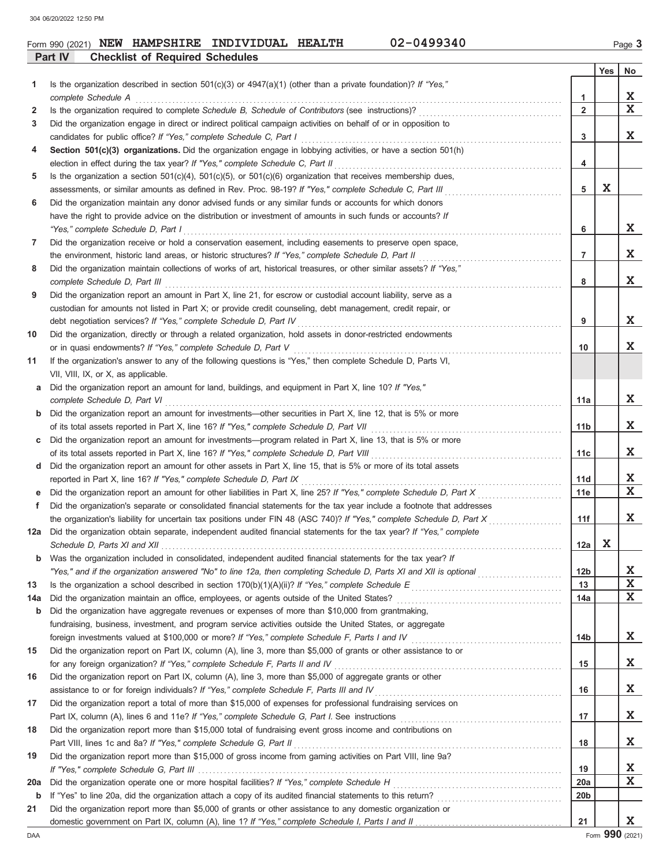### **Part IV Checklist of Required Schedules** Form 990 (2021) **NEW HAMPSHIRE INDIVIDUAL HEALTH** 02-0499340 Page 3

|     |                                                                                                                                                                                    |                 | Yes | No.         |
|-----|------------------------------------------------------------------------------------------------------------------------------------------------------------------------------------|-----------------|-----|-------------|
| 1   | Is the organization described in section $501(c)(3)$ or $4947(a)(1)$ (other than a private foundation)? If "Yes,"                                                                  |                 |     |             |
|     | complete Schedule A                                                                                                                                                                | 1               |     | X           |
| 2   |                                                                                                                                                                                    | $\overline{2}$  |     | $\mathbf x$ |
| 3   | Did the organization engage in direct or indirect political campaign activities on behalf of or in opposition to                                                                   |                 |     |             |
|     |                                                                                                                                                                                    | 3               |     | X           |
| 4   | Section 501(c)(3) organizations. Did the organization engage in lobbying activities, or have a section 501(h)                                                                      |                 |     |             |
|     |                                                                                                                                                                                    | 4               |     |             |
| 5   | Is the organization a section $501(c)(4)$ , $501(c)(5)$ , or $501(c)(6)$ organization that receives membership dues,                                                               |                 |     |             |
|     | assessments, or similar amounts as defined in Rev. Proc. 98-19? If "Yes," complete Schedule C, Part III                                                                            | 5               | X   |             |
| 6   | Did the organization maintain any donor advised funds or any similar funds or accounts for which donors                                                                            |                 |     |             |
|     | have the right to provide advice on the distribution or investment of amounts in such funds or accounts? If                                                                        |                 |     |             |
|     | "Yes," complete Schedule D, Part I                                                                                                                                                 | 6               |     | X           |
| 7   | Did the organization receive or hold a conservation easement, including easements to preserve open space,                                                                          |                 |     |             |
|     | the environment, historic land areas, or historic structures? If "Yes," complete Schedule D, Part II                                                                               | $\overline{7}$  |     | X           |
| 8   | Did the organization maintain collections of works of art, historical treasures, or other similar assets? If "Yes,"                                                                |                 |     |             |
|     | complete Schedule D. Part III                                                                                                                                                      | 8               |     | X           |
| 9   | Did the organization report an amount in Part X, line 21, for escrow or custodial account liability, serve as a                                                                    |                 |     |             |
|     | custodian for amounts not listed in Part X; or provide credit counseling, debt management, credit repair, or                                                                       | 9               |     | X           |
|     | debt negotiation services? If "Yes," complete Schedule D, Part IV                                                                                                                  |                 |     |             |
| 10  | Did the organization, directly or through a related organization, hold assets in donor-restricted endowments<br>or in quasi endowments? If "Yes," complete Schedule D, Part V      | 10              |     | X.          |
| 11  | If the organization's answer to any of the following questions is "Yes," then complete Schedule D, Parts VI,                                                                       |                 |     |             |
|     | VII, VIII, IX, or X, as applicable.                                                                                                                                                |                 |     |             |
| a   | Did the organization report an amount for land, buildings, and equipment in Part X, line 10? If "Yes,"                                                                             |                 |     |             |
|     | complete Schedule D, Part VI                                                                                                                                                       | 11a             |     | X.          |
| b   | Did the organization report an amount for investments—other securities in Part X, line 12, that is 5% or more                                                                      |                 |     |             |
|     | of its total assets reported in Part X, line 16? If "Yes," complete Schedule D, Part VII                                                                                           | 11b             |     | X.          |
| c   | Did the organization report an amount for investments—program related in Part X, line 13, that is 5% or more                                                                       |                 |     |             |
|     | of its total assets reported in Part X, line 16? If "Yes," complete Schedule D, Part VIII                                                                                          | 11c             |     | X           |
| d   | Did the organization report an amount for other assets in Part X, line 15, that is 5% or more of its total assets                                                                  |                 |     |             |
|     | reported in Part X, line 16? If "Yes," complete Schedule D, Part IX                                                                                                                | 11d             |     | X.          |
| е   | Did the organization report an amount for other liabilities in Part X, line 25? If "Yes," complete Schedule D, Part X                                                              | 11e             |     | $\mathbf x$ |
| f   | Did the organization's separate or consolidated financial statements for the tax year include a footnote that addresses                                                            |                 |     |             |
|     | the organization's liability for uncertain tax positions under FIN 48 (ASC 740)? If "Yes," complete Schedule D, Part X                                                             | 11f             |     | X           |
| 12a | Did the organization obtain separate, independent audited financial statements for the tax year? If "Yes," complete                                                                |                 |     |             |
|     | Schedule D, Parts XI and XII electron contract the contract of the Schedule D, Parts XI and XII electron contract the Schedule D, Parts XI and XII                                 | 12a             | X   |             |
| b   | Was the organization included in consolidated, independent audited financial statements for the tax year? If                                                                       |                 |     |             |
|     |                                                                                                                                                                                    | 12 <sub>b</sub> |     | X           |
| 13  |                                                                                                                                                                                    | 13              |     | $\mathbf X$ |
| 14a | Did the organization maintain an office, employees, or agents outside of the United States?                                                                                        | 14a             |     | X           |
| b   | Did the organization have aggregate revenues or expenses of more than \$10,000 from grantmaking,                                                                                   |                 |     |             |
|     | fundraising, business, investment, and program service activities outside the United States, or aggregate                                                                          |                 |     |             |
|     | foreign investments valued at \$100,000 or more? If "Yes," complete Schedule F, Parts I and IV [[[[[[[[[[[[[[[                                                                     | 14b             |     | X           |
| 15  | Did the organization report on Part IX, column (A), line 3, more than \$5,000 of grants or other assistance to or                                                                  |                 |     |             |
|     | for any foreign organization? If "Yes," complete Schedule F, Parts II and IV                                                                                                       | 15              |     | X           |
| 16  | Did the organization report on Part IX, column (A), line 3, more than \$5,000 of aggregate grants or other                                                                         |                 |     |             |
|     | assistance to or for foreign individuals? If "Yes," complete Schedule F, Parts III and IV                                                                                          | 16              |     | X           |
| 17  | Did the organization report a total of more than \$15,000 of expenses for professional fundraising services on                                                                     |                 |     |             |
|     |                                                                                                                                                                                    | 17              |     | X           |
| 18  | Did the organization report more than \$15,000 total of fundraising event gross income and contributions on                                                                        | 18              |     | X           |
| 19  | Part VIII, lines 1c and 8a? If "Yes," complete Schedule G, Part II<br>Did the organization report more than \$15,000 of gross income from gaming activities on Part VIII, line 9a? |                 |     |             |
|     |                                                                                                                                                                                    | 19              |     | X           |
| 20a |                                                                                                                                                                                    | 20a             |     | X           |
| b   |                                                                                                                                                                                    | 20 <sub>b</sub> |     |             |
| 21  | Did the organization report more than \$5,000 of grants or other assistance to any domestic organization or                                                                        |                 |     |             |
|     |                                                                                                                                                                                    | 21              |     | X           |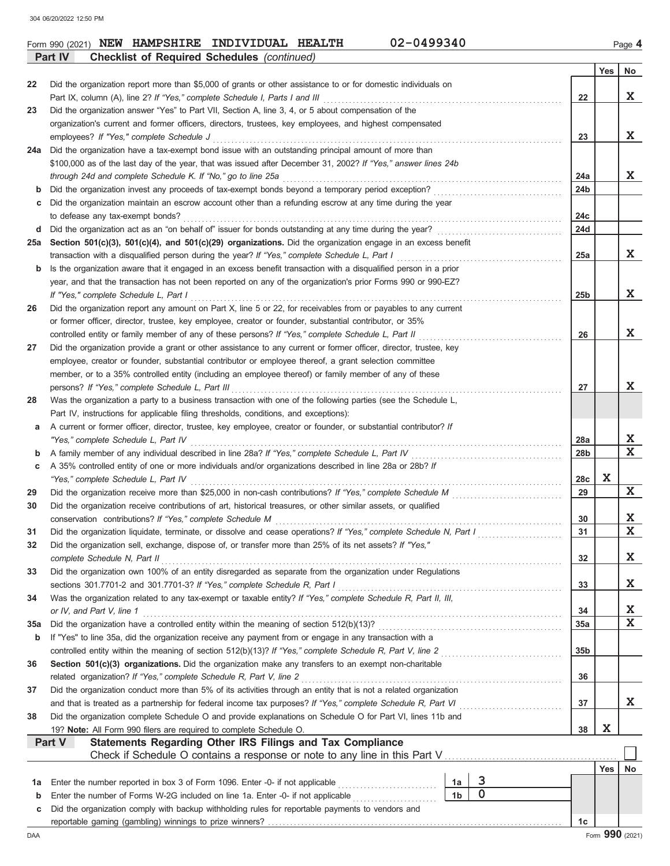**Part IV Checklist of Required Schedules** *(continued)*

|     |                                                                                                                                                                                                                           |                        | Yes | No                      |  |  |  |  |  |  |
|-----|---------------------------------------------------------------------------------------------------------------------------------------------------------------------------------------------------------------------------|------------------------|-----|-------------------------|--|--|--|--|--|--|
| 22  | Did the organization report more than \$5,000 of grants or other assistance to or for domestic individuals on                                                                                                             |                        |     |                         |  |  |  |  |  |  |
|     |                                                                                                                                                                                                                           | 22                     |     | X                       |  |  |  |  |  |  |
| 23  | Did the organization answer "Yes" to Part VII, Section A, line 3, 4, or 5 about compensation of the                                                                                                                       |                        |     |                         |  |  |  |  |  |  |
|     | organization's current and former officers, directors, trustees, key employees, and highest compensated                                                                                                                   | 23                     |     | X                       |  |  |  |  |  |  |
|     | employees? If "Yes," complete Schedule J                                                                                                                                                                                  |                        |     |                         |  |  |  |  |  |  |
| 24a | Did the organization have a tax-exempt bond issue with an outstanding principal amount of more than                                                                                                                       |                        |     |                         |  |  |  |  |  |  |
|     | \$100,000 as of the last day of the year, that was issued after December 31, 2002? If "Yes," answer lines 24b                                                                                                             |                        |     | X                       |  |  |  |  |  |  |
| b   | through 24d and complete Schedule K. If "No," go to line 25a<br>Did the organization invest any proceeds of tax-exempt bonds beyond a temporary period exception?                                                         | 24a<br>24 <sub>b</sub> |     |                         |  |  |  |  |  |  |
| c   | Did the organization maintain an escrow account other than a refunding escrow at any time during the year                                                                                                                 |                        |     |                         |  |  |  |  |  |  |
|     | to defease any tax-exempt bonds?                                                                                                                                                                                          | 24c                    |     |                         |  |  |  |  |  |  |
| d   | Did the organization act as an "on behalf of" issuer for bonds outstanding at any time during the year?                                                                                                                   | 24d                    |     |                         |  |  |  |  |  |  |
| 25a | Section 501(c)(3), 501(c)(4), and 501(c)(29) organizations. Did the organization engage in an excess benefit                                                                                                              |                        |     |                         |  |  |  |  |  |  |
|     | transaction with a disqualified person during the year? If "Yes," complete Schedule L, Part I                                                                                                                             | 25a                    |     | X                       |  |  |  |  |  |  |
| b   | Is the organization aware that it engaged in an excess benefit transaction with a disqualified person in a prior                                                                                                          |                        |     |                         |  |  |  |  |  |  |
|     | year, and that the transaction has not been reported on any of the organization's prior Forms 990 or 990-EZ?                                                                                                              |                        |     |                         |  |  |  |  |  |  |
|     | If "Yes," complete Schedule L, Part I                                                                                                                                                                                     | 25b                    |     | X                       |  |  |  |  |  |  |
| 26  | Did the organization report any amount on Part X, line 5 or 22, for receivables from or payables to any current                                                                                                           |                        |     |                         |  |  |  |  |  |  |
|     | or former officer, director, trustee, key employee, creator or founder, substantial contributor, or 35%                                                                                                                   |                        |     |                         |  |  |  |  |  |  |
|     | controlled entity or family member of any of these persons? If "Yes," complete Schedule L, Part II                                                                                                                        | 26                     |     | X                       |  |  |  |  |  |  |
| 27  | Did the organization provide a grant or other assistance to any current or former officer, director, trustee, key                                                                                                         |                        |     |                         |  |  |  |  |  |  |
|     | employee, creator or founder, substantial contributor or employee thereof, a grant selection committee                                                                                                                    |                        |     |                         |  |  |  |  |  |  |
|     | member, or to a 35% controlled entity (including an employee thereof) or family member of any of these                                                                                                                    |                        |     |                         |  |  |  |  |  |  |
|     | persons? If "Yes," complete Schedule L, Part III                                                                                                                                                                          | 27                     |     | X.                      |  |  |  |  |  |  |
| 28  | Was the organization a party to a business transaction with one of the following parties (see the Schedule L,                                                                                                             |                        |     |                         |  |  |  |  |  |  |
|     | Part IV, instructions for applicable filing thresholds, conditions, and exceptions):                                                                                                                                      |                        |     |                         |  |  |  |  |  |  |
| a   | A current or former officer, director, trustee, key employee, creator or founder, or substantial contributor? If                                                                                                          |                        |     |                         |  |  |  |  |  |  |
|     | "Yes," complete Schedule L, Part IV                                                                                                                                                                                       | 28a                    |     | X.<br>X                 |  |  |  |  |  |  |
| b   | A family member of any individual described in line 28a? If "Yes," complete Schedule L, Part IV [[[[[[[[[[[[[<br>A 35% controlled entity of one or more individuals and/or organizations described in line 28a or 28b? If | 28 <sub>b</sub>        |     |                         |  |  |  |  |  |  |
| c   | "Yes," complete Schedule L, Part IV                                                                                                                                                                                       | 28c                    | X   |                         |  |  |  |  |  |  |
| 29  |                                                                                                                                                                                                                           | 29                     |     | $\mathbf{x}$            |  |  |  |  |  |  |
| 30  | Did the organization receive contributions of art, historical treasures, or other similar assets, or qualified                                                                                                            |                        |     |                         |  |  |  |  |  |  |
|     | conservation contributions? If "Yes," complete Schedule M                                                                                                                                                                 | 30                     |     | X.                      |  |  |  |  |  |  |
| 31  | Did the organization liquidate, terminate, or dissolve and cease operations? If "Yes," complete Schedule N, Part I                                                                                                        | 31                     |     | $\mathbf{x}$            |  |  |  |  |  |  |
| 32  | Did the organization sell, exchange, dispose of, or transfer more than 25% of its net assets? If "Yes,"                                                                                                                   |                        |     |                         |  |  |  |  |  |  |
|     | complete Schedule N, Part II                                                                                                                                                                                              | 32                     |     | $\mathbf X$             |  |  |  |  |  |  |
| 33  | Did the organization own 100% of an entity disregarded as separate from the organization under Regulations                                                                                                                |                        |     |                         |  |  |  |  |  |  |
|     | sections 301.7701-2 and 301.7701-3? If "Yes," complete Schedule R, Part I                                                                                                                                                 | 33                     |     | X.                      |  |  |  |  |  |  |
| 34  | Was the organization related to any tax-exempt or taxable entity? If "Yes," complete Schedule R, Part II, III,                                                                                                            |                        |     |                         |  |  |  |  |  |  |
|     | or IV, and Part V, line 1                                                                                                                                                                                                 | 34                     |     | <u>x</u>                |  |  |  |  |  |  |
| 35a | Did the organization have a controlled entity within the meaning of section 512(b)(13)?                                                                                                                                   | 35a                    |     | $\overline{\mathbf{x}}$ |  |  |  |  |  |  |
| b   | If "Yes" to line 35a, did the organization receive any payment from or engage in any transaction with a                                                                                                                   |                        |     |                         |  |  |  |  |  |  |
|     | controlled entity within the meaning of section 512(b)(13)? If "Yes," complete Schedule R, Part V, line 2                                                                                                                 | 35 <sub>b</sub>        |     |                         |  |  |  |  |  |  |
| 36  | Section 501(c)(3) organizations. Did the organization make any transfers to an exempt non-charitable                                                                                                                      |                        |     |                         |  |  |  |  |  |  |
|     | related organization? If "Yes," complete Schedule R, Part V, line 2                                                                                                                                                       | 36                     |     |                         |  |  |  |  |  |  |
| 37  | Did the organization conduct more than 5% of its activities through an entity that is not a related organization                                                                                                          |                        |     |                         |  |  |  |  |  |  |
|     | and that is treated as a partnership for federal income tax purposes? If "Yes," complete Schedule R, Part VI                                                                                                              | 37                     |     | X.                      |  |  |  |  |  |  |
| 38  | Did the organization complete Schedule O and provide explanations on Schedule O for Part VI, lines 11b and                                                                                                                |                        |     |                         |  |  |  |  |  |  |
|     | 19? Note: All Form 990 filers are required to complete Schedule O.<br>Statements Regarding Other IRS Filings and Tax Compliance<br>Part V                                                                                 | 38                     | X   |                         |  |  |  |  |  |  |
|     | Check if Schedule O contains a response or note to any line in this Part V                                                                                                                                                |                        |     |                         |  |  |  |  |  |  |
|     |                                                                                                                                                                                                                           |                        | Yes | No                      |  |  |  |  |  |  |
| 1а  | 3<br>Enter the number reported in box 3 of Form 1096. Enter -0- if not applicable<br>1a                                                                                                                                   |                        |     |                         |  |  |  |  |  |  |
| b   | $\mathbf 0$<br>1 <sub>b</sub><br>Enter the number of Forms W-2G included on line 1a. Enter -0- if not applicable                                                                                                          |                        |     |                         |  |  |  |  |  |  |
| С   | Did the organization comply with backup withholding rules for reportable payments to vendors and                                                                                                                          |                        |     |                         |  |  |  |  |  |  |
|     |                                                                                                                                                                                                                           | 1c                     |     |                         |  |  |  |  |  |  |
| DAA |                                                                                                                                                                                                                           |                        |     | Form 990 (2021)         |  |  |  |  |  |  |

Form 990 (2021) **NEW HAMPSHIRE INDIVIDUAL HEALTH** 02-0499340 Page 4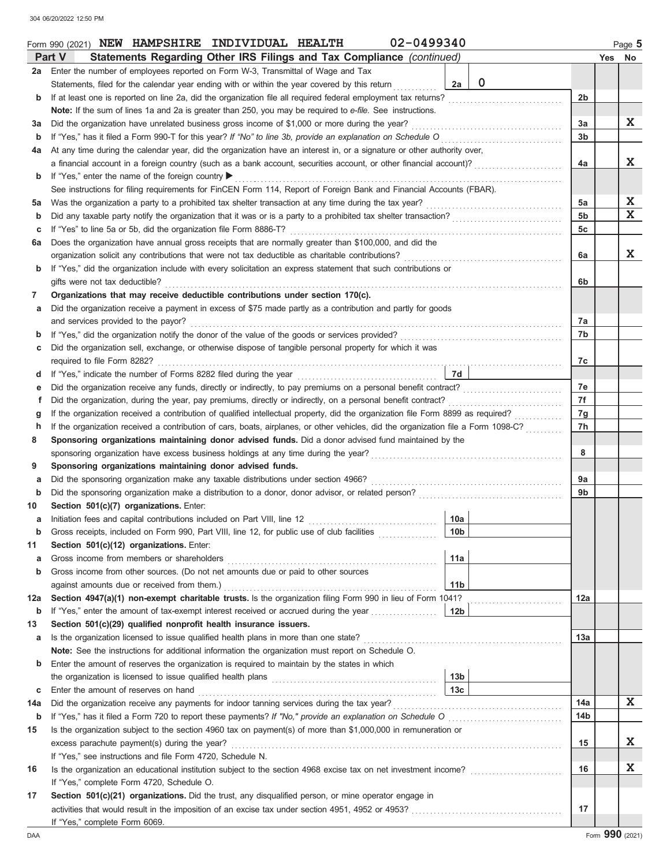|             | 02-0499340<br>Form 990 (2021) NEW HAMPSHIRE INDIVIDUAL HEALTH                                                                      |                   |                 |  | Page 5 |  |  |  |  |  |  |  |
|-------------|------------------------------------------------------------------------------------------------------------------------------------|-------------------|-----------------|--|--------|--|--|--|--|--|--|--|
|             | Part V<br>Statements Regarding Other IRS Filings and Tax Compliance (continued)                                                    |                   |                 |  | Yes No |  |  |  |  |  |  |  |
| 2a l        | Enter the number of employees reported on Form W-3, Transmittal of Wage and Tax                                                    |                   |                 |  |        |  |  |  |  |  |  |  |
|             | Statements, filed for the calendar year ending with or within the year covered by this return                                      | $\mathbf 0$<br>2a |                 |  |        |  |  |  |  |  |  |  |
| b           | If at least one is reported on line 2a, did the organization file all required federal employment tax returns?                     |                   | 2b              |  |        |  |  |  |  |  |  |  |
|             | Note: If the sum of lines 1a and 2a is greater than 250, you may be required to e-file. See instructions.                          |                   |                 |  |        |  |  |  |  |  |  |  |
| за          | Did the organization have unrelated business gross income of \$1,000 or more during the year?                                      |                   |                 |  |        |  |  |  |  |  |  |  |
| b           |                                                                                                                                    |                   |                 |  |        |  |  |  |  |  |  |  |
| 4a          | At any time during the calendar year, did the organization have an interest in, or a signature or other authority over,            |                   |                 |  |        |  |  |  |  |  |  |  |
|             | a financial account in a foreign country (such as a bank account, securities account, or other financial account)?                 |                   |                 |  |        |  |  |  |  |  |  |  |
| b           | If "Yes," enter the name of the foreign country ▶                                                                                  |                   |                 |  |        |  |  |  |  |  |  |  |
|             | See instructions for filing requirements for FinCEN Form 114, Report of Foreign Bank and Financial Accounts (FBAR).                |                   |                 |  |        |  |  |  |  |  |  |  |
| 5a          | Was the organization a party to a prohibited tax shelter transaction at any time during the tax year?                              |                   | 5a              |  | X      |  |  |  |  |  |  |  |
| b           |                                                                                                                                    |                   | 5 <sub>b</sub>  |  | X      |  |  |  |  |  |  |  |
| с           | If "Yes" to line 5a or 5b, did the organization file Form 8886-T?                                                                  |                   | 5c              |  |        |  |  |  |  |  |  |  |
| 6а          | Does the organization have annual gross receipts that are normally greater than \$100,000, and did the                             |                   |                 |  |        |  |  |  |  |  |  |  |
|             | organization solicit any contributions that were not tax deductible as charitable contributions?                                   |                   | 6a              |  | X      |  |  |  |  |  |  |  |
| b           | If "Yes," did the organization include with every solicitation an express statement that such contributions or                     |                   |                 |  |        |  |  |  |  |  |  |  |
|             | gifts were not tax deductible?                                                                                                     |                   | 6b              |  |        |  |  |  |  |  |  |  |
| 7           | Organizations that may receive deductible contributions under section 170(c).                                                      |                   |                 |  |        |  |  |  |  |  |  |  |
| а           | Did the organization receive a payment in excess of \$75 made partly as a contribution and partly for goods                        |                   |                 |  |        |  |  |  |  |  |  |  |
|             | and services provided to the payor?                                                                                                |                   | 7a              |  |        |  |  |  |  |  |  |  |
| b           |                                                                                                                                    |                   | 7b              |  |        |  |  |  |  |  |  |  |
| с           | Did the organization sell, exchange, or otherwise dispose of tangible personal property for which it was                           |                   |                 |  |        |  |  |  |  |  |  |  |
|             |                                                                                                                                    |                   | 7c              |  |        |  |  |  |  |  |  |  |
| d           |                                                                                                                                    | 7d                |                 |  |        |  |  |  |  |  |  |  |
| е           |                                                                                                                                    |                   | 7e              |  |        |  |  |  |  |  |  |  |
| f           | Did the organization, during the year, pay premiums, directly or indirectly, on a personal benefit contract?                       |                   | 7f              |  |        |  |  |  |  |  |  |  |
| g           | If the organization received a contribution of qualified intellectual property, did the organization file Form 8899 as required?   |                   | 7g              |  |        |  |  |  |  |  |  |  |
| h           | If the organization received a contribution of cars, boats, airplanes, or other vehicles, did the organization file a Form 1098-C? |                   | 7h              |  |        |  |  |  |  |  |  |  |
| 8           | Sponsoring organizations maintaining donor advised funds. Did a donor advised fund maintained by the                               |                   |                 |  |        |  |  |  |  |  |  |  |
|             | sponsoring organization have excess business holdings at any time during the year?                                                 |                   | 8               |  |        |  |  |  |  |  |  |  |
| 9           | Sponsoring organizations maintaining donor advised funds.                                                                          |                   |                 |  |        |  |  |  |  |  |  |  |
| а           | Did the sponsoring organization make any taxable distributions under section 4966?                                                 |                   | 9a              |  |        |  |  |  |  |  |  |  |
| b           |                                                                                                                                    |                   | 9 <sub>b</sub>  |  |        |  |  |  |  |  |  |  |
| 10          | Section 501(c)(7) organizations. Enter:                                                                                            |                   |                 |  |        |  |  |  |  |  |  |  |
| а           |                                                                                                                                    | 10a               |                 |  |        |  |  |  |  |  |  |  |
| b           | Gross receipts, included on Form 990, Part VIII, line 12, for public use of club facilities                                        | 10 <sub>b</sub>   |                 |  |        |  |  |  |  |  |  |  |
| 11          | Section 501(c)(12) organizations. Enter:                                                                                           |                   |                 |  |        |  |  |  |  |  |  |  |
| а           | Gross income from members or shareholders                                                                                          | 11a               |                 |  |        |  |  |  |  |  |  |  |
| b           | Gross income from other sources. (Do not net amounts due or paid to other sources                                                  |                   |                 |  |        |  |  |  |  |  |  |  |
|             | against amounts due or received from them.)                                                                                        | 11b               |                 |  |        |  |  |  |  |  |  |  |
| 12a         | Section 4947(a)(1) non-exempt charitable trusts. Is the organization filing Form 990 in lieu of Form 1041?                         |                   | 12a             |  |        |  |  |  |  |  |  |  |
| $\mathbf b$ | If "Yes," enter the amount of tax-exempt interest received or accrued during the year                                              | 12 <sub>b</sub>   |                 |  |        |  |  |  |  |  |  |  |
| 13          | Section 501(c)(29) qualified nonprofit health insurance issuers.                                                                   |                   |                 |  |        |  |  |  |  |  |  |  |
| а           |                                                                                                                                    |                   | 13а             |  |        |  |  |  |  |  |  |  |
|             | Note: See the instructions for additional information the organization must report on Schedule O.                                  |                   |                 |  |        |  |  |  |  |  |  |  |
| b           | Enter the amount of reserves the organization is required to maintain by the states in which                                       |                   |                 |  |        |  |  |  |  |  |  |  |
|             |                                                                                                                                    | 13 <sub>b</sub>   |                 |  |        |  |  |  |  |  |  |  |
| c           | Enter the amount of reserves on hand                                                                                               | 13 <sub>c</sub>   |                 |  |        |  |  |  |  |  |  |  |
| 14a         |                                                                                                                                    |                   | 14a             |  | X      |  |  |  |  |  |  |  |
| $\mathbf b$ |                                                                                                                                    |                   | 14 <sub>b</sub> |  |        |  |  |  |  |  |  |  |
| 15          | Is the organization subject to the section 4960 tax on payment(s) of more than \$1,000,000 in remuneration or                      |                   |                 |  |        |  |  |  |  |  |  |  |
|             | excess parachute payment(s) during the year?                                                                                       |                   | 15              |  | X      |  |  |  |  |  |  |  |
|             | If "Yes," see instructions and file Form 4720, Schedule N.                                                                         |                   |                 |  |        |  |  |  |  |  |  |  |
| 16          | Is the organization an educational institution subject to the section 4968 excise tax on net investment income?                    |                   | 16              |  | X      |  |  |  |  |  |  |  |
|             | If "Yes," complete Form 4720, Schedule O.                                                                                          |                   |                 |  |        |  |  |  |  |  |  |  |
| 17          | Section 501(c)(21) organizations. Did the trust, any disqualified person, or mine operator engage in                               |                   |                 |  |        |  |  |  |  |  |  |  |
|             |                                                                                                                                    |                   | 17              |  |        |  |  |  |  |  |  |  |
|             | If "Yes," complete Form 6069.                                                                                                      |                   |                 |  |        |  |  |  |  |  |  |  |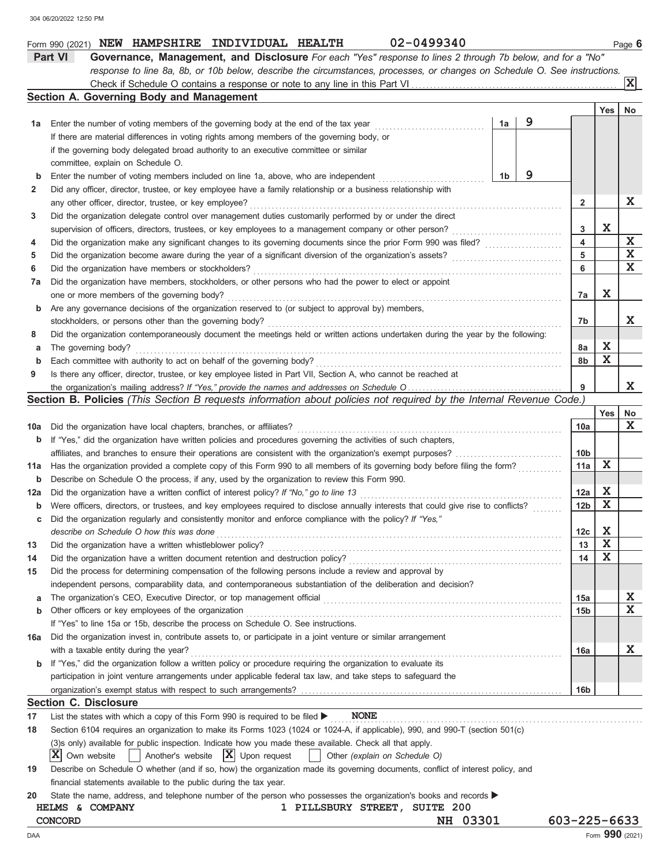|     | Part VI<br>Governance, Management, and Disclosure For each "Yes" response to lines 2 through 7b below, and for a "No"               |                    |                         |                         |  |  |  |  |  |  |  |
|-----|-------------------------------------------------------------------------------------------------------------------------------------|--------------------|-------------------------|-------------------------|--|--|--|--|--|--|--|
|     | response to line 8a, 8b, or 10b below, describe the circumstances, processes, or changes on Schedule O. See instructions.           |                    |                         |                         |  |  |  |  |  |  |  |
|     |                                                                                                                                     |                    |                         | $\overline{\mathbf{x}}$ |  |  |  |  |  |  |  |
|     | Section A. Governing Body and Management                                                                                            |                    |                         |                         |  |  |  |  |  |  |  |
|     |                                                                                                                                     |                    | Yes                     | No                      |  |  |  |  |  |  |  |
| 1а  | 9<br>1a<br>Enter the number of voting members of the governing body at the end of the tax year                                      |                    |                         |                         |  |  |  |  |  |  |  |
|     | If there are material differences in voting rights among members of the governing body, or                                          |                    |                         |                         |  |  |  |  |  |  |  |
|     | if the governing body delegated broad authority to an executive committee or similar                                                |                    |                         |                         |  |  |  |  |  |  |  |
|     | committee, explain on Schedule O.                                                                                                   |                    |                         |                         |  |  |  |  |  |  |  |
| b   | 9<br>1 <sub>b</sub><br>Enter the number of voting members included on line 1a, above, who are independent                           |                    |                         |                         |  |  |  |  |  |  |  |
| 2   | Did any officer, director, trustee, or key employee have a family relationship or a business relationship with                      |                    |                         |                         |  |  |  |  |  |  |  |
|     | any other officer, director, trustee, or key employee?                                                                              |                    |                         |                         |  |  |  |  |  |  |  |
| 3   | Did the organization delegate control over management duties customarily performed by or under the direct                           |                    |                         |                         |  |  |  |  |  |  |  |
|     | supervision of officers, directors, trustees, or key employees to a management company or other person?                             |                    |                         |                         |  |  |  |  |  |  |  |
| 4   | Did the organization make any significant changes to its governing documents since the prior Form 990 was filed?                    | 4                  |                         | $\mathbf X$             |  |  |  |  |  |  |  |
| 5   | Did the organization become aware during the year of a significant diversion of the organization's assets?                          | 5                  |                         | $\mathbf X$             |  |  |  |  |  |  |  |
| 6   | Did the organization have members or stockholders?                                                                                  | 6                  |                         | X                       |  |  |  |  |  |  |  |
| 7a  | Did the organization have members, stockholders, or other persons who had the power to elect or appoint                             |                    |                         |                         |  |  |  |  |  |  |  |
|     | one or more members of the governing body?                                                                                          | 7a                 | X                       |                         |  |  |  |  |  |  |  |
| b   | Are any governance decisions of the organization reserved to (or subject to approval by) members,                                   |                    |                         |                         |  |  |  |  |  |  |  |
|     | stockholders, or persons other than the governing body?                                                                             | 7b                 |                         | X                       |  |  |  |  |  |  |  |
| 8   | Did the organization contemporaneously document the meetings held or written actions undertaken during the year by the following:   |                    |                         |                         |  |  |  |  |  |  |  |
| а   | The governing body?                                                                                                                 | 8а                 | X                       |                         |  |  |  |  |  |  |  |
| b   | Each committee with authority to act on behalf of the governing body?                                                               | 8b                 | $\mathbf X$             |                         |  |  |  |  |  |  |  |
| 9   | Is there any officer, director, trustee, or key employee listed in Part VII, Section A, who cannot be reached at                    |                    |                         |                         |  |  |  |  |  |  |  |
|     | the organization's mailing address? If "Yes," provide the names and addresses on Schedule O                                         | 9                  |                         | X                       |  |  |  |  |  |  |  |
|     | Section B. Policies (This Section B requests information about policies not required by the Internal Revenue Code.)                 |                    |                         |                         |  |  |  |  |  |  |  |
|     |                                                                                                                                     |                    | Yes                     | No                      |  |  |  |  |  |  |  |
| 10a | Did the organization have local chapters, branches, or affiliates?                                                                  | 10a                |                         | $\mathbf x$             |  |  |  |  |  |  |  |
| b   | If "Yes," did the organization have written policies and procedures governing the activities of such chapters,                      |                    |                         |                         |  |  |  |  |  |  |  |
|     | affiliates, and branches to ensure their operations are consistent with the organization's exempt purposes?                         | 10b                |                         |                         |  |  |  |  |  |  |  |
| 11a | Has the organization provided a complete copy of this Form 990 to all members of its governing body before filing the form?         | 11a                | X                       |                         |  |  |  |  |  |  |  |
| b   | Describe on Schedule O the process, if any, used by the organization to review this Form 990.                                       |                    |                         |                         |  |  |  |  |  |  |  |
| 12a | Did the organization have a written conflict of interest policy? If "No," go to line 13                                             | 12a                | X                       |                         |  |  |  |  |  |  |  |
| b   | Were officers, directors, or trustees, and key employees required to disclose annually interests that could give rise to conflicts? | 12 <sub>b</sub>    | X                       |                         |  |  |  |  |  |  |  |
| с   | Did the organization regularly and consistently monitor and enforce compliance with the policy? If "Yes,"                           |                    |                         |                         |  |  |  |  |  |  |  |
|     | describe on Schedule O how this was done                                                                                            | 12c                | X                       |                         |  |  |  |  |  |  |  |
| 13  | Did the organization have a written whistleblower policy?                                                                           | 13                 | $\overline{\mathbf{x}}$ |                         |  |  |  |  |  |  |  |
| 14  | Did the organization have a written document retention and destruction policy?                                                      | 14                 | Х                       |                         |  |  |  |  |  |  |  |
| 15  | Did the process for determining compensation of the following persons include a review and approval by                              |                    |                         |                         |  |  |  |  |  |  |  |
|     | independent persons, comparability data, and contemporaneous substantiation of the deliberation and decision?                       |                    |                         |                         |  |  |  |  |  |  |  |
| а   | The organization's CEO, Executive Director, or top management official                                                              | 15a                |                         | X                       |  |  |  |  |  |  |  |
| b   | Other officers or key employees of the organization                                                                                 | 15b                |                         | X                       |  |  |  |  |  |  |  |
|     | If "Yes" to line 15a or 15b, describe the process on Schedule O. See instructions.                                                  |                    |                         |                         |  |  |  |  |  |  |  |
| 16a | Did the organization invest in, contribute assets to, or participate in a joint venture or similar arrangement                      |                    |                         |                         |  |  |  |  |  |  |  |
|     | with a taxable entity during the year?                                                                                              | 16a                |                         | X                       |  |  |  |  |  |  |  |
| b   | If "Yes," did the organization follow a written policy or procedure requiring the organization to evaluate its                      |                    |                         |                         |  |  |  |  |  |  |  |
|     | participation in joint venture arrangements under applicable federal tax law, and take steps to safeguard the                       |                    |                         |                         |  |  |  |  |  |  |  |
|     | organization's exempt status with respect to such arrangements?                                                                     | 16b                |                         |                         |  |  |  |  |  |  |  |
|     | <b>Section C. Disclosure</b>                                                                                                        |                    |                         |                         |  |  |  |  |  |  |  |
| 17  | <b>NONE</b><br>List the states with which a copy of this Form 990 is required to be filed ▶                                         |                    |                         |                         |  |  |  |  |  |  |  |
| 18  | Section 6104 requires an organization to make its Forms 1023 (1024 or 1024-A, if applicable), 990, and 990-T (section 501(c)        |                    |                         |                         |  |  |  |  |  |  |  |
|     | (3) sonly) available for public inspection. Indicate how you made these available. Check all that apply.                            |                    |                         |                         |  |  |  |  |  |  |  |
|     | $ \mathbf{X} $ Upon request<br>ΙXΙ<br>Own website<br>Another's website<br>Other (explain on Schedule O)                             |                    |                         |                         |  |  |  |  |  |  |  |
| 19  | Describe on Schedule O whether (and if so, how) the organization made its governing documents, conflict of interest policy, and     |                    |                         |                         |  |  |  |  |  |  |  |
|     | financial statements available to the public during the tax year.                                                                   |                    |                         |                         |  |  |  |  |  |  |  |
| 20  | State the name, address, and telephone number of the person who possesses the organization's books and records                      |                    |                         |                         |  |  |  |  |  |  |  |
|     | HELMS & COMPANY<br>1 PILLSBURY STREET, SUITE 200                                                                                    |                    |                         |                         |  |  |  |  |  |  |  |
|     | NH 03301<br>CONCORD                                                                                                                 | $603 - 225 - 6633$ |                         |                         |  |  |  |  |  |  |  |

Form 990 (2021) **NEW HAMPSHIRE INDIVIDUAL HEALTH** 02-0499340 **120 Page 6 NEW HAMPSHIRE INDIVIDUAL HEALTH 02-0499340**

| ٠ | ×<br>۹ | ۰. |  |  |
|---|--------|----|--|--|
|   |        |    |  |  |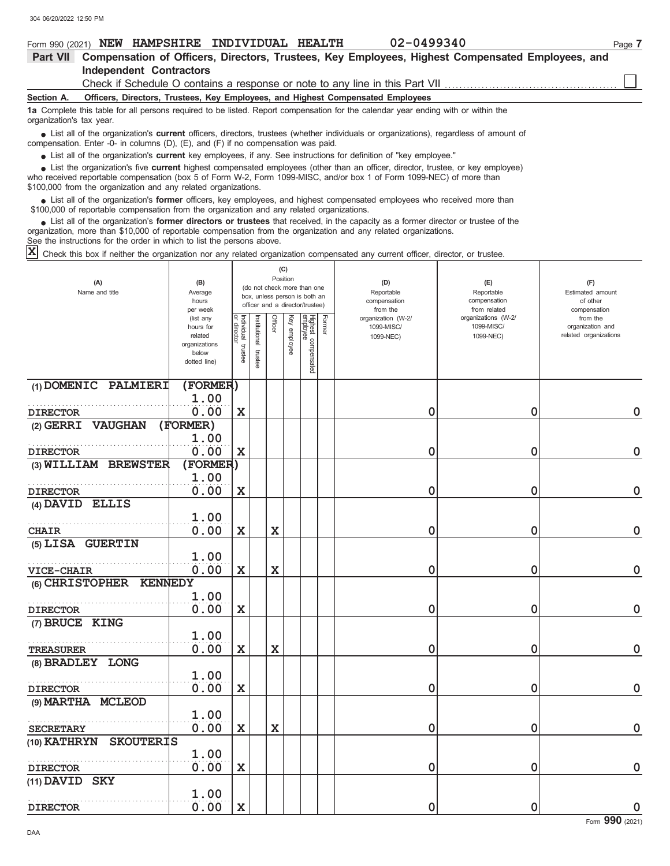| 02-0499340<br>NEW HAMPSHIRE INDIVIDUAL HEALTH<br>Form 990 (2021)                                                                                                                                                                                                                                                                | Page 7 |
|---------------------------------------------------------------------------------------------------------------------------------------------------------------------------------------------------------------------------------------------------------------------------------------------------------------------------------|--------|
| Compensation of Officers, Directors, Trustees, Key Employees, Highest Compensated Employees, and<br><b>Part VII</b>                                                                                                                                                                                                             |        |
| <b>Independent Contractors</b>                                                                                                                                                                                                                                                                                                  |        |
| Check if Schedule O contains a response or note to any line in this Part VII                                                                                                                                                                                                                                                    |        |
| Officers, Directors, Trustees, Key Employees, and Highest Compensated Employees<br>Section A.                                                                                                                                                                                                                                   |        |
| 1a Complete this table for all persons required to be listed. Report compensation for the calendar year ending with or within the<br>organization's tax year.                                                                                                                                                                   |        |
| • List all of the organization's <b>current</b> officers, directors, trustees (whether individuals or organizations), regardless of amount of<br>compensation. Enter -0- in columns $(D)$ , $(E)$ , and $(F)$ if no compensation was paid.                                                                                      |        |
| • List all of the organization's <b>current</b> key employees, if any. See instructions for definition of "key employee."                                                                                                                                                                                                       |        |
| • List the organization's five current highest compensated employees (other than an officer, director, trustee, or key employee)<br>who received reportable compensation (box 5 of Form W-2, Form 1099-MISC, and/or box 1 of Form 1099-NEC) of more than<br>\$100,000 from the organization and any related organizations.      |        |
| List all of the organization's <b>former</b> officers, key employees, and highest compensated employees who received more than<br>\$100,000 of reportable compensation from the organization and any related organizations.                                                                                                     |        |
| List all of the organization's former directors or trustees that received, in the capacity as a former director or trustee of the<br>organization, more than \$10,000 of reportable compensation from the organization and any related organizations.<br>See the instructions for the order in which to list the persons above. |        |
| $ \mathbf{x} $<br>Check this box if neither the organization nor any related organization compensated any current officer, director, or trustee.                                                                                                                                                                                |        |

|                                   |                          |                                   |                      |             | (C)          |                                 |        |                          |                              |                          |
|-----------------------------------|--------------------------|-----------------------------------|----------------------|-------------|--------------|---------------------------------|--------|--------------------------|------------------------------|--------------------------|
| (A)                               | (B)                      |                                   |                      |             | Position     | (do not check more than one     |        | (D)                      | (E)                          | (F)                      |
| Name and title                    | Average                  |                                   |                      |             |              | box, unless person is both an   |        | Reportable               | Reportable                   | Estimated amount         |
|                                   | hours<br>per week        |                                   |                      |             |              | officer and a director/trustee) |        | compensation<br>from the | compensation<br>from related | of other<br>compensation |
|                                   | (list any                |                                   |                      |             |              |                                 |        | organization (W-2/       | organizations (W-2/          | from the                 |
|                                   | hours for                | Individual trustee<br>or director |                      | Officer     | Key employee |                                 | Former | 1099-MISC/               | 1099-MISC/                   | organization and         |
|                                   | related<br>organizations |                                   |                      |             |              |                                 |        | 1099-NEC)                | 1099-NEC)                    | related organizations    |
|                                   | below                    |                                   |                      |             |              |                                 |        |                          |                              |                          |
|                                   | dotted line)             |                                   | nstitutional trustee |             |              | Highest compensated<br>employee |        |                          |                              |                          |
|                                   |                          |                                   |                      |             |              |                                 |        |                          |                              |                          |
| (1) DOMENIC PALMIERI              | (FORMER)                 |                                   |                      |             |              |                                 |        |                          |                              |                          |
|                                   | 1.00                     |                                   |                      |             |              |                                 |        |                          |                              |                          |
| <b>DIRECTOR</b>                   | 0.00                     | $\mathbf x$                       |                      |             |              |                                 |        | 0                        | $\mathbf 0$                  | $\mathbf 0$              |
| (2) GERRI VAUGHAN                 | (FORMER)                 |                                   |                      |             |              |                                 |        |                          |                              |                          |
|                                   | 1.00                     |                                   |                      |             |              |                                 |        |                          |                              |                          |
|                                   |                          |                                   |                      |             |              |                                 |        |                          |                              |                          |
| <b>DIRECTOR</b>                   | 0.00                     | $\mathbf X$                       |                      |             |              |                                 |        | 0                        | 0                            | $\mathbf 0$              |
| (3) WILLIAM BREWSTER              | (FORMER)                 |                                   |                      |             |              |                                 |        |                          |                              |                          |
|                                   | 1.00                     |                                   |                      |             |              |                                 |        |                          |                              |                          |
| <b>DIRECTOR</b>                   | 0.00                     | X                                 |                      |             |              |                                 |        | 0                        | 0                            | $\mathbf 0$              |
| (4) DAVID ELLIS                   |                          |                                   |                      |             |              |                                 |        |                          |                              |                          |
|                                   | 1.00                     |                                   |                      |             |              |                                 |        |                          |                              |                          |
| <b>CHAIR</b>                      | 0.00                     | $\mathbf x$                       |                      | $\mathbf X$ |              |                                 |        | 0                        | $\mathbf 0$                  | $\mathbf 0$              |
| (5) LISA GUERTIN                  |                          |                                   |                      |             |              |                                 |        |                          |                              |                          |
|                                   | 1.00                     |                                   |                      |             |              |                                 |        |                          |                              |                          |
|                                   | 0.00                     | $\mathbf X$                       |                      | $\mathbf X$ |              |                                 |        |                          | $\mathbf 0$                  | $\mathbf 0$              |
| <b>VICE-CHAIR</b>                 |                          |                                   |                      |             |              |                                 |        | 0                        |                              |                          |
| (6) CHRISTOPHER<br><b>KENNEDY</b> |                          |                                   |                      |             |              |                                 |        |                          |                              |                          |
|                                   | 1.00                     |                                   |                      |             |              |                                 |        |                          |                              |                          |
| <b>DIRECTOR</b>                   | 0.00                     | $\mathbf X$                       |                      |             |              |                                 |        | 0                        | 0                            | $\mathbf 0$              |
| (7) BRUCE KING                    |                          |                                   |                      |             |              |                                 |        |                          |                              |                          |
|                                   | 1.00                     |                                   |                      |             |              |                                 |        |                          |                              |                          |
| <b>TREASURER</b>                  | 0.00                     | X                                 |                      | $\mathbf X$ |              |                                 |        | 0                        | $\mathbf 0$                  | $\mathbf 0$              |
| (8) BRADLEY LONG                  |                          |                                   |                      |             |              |                                 |        |                          |                              |                          |
|                                   | 1.00                     |                                   |                      |             |              |                                 |        |                          |                              |                          |
| <b>DIRECTOR</b>                   | 0.00                     | $\mathbf X$                       |                      |             |              |                                 |        | 0                        | 0                            | $\mathbf 0$              |
| (9) MARTHA MCLEOD                 |                          |                                   |                      |             |              |                                 |        |                          |                              |                          |
|                                   | 1.00                     |                                   |                      |             |              |                                 |        |                          |                              |                          |
|                                   |                          |                                   |                      |             |              |                                 |        |                          |                              |                          |
| <b>SECRETARY</b>                  | 0.00                     | X                                 |                      | $\mathbf X$ |              |                                 |        | 0                        | $\mathbf 0$                  | $\mathbf 0$              |
| <b>SKOUTERIS</b><br>(10) KATHRYN  |                          |                                   |                      |             |              |                                 |        |                          |                              |                          |
|                                   | 1.00                     |                                   |                      |             |              |                                 |        |                          |                              |                          |
| <b>DIRECTOR</b>                   | 0.00                     | $\mathbf X$                       |                      |             |              |                                 |        | 0                        | 0                            | $\mathbf 0$              |
| (11) DAVID SKY                    |                          |                                   |                      |             |              |                                 |        |                          |                              |                          |
|                                   | 1.00                     |                                   |                      |             |              |                                 |        |                          |                              |                          |
| <b>DIRECTOR</b>                   | 0.00                     | $\mathbf X$                       |                      |             |              |                                 |        | 0                        | 0                            | $\mathbf 0$              |
|                                   |                          |                                   |                      |             |              |                                 |        |                          |                              |                          |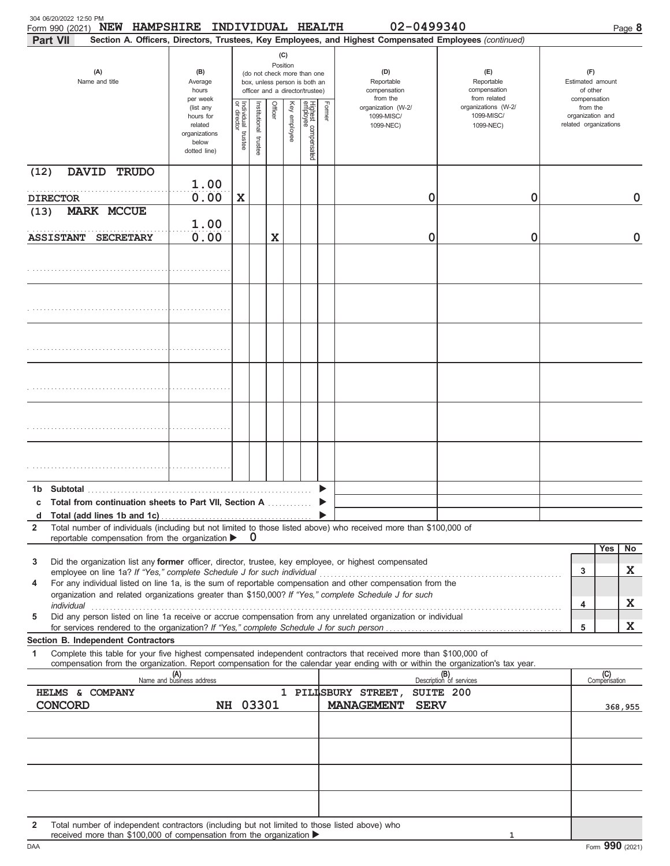| 304 06/20/2022 12:50 PM<br>Form 990 (2021) NEW HAMPSHIRE INDIVIDUAL HEALTH<br><b>Part VII</b>                                                                                                                                                               |                                                                                         |                                   |                                                                                                                    |         |              |                                 |        | 02-0499340<br>Section A. Officers, Directors, Trustees, Key Employees, and Highest Compensated Employees (continued) |                                                   | Page 8                                                |
|-------------------------------------------------------------------------------------------------------------------------------------------------------------------------------------------------------------------------------------------------------------|-----------------------------------------------------------------------------------------|-----------------------------------|--------------------------------------------------------------------------------------------------------------------|---------|--------------|---------------------------------|--------|----------------------------------------------------------------------------------------------------------------------|---------------------------------------------------|-------------------------------------------------------|
| (A)<br>Name and title                                                                                                                                                                                                                                       | (B)<br>Average<br>hours                                                                 |                                   | (C)<br>Position<br>(do not check more than one<br>box, unless person is both an<br>officer and a director/trustee) |         |              |                                 |        | (D)<br>Reportable<br>compensation<br>from the                                                                        | (E)<br>Reportable<br>compensation<br>from related | (F)<br>Estimated amount<br>of other<br>compensation   |
|                                                                                                                                                                                                                                                             | per week<br>(list any<br>hours for<br>related<br>organizations<br>below<br>dotted line) | Individual trustee<br>or director | Institutional trustee                                                                                              | Officer | Key employee | Highest compensated<br>employee | Former | organization (W-2/<br>1099-MISC/<br>1099-NEC)                                                                        | organizations (W-2/<br>1099-MISC/<br>1099-NEC)    | from the<br>organization and<br>related organizations |
| (12)<br>DAVID TRUDO                                                                                                                                                                                                                                         | 1.00                                                                                    |                                   |                                                                                                                    |         |              |                                 |        |                                                                                                                      |                                                   |                                                       |
| <b>DIRECTOR</b><br>(13)<br><b>MARK MCCUE</b>                                                                                                                                                                                                                | 0.00<br>1.00                                                                            | X                                 |                                                                                                                    |         |              |                                 |        | 0                                                                                                                    | 0                                                 | 0                                                     |
| <b>ASSISTANT</b><br><b>SECRETARY</b>                                                                                                                                                                                                                        | 0.00                                                                                    |                                   |                                                                                                                    | X       |              |                                 |        | 0                                                                                                                    | 0                                                 | $\mathbf 0$                                           |
|                                                                                                                                                                                                                                                             |                                                                                         |                                   |                                                                                                                    |         |              |                                 |        |                                                                                                                      |                                                   |                                                       |
|                                                                                                                                                                                                                                                             |                                                                                         |                                   |                                                                                                                    |         |              |                                 |        |                                                                                                                      |                                                   |                                                       |
|                                                                                                                                                                                                                                                             |                                                                                         |                                   |                                                                                                                    |         |              |                                 |        |                                                                                                                      |                                                   |                                                       |
|                                                                                                                                                                                                                                                             |                                                                                         |                                   |                                                                                                                    |         |              |                                 |        |                                                                                                                      |                                                   |                                                       |
|                                                                                                                                                                                                                                                             |                                                                                         |                                   |                                                                                                                    |         |              |                                 |        |                                                                                                                      |                                                   |                                                       |
|                                                                                                                                                                                                                                                             |                                                                                         |                                   |                                                                                                                    |         |              |                                 |        |                                                                                                                      |                                                   |                                                       |
|                                                                                                                                                                                                                                                             |                                                                                         |                                   |                                                                                                                    |         |              |                                 |        |                                                                                                                      |                                                   |                                                       |
| c Total from continuation sheets to Part VII, Section A                                                                                                                                                                                                     |                                                                                         |                                   |                                                                                                                    |         |              |                                 |        |                                                                                                                      |                                                   |                                                       |
| d<br>Total number of individuals (including but not limited to those listed above) who received more than \$100,000 of                                                                                                                                      |                                                                                         |                                   |                                                                                                                    |         |              |                                 |        |                                                                                                                      |                                                   |                                                       |
| $\mathbf{2}$<br>reportable compensation from the organization >                                                                                                                                                                                             |                                                                                         |                                   | 0                                                                                                                  |         |              |                                 |        |                                                                                                                      |                                                   |                                                       |
| Did the organization list any former officer, director, trustee, key employee, or highest compensated<br>3                                                                                                                                                  |                                                                                         |                                   |                                                                                                                    |         |              |                                 |        |                                                                                                                      |                                                   | No<br>Yes                                             |
| employee on line 1a? If "Yes," complete Schedule J for such individual                                                                                                                                                                                      |                                                                                         |                                   |                                                                                                                    |         |              |                                 |        |                                                                                                                      |                                                   | X<br>3                                                |
| For any individual listed on line 1a, is the sum of reportable compensation and other compensation from the<br>4<br>organization and related organizations greater than \$150,000? If "Yes," complete Schedule J for such                                   |                                                                                         |                                   |                                                                                                                    |         |              |                                 |        |                                                                                                                      |                                                   |                                                       |
| individual<br>Did any person listed on line 1a receive or accrue compensation from any unrelated organization or individual<br>5                                                                                                                            |                                                                                         |                                   |                                                                                                                    |         |              |                                 |        |                                                                                                                      |                                                   | X<br>4                                                |
|                                                                                                                                                                                                                                                             |                                                                                         |                                   |                                                                                                                    |         |              |                                 |        |                                                                                                                      |                                                   | X<br>5                                                |
| Section B. Independent Contractors                                                                                                                                                                                                                          |                                                                                         |                                   |                                                                                                                    |         |              |                                 |        |                                                                                                                      |                                                   |                                                       |
| 1<br>Complete this table for your five highest compensated independent contractors that received more than \$100,000 of<br>compensation from the organization. Report compensation for the calendar year ending with or within the organization's tax year. |                                                                                         |                                   |                                                                                                                    |         |              |                                 |        |                                                                                                                      |                                                   |                                                       |
|                                                                                                                                                                                                                                                             | (A)<br>Name and business address                                                        |                                   |                                                                                                                    |         |              |                                 |        |                                                                                                                      | Description of services                           | (C)<br>Compensation                                   |
| HELMS & COMPANY<br><b>CONCORD</b>                                                                                                                                                                                                                           |                                                                                         |                                   | NH 03301                                                                                                           |         |              |                                 |        | 1 PILISBURY STREET,<br><b>MANAGEMENT</b><br><b>SERV</b>                                                              | SUITE 200                                         | 368,955                                               |
|                                                                                                                                                                                                                                                             |                                                                                         |                                   |                                                                                                                    |         |              |                                 |        |                                                                                                                      |                                                   |                                                       |
|                                                                                                                                                                                                                                                             |                                                                                         |                                   |                                                                                                                    |         |              |                                 |        |                                                                                                                      |                                                   |                                                       |
| Total number of independent contractors (including but not limited to those listed above) who<br>$\mathbf{2}$                                                                                                                                               |                                                                                         |                                   |                                                                                                                    |         |              |                                 |        |                                                                                                                      |                                                   |                                                       |

received more than \$100,000 of compensation from the organization

**1**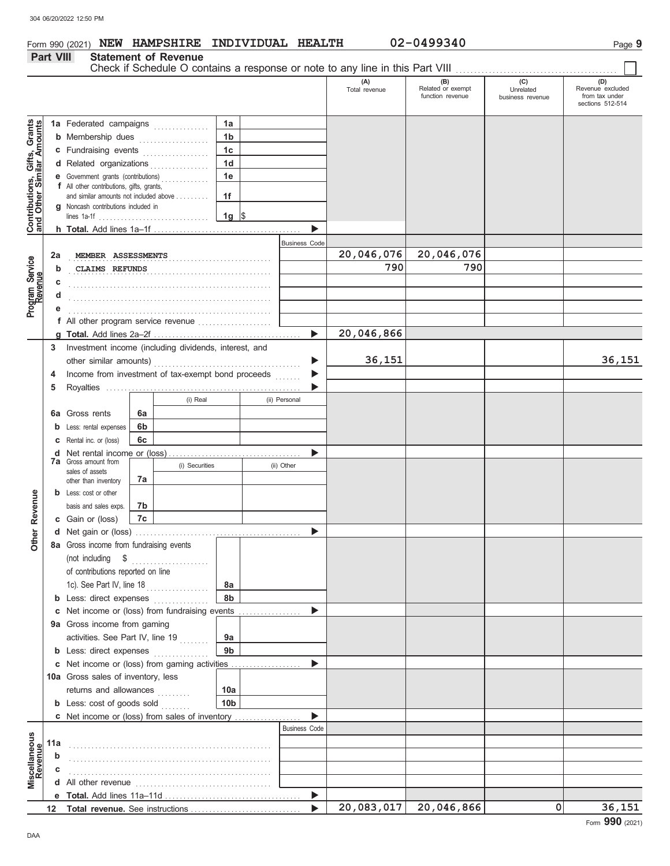Form 990 (2021) **NEW HAMPSHIRE INDIVIDUAL HEALTH** 02-0499340 Page 9

|                                                                  | Part VIII |                                                                               |    | <b>Statement of Revenue</b> |                 |                       | Check if Schedule O contains a response or note to any line in this Part VIII |                                       |                               |                                    |
|------------------------------------------------------------------|-----------|-------------------------------------------------------------------------------|----|-----------------------------|-----------------|-----------------------|-------------------------------------------------------------------------------|---------------------------------------|-------------------------------|------------------------------------|
|                                                                  |           |                                                                               |    |                             |                 |                       | (A)                                                                           | (B)                                   | (C)                           | (D)                                |
|                                                                  |           |                                                                               |    |                             |                 |                       | Total revenue                                                                 | Related or exempt<br>function revenue | Unrelated<br>business revenue | Revenue excluded<br>from tax under |
|                                                                  |           |                                                                               |    |                             |                 |                       |                                                                               |                                       |                               | sections 512-514                   |
|                                                                  |           | 1a Federated campaigns                                                        |    |                             | 1a              |                       |                                                                               |                                       |                               |                                    |
|                                                                  |           | <b>b</b> Membership dues                                                      |    |                             | 1 <sub>b</sub>  |                       |                                                                               |                                       |                               |                                    |
| <b>Contributions, Gifts, Grants</b><br>and Other Similar Amounts |           | c Fundraising events                                                          |    |                             | 1 <sub>c</sub>  |                       |                                                                               |                                       |                               |                                    |
|                                                                  |           | d Related organizations                                                       |    |                             | 1 <sub>d</sub>  |                       |                                                                               |                                       |                               |                                    |
|                                                                  |           | <b>e</b> Government grants (contributions)                                    |    |                             | 1e              |                       |                                                                               |                                       |                               |                                    |
|                                                                  |           | f All other contributions, gifts, grants,                                     |    |                             |                 |                       |                                                                               |                                       |                               |                                    |
|                                                                  |           | and similar amounts not included above<br>g Noncash contributions included in |    |                             | 1f              |                       |                                                                               |                                       |                               |                                    |
|                                                                  |           |                                                                               |    |                             | 1g $\sqrt{ }$   |                       |                                                                               |                                       |                               |                                    |
|                                                                  |           |                                                                               |    |                             |                 |                       |                                                                               |                                       |                               |                                    |
|                                                                  |           |                                                                               |    |                             |                 | <b>Business Code</b>  |                                                                               |                                       |                               |                                    |
|                                                                  | 2a        | MEMBER ASSESSMENTS                                                            |    |                             |                 |                       | 20,046,076                                                                    | 20,046,076                            |                               |                                    |
| Program Service                                                  | b         | CLAIMS REFUNDS                                                                |    |                             |                 |                       | 790                                                                           | 790                                   |                               |                                    |
|                                                                  | c         |                                                                               |    |                             |                 |                       |                                                                               |                                       |                               |                                    |
|                                                                  |           |                                                                               |    |                             |                 |                       |                                                                               |                                       |                               |                                    |
|                                                                  |           |                                                                               |    |                             |                 |                       |                                                                               |                                       |                               |                                    |
|                                                                  |           | f All other program service revenue                                           |    |                             |                 |                       |                                                                               |                                       |                               |                                    |
|                                                                  |           |                                                                               |    |                             |                 | $\blacktriangleright$ | 20,046,866                                                                    |                                       |                               |                                    |
|                                                                  | 3         | Investment income (including dividends, interest, and                         |    |                             |                 |                       |                                                                               |                                       |                               | 36,151                             |
|                                                                  |           | other similar amounts)                                                        |    |                             |                 |                       | 36, 151                                                                       |                                       |                               |                                    |
|                                                                  | 4         | Income from investment of tax-exempt bond proceeds                            |    |                             |                 |                       |                                                                               |                                       |                               |                                    |
|                                                                  | 5         |                                                                               |    | (i) Real                    |                 | (ii) Personal         |                                                                               |                                       |                               |                                    |
|                                                                  | 6а        | Gross rents                                                                   | 6a |                             |                 |                       |                                                                               |                                       |                               |                                    |
|                                                                  |           | Less: rental expenses                                                         | 6b |                             |                 |                       |                                                                               |                                       |                               |                                    |
|                                                                  |           | Rental inc. or (loss)                                                         | 6c |                             |                 |                       |                                                                               |                                       |                               |                                    |
|                                                                  | d         |                                                                               |    |                             |                 |                       |                                                                               |                                       |                               |                                    |
|                                                                  |           | <b>7a</b> Gross amount from                                                   |    | (i) Securities              |                 | (ii) Other            |                                                                               |                                       |                               |                                    |
|                                                                  |           | sales of assets<br>other than inventory                                       | 7a |                             |                 |                       |                                                                               |                                       |                               |                                    |
|                                                                  | b         | Less: cost or other                                                           |    |                             |                 |                       |                                                                               |                                       |                               |                                    |
| Revenue                                                          |           | basis and sales exps.                                                         | 7b |                             |                 |                       |                                                                               |                                       |                               |                                    |
|                                                                  |           | c Gain or (loss)                                                              | 7c |                             |                 |                       |                                                                               |                                       |                               |                                    |
| her                                                              |           |                                                                               |    |                             |                 |                       |                                                                               |                                       |                               |                                    |
| Ò                                                                |           | 8a Gross income from fundraising events                                       |    |                             |                 |                       |                                                                               |                                       |                               |                                    |
|                                                                  |           | (not including \$                                                             |    | .                           |                 |                       |                                                                               |                                       |                               |                                    |
|                                                                  |           | of contributions reported on line                                             |    |                             |                 |                       |                                                                               |                                       |                               |                                    |
|                                                                  |           | 1c). See Part IV, line 18 [ [ [ [ ] ]                                         |    |                             | 8а              |                       |                                                                               |                                       |                               |                                    |
|                                                                  |           | <b>b</b> Less: direct expenses                                                |    |                             | 8b              |                       |                                                                               |                                       |                               |                                    |
|                                                                  |           | c Net income or (loss) from fundraising events                                |    |                             |                 |                       |                                                                               |                                       |                               |                                    |
|                                                                  |           | 9a Gross income from gaming                                                   |    |                             |                 |                       |                                                                               |                                       |                               |                                    |
|                                                                  |           | activities. See Part IV, line 19                                              |    |                             | 9а              |                       |                                                                               |                                       |                               |                                    |
|                                                                  |           | <b>b</b> Less: direct expenses                                                |    |                             | 9 <sub>b</sub>  |                       |                                                                               |                                       |                               |                                    |
|                                                                  |           | c Net income or (loss) from gaming activities                                 |    |                             |                 |                       |                                                                               |                                       |                               |                                    |
|                                                                  |           | 10a Gross sales of inventory, less                                            |    |                             |                 |                       |                                                                               |                                       |                               |                                    |
|                                                                  |           | returns and allowances                                                        |    |                             | 10a             |                       |                                                                               |                                       |                               |                                    |
|                                                                  |           | <b>b</b> Less: $cost$ of goods $sol$                                          |    |                             | 10 <sub>b</sub> |                       |                                                                               |                                       |                               |                                    |
|                                                                  |           | <b>c</b> Net income or (loss) from sales of inventory                         |    |                             |                 |                       |                                                                               |                                       |                               |                                    |
|                                                                  |           |                                                                               |    |                             |                 | <b>Business Code</b>  |                                                                               |                                       |                               |                                    |
|                                                                  | 11a       |                                                                               |    |                             |                 |                       |                                                                               |                                       |                               |                                    |
| Miscellaneous<br>Revenue                                         | b         |                                                                               |    |                             |                 |                       |                                                                               |                                       |                               |                                    |
|                                                                  |           |                                                                               |    |                             |                 |                       |                                                                               |                                       |                               |                                    |
|                                                                  |           |                                                                               |    |                             |                 | ▶                     |                                                                               |                                       |                               |                                    |
|                                                                  |           |                                                                               |    |                             |                 |                       | 20,083,017                                                                    | 20,046,866                            | $\overline{0}$                | 36,151                             |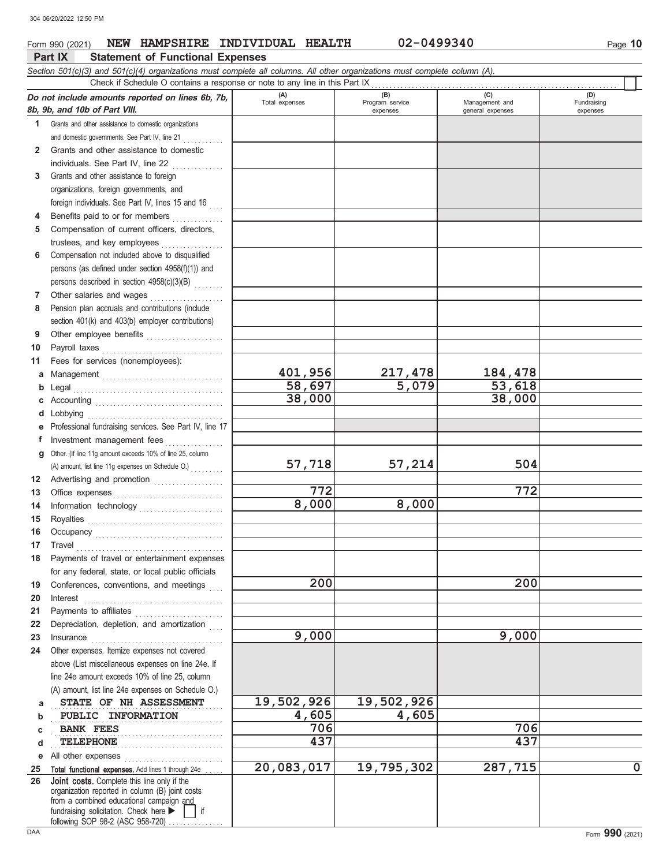## Form 990 (2021) **NEW HAMPSHIRE INDIVIDUAL HEALTH 02-0499340** Page 10

|          | Part IX<br><b>Statement of Functional Expenses</b>                                                                                                                                                                                |                       |                                    |                                           |                                |  |  |  |  |  |  |
|----------|-----------------------------------------------------------------------------------------------------------------------------------------------------------------------------------------------------------------------------------|-----------------------|------------------------------------|-------------------------------------------|--------------------------------|--|--|--|--|--|--|
|          | Section 501(c)(3) and 501(c)(4) organizations must complete all columns. All other organizations must complete column (A).                                                                                                        |                       |                                    |                                           |                                |  |  |  |  |  |  |
|          | Check if Schedule O contains a response or note to any line in this Part IX                                                                                                                                                       |                       |                                    |                                           |                                |  |  |  |  |  |  |
|          | Do not include amounts reported on lines 6b, 7b,<br>8b, 9b, and 10b of Part VIII.                                                                                                                                                 | (A)<br>Total expenses | (B)<br>Program service<br>expenses | (C)<br>Management and<br>general expenses | (D)<br>Fundraising<br>expenses |  |  |  |  |  |  |
|          | 1 Grants and other assistance to domestic organizations                                                                                                                                                                           |                       |                                    |                                           |                                |  |  |  |  |  |  |
|          | and domestic governments. See Part IV, line 21                                                                                                                                                                                    |                       |                                    |                                           |                                |  |  |  |  |  |  |
| 2        | Grants and other assistance to domestic                                                                                                                                                                                           |                       |                                    |                                           |                                |  |  |  |  |  |  |
|          | individuals. See Part IV, line 22                                                                                                                                                                                                 |                       |                                    |                                           |                                |  |  |  |  |  |  |
| 3        | Grants and other assistance to foreign                                                                                                                                                                                            |                       |                                    |                                           |                                |  |  |  |  |  |  |
|          | organizations, foreign governments, and                                                                                                                                                                                           |                       |                                    |                                           |                                |  |  |  |  |  |  |
|          | foreign individuals. See Part IV, lines 15 and 16                                                                                                                                                                                 |                       |                                    |                                           |                                |  |  |  |  |  |  |
|          | Benefits paid to or for members                                                                                                                                                                                                   |                       |                                    |                                           |                                |  |  |  |  |  |  |
| 5        | Compensation of current officers, directors,                                                                                                                                                                                      |                       |                                    |                                           |                                |  |  |  |  |  |  |
|          | trustees, and key employees                                                                                                                                                                                                       |                       |                                    |                                           |                                |  |  |  |  |  |  |
| 6        | Compensation not included above to disqualified                                                                                                                                                                                   |                       |                                    |                                           |                                |  |  |  |  |  |  |
|          | persons (as defined under section 4958(f)(1)) and                                                                                                                                                                                 |                       |                                    |                                           |                                |  |  |  |  |  |  |
|          | persons described in section 4958(c)(3)(B)                                                                                                                                                                                        |                       |                                    |                                           |                                |  |  |  |  |  |  |
| 7        | Other salaries and wages                                                                                                                                                                                                          |                       |                                    |                                           |                                |  |  |  |  |  |  |
| 8        | Pension plan accruals and contributions (include                                                                                                                                                                                  |                       |                                    |                                           |                                |  |  |  |  |  |  |
|          | section 401(k) and 403(b) employer contributions)                                                                                                                                                                                 |                       |                                    |                                           |                                |  |  |  |  |  |  |
| 9        | Other employee benefits                                                                                                                                                                                                           |                       |                                    |                                           |                                |  |  |  |  |  |  |
| 10<br>11 | Payroll taxes                                                                                                                                                                                                                     |                       |                                    |                                           |                                |  |  |  |  |  |  |
| a        | Fees for services (nonemployees):                                                                                                                                                                                                 | 401,956               | 217,478                            | 184,478                                   |                                |  |  |  |  |  |  |
| b        |                                                                                                                                                                                                                                   | 58,697                | 5,079                              | 53,618                                    |                                |  |  |  |  |  |  |
| с        |                                                                                                                                                                                                                                   | 38,000                |                                    | 38,000                                    |                                |  |  |  |  |  |  |
| d        | Lobbying                                                                                                                                                                                                                          |                       |                                    |                                           |                                |  |  |  |  |  |  |
|          | Professional fundraising services. See Part IV, line 17                                                                                                                                                                           |                       |                                    |                                           |                                |  |  |  |  |  |  |
| f        | Investment management fees<br><u>.</u><br>1986 - Paul Barbara, president                                                                                                                                                          |                       |                                    |                                           |                                |  |  |  |  |  |  |
| a        | Other. (If line 11g amount exceeds 10% of line 25, column                                                                                                                                                                         |                       |                                    |                                           |                                |  |  |  |  |  |  |
|          |                                                                                                                                                                                                                                   | 57,718                | 57,214                             | 504                                       |                                |  |  |  |  |  |  |
| 12       | Advertising and promotion                                                                                                                                                                                                         |                       |                                    |                                           |                                |  |  |  |  |  |  |
| 13       |                                                                                                                                                                                                                                   | 772                   |                                    | 772                                       |                                |  |  |  |  |  |  |
| 14       | Information technology                                                                                                                                                                                                            | 8,000                 | 8,000                              |                                           |                                |  |  |  |  |  |  |
| 15       | Royalties<br>Note: All Distribution of the Magnetic Section of the Magnetic Section of the Magnetic Section of the Magnetic Section of the Magnetic Section of the Magnetic Section of the Magnetic Section of the Magnetic Secti |                       |                                    |                                           |                                |  |  |  |  |  |  |
| 16       |                                                                                                                                                                                                                                   |                       |                                    |                                           |                                |  |  |  |  |  |  |
| 17       | Travel                                                                                                                                                                                                                            |                       |                                    |                                           |                                |  |  |  |  |  |  |
| 18       | Payments of travel or entertainment expenses                                                                                                                                                                                      |                       |                                    |                                           |                                |  |  |  |  |  |  |
|          | for any federal, state, or local public officials                                                                                                                                                                                 | 200                   |                                    | 200                                       |                                |  |  |  |  |  |  |
| 19       | Conferences, conventions, and meetings                                                                                                                                                                                            |                       |                                    |                                           |                                |  |  |  |  |  |  |
| 20<br>21 | Interest                                                                                                                                                                                                                          |                       |                                    |                                           |                                |  |  |  |  |  |  |
| 22       | Payments to affiliates<br>Depreciation, depletion, and amortization                                                                                                                                                               |                       |                                    |                                           |                                |  |  |  |  |  |  |
| 23       | Insurance                                                                                                                                                                                                                         | 9,000                 |                                    | 9,000                                     |                                |  |  |  |  |  |  |
| 24       | Other expenses. Itemize expenses not covered                                                                                                                                                                                      |                       |                                    |                                           |                                |  |  |  |  |  |  |
|          | above (List miscellaneous expenses on line 24e. If                                                                                                                                                                                |                       |                                    |                                           |                                |  |  |  |  |  |  |
|          | line 24e amount exceeds 10% of line 25, column                                                                                                                                                                                    |                       |                                    |                                           |                                |  |  |  |  |  |  |
|          | (A) amount, list line 24e expenses on Schedule O.)                                                                                                                                                                                |                       |                                    |                                           |                                |  |  |  |  |  |  |
| a        | STATE OF NH ASSESSMENT                                                                                                                                                                                                            | 19,502,926            | 19,502,926                         |                                           |                                |  |  |  |  |  |  |
| b        | PUBLIC INFORMATION                                                                                                                                                                                                                | 4,605                 | 4,605                              |                                           |                                |  |  |  |  |  |  |
| C        | <b>BANK FEES</b>                                                                                                                                                                                                                  | 706                   |                                    | 706                                       |                                |  |  |  |  |  |  |
| d        | <b>TELEPHONE</b>                                                                                                                                                                                                                  | 437                   |                                    | 437                                       |                                |  |  |  |  |  |  |
| е        | All other expenses                                                                                                                                                                                                                |                       |                                    |                                           |                                |  |  |  |  |  |  |
| 25<br>26 | Total functional expenses. Add lines 1 through 24e<br><b>Joint costs.</b> Complete this line only if the                                                                                                                          | 20,083,017            | 19,795,302                         | 287,715                                   | $\mathbf 0$                    |  |  |  |  |  |  |
|          | organization reported in column (B) joint costs                                                                                                                                                                                   |                       |                                    |                                           |                                |  |  |  |  |  |  |
|          | from a combined educational campaign and                                                                                                                                                                                          |                       |                                    |                                           |                                |  |  |  |  |  |  |
|          | fundraising solicitation. Check here<br>if<br>following SOP 98-2 (ASC 958-720)                                                                                                                                                    |                       |                                    |                                           |                                |  |  |  |  |  |  |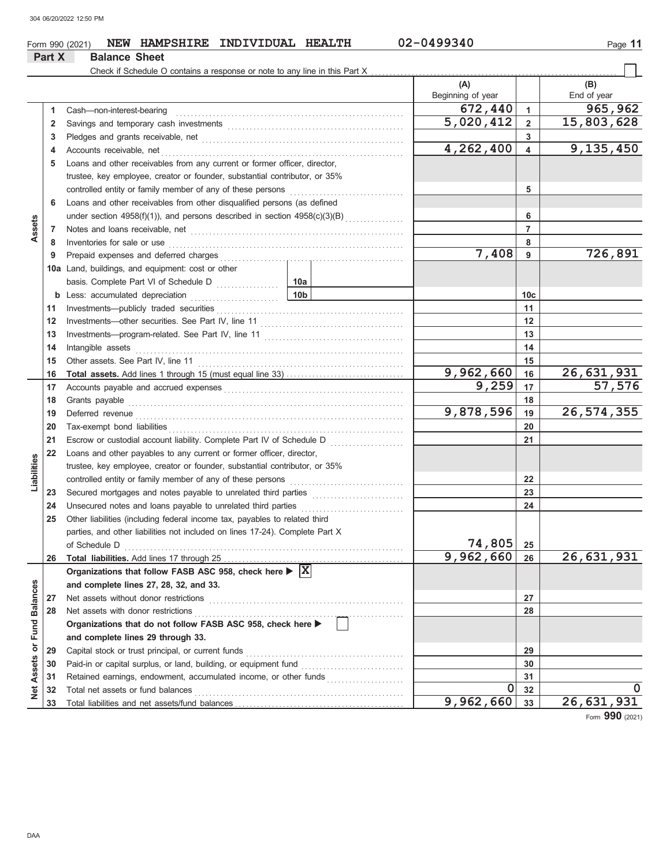#### Form 990 (2021) **NEW HAMPSHIRE INDIVIDUAL HEALTH** 02-0499340 Page 11 **Part X Balance Sheet** Check if Schedule O contains a response or note to any line in this Part X **(A) (B)** Beginning of year **End of year 672,440** 1 965,962<br>5,020,412 2 15,803,628 Cash—non-interest-bearing . . . . . . . . . . . . . . . . . . . . . . . . . . . . . . . . . . . . . . . . . . . . . . . . . . . . . . . . . . . . . . **1 1** Savings and temporary cash investments . . . . . . . . . . . . . . . . . . . . . . . . . . . . . . . . . . . . . . . . . . . . . . . . **5,020,412 15,803,628 2 2 3** Pledges and grants receivable, net . . . . . . . . . . . . . . . . . . . . . . . . . . . . . . . . . . . . . . . . . . . . . . . . . . . . . . . **3 4,262,400 9,135,450** Accounts receivable, net . . . . . . . . . . . . . . . . . . . . . . . . . . . . . . . . . . . . . . . . . . . . . . . . . . . . . . . . . . . . . . . . . . **4 4 5** Loans and other receivables from any current or former officer, director, trustee, key employee, creator or founder, substantial contributor, or 35% controlled entity or family member of any of these persons . . . . . . . . . . . . . . . . . . . . . . . . . . . . . . . **5 6** Loans and other receivables from other disqualified persons (as defined under section  $4958(f)(1)$ ), and persons described in section  $4958(c)(3)(B)$ **6 Assets 7 7** Notes and loans receivable, net . . . . . . . . . . . . . . . . . . . . . . . . . . . . . . . . . . . . . . . . . . . . . . . . . . . . . . . . . . **8 8** Inventories for sale or use . . . . . . . . . . . . . . . . . . . . . . . . . . . . . . . . . . . . . . . . . . . . . . . . . . . . . . . . . . . . . . . . **7,408 726,891 9** Prepaid expenses and deferred charges **9 10a** Land, buildings, and equipment: cost or other basis. Complete Part VI of Schedule D .................. **10a 10c b** Less: accumulated depreciation . . . . . . . . . . . . . . . . . . . . . . . . **10b 11 11** Investments—publicly traded securities . . . . . . . . . . . . . . . . . . . . . . . . . . . . . . . . . . . . . . . . . . . . . . . . . . . **12 12** Investments—other securities. See Part IV, line 11 . . . . . . . . . . . . . . . . . . . . . . . . . . . . . . . . . . . . . . . **13 13** Investments—program-related. See Part IV, line 11 . . . . . . . . . . . . . . . . . . . . . . . . . . . . . . . . . . . . . . **14 14** Intangible assets . . . . . . . . . . . . . . . . . . . . . . . . . . . . . . . . . . . . . . . . . . . . . . . . . . . . . . . . . . . . . . . . . . . . . . . . . **15 15** Other assets. See Part IV, line 11 . . . . . . . . . . . . . . . . . . . . . . . . . . . . . . . . . . . . . . . . . . . . . . . . . . . . . . . . **9,962,660 26,631,931 Total assets.** Add lines 1 through 15 (must equal line 33) . . . . . . . . . . . . . . . . . . . . . . . . . . . . . . . . **16 16** Accounts payable and accrued expenses . . . . . . . . . . . . . . . . . . . . . . . . . . . . . . . . . . . . . . . . . . . . . . . . . **9,259 57,576 17 17** Grants payable . . . . . . . . . . . . . . . . . . . . . . . . . . . . . . . . . . . . . . . . . . . . . . . . . . . . . . . . . . . . . . . . . . . . . . . . . . . **18 18 9,878,596 26,574,355 19** Deferred revenue . . . . . . . . . . . . . . . . . . . . . . . . . . . . . . . . . . . . . . . . . . . . . . . . . . . . . . . . . . . . . . . . . . . . . . . . . **19 20 20** Tax-exempt bond liabilities . . . . . . . . . . . . . . . . . . . . . . . . . . . . . . . . . . . . . . . . . . . . . . . . . . . . . . . . . . . . . . . . **21 21** Escrow or custodial account liability. Complete Part IV of Schedule D . . . . . . . . . . . . . . . . . . **22** Loans and other payables to any current or former officer, director, Liabilities **Liabilities** trustee, key employee, creator or founder, substantial contributor, or 35% controlled entity or family member of any of these persons **22** Secured mortgages and notes payable to unrelated third parties . . . . . . . . . . . . . . . . . . . . . . . . . **23 23** Unsecured notes and loans payable to unrelated third parties **24 24 25** Other liabilities (including federal income tax, payables to related third parties, and other liabilities not included on lines 17-24). Complete Part X **74,805** of Schedule D **25 9,962,660 26,631,931 26** Total liabilities. Add lines 17 through 25 . **26 Organizations that follow FASB ASC 958, check here X Net Assets or Fund Balances Net Assets or Fund Balances and complete lines 27, 28, 32, and 33. 27** Net assets without donor restrictions **27 28** Net assets with donor restrictions **28 Organizations that do not follow FASB ASC 958, check here and complete lines 29 through 33. 29** Capital stock or trust principal, or current funds **29 30** Paid-in or capital surplus, or land, building, or equipment fund **30** Retained earnings, endowment, accumulated income, or other funds ...................... **31 31 0** 32 **0 32** Total net assets or fund balances . . . . . . . . . . . . . . . . . . . . . . . . . . . . . . . . . . . . . . . . . . . . . . . . . . . . . . . . . **32 9,962,660 26,631,931 33** Total liabilities and net assets/fund balances . **33**

Form **990** (2021)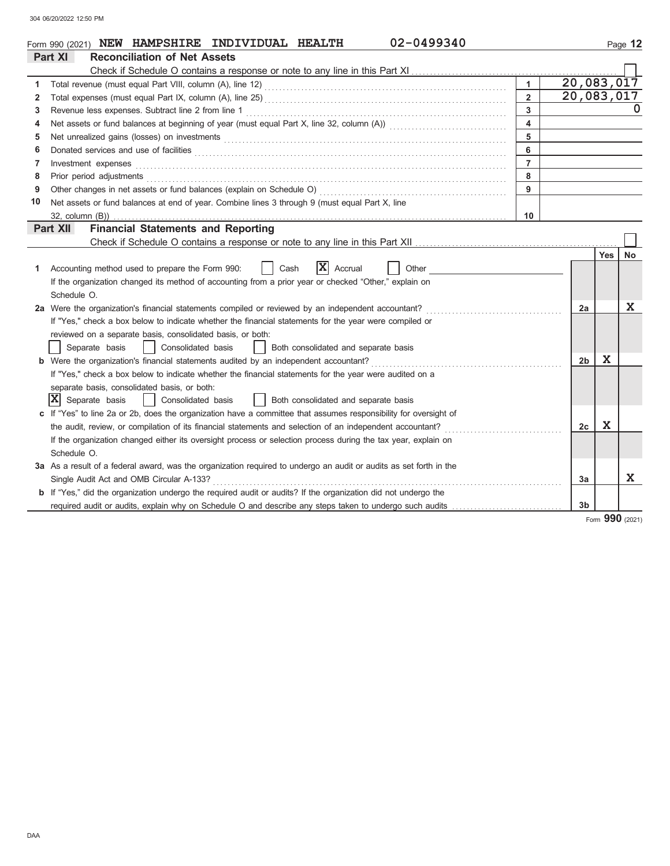| 02-0499340<br>Form 990 (2021) NEW HAMPSHIRE INDIVIDUAL HEALTH |                                                                                                                       |                |                |     |           |  |  |  |  |  |
|---------------------------------------------------------------|-----------------------------------------------------------------------------------------------------------------------|----------------|----------------|-----|-----------|--|--|--|--|--|
|                                                               | Part XI<br><b>Reconciliation of Net Assets</b>                                                                        |                |                |     |           |  |  |  |  |  |
|                                                               |                                                                                                                       |                |                |     |           |  |  |  |  |  |
| 1                                                             | 20,083,017                                                                                                            |                |                |     |           |  |  |  |  |  |
| 2                                                             | 20,083,017<br>$\overline{2}$                                                                                          |                |                |     |           |  |  |  |  |  |
| 3                                                             | $\overline{3}$                                                                                                        |                |                |     |           |  |  |  |  |  |
| 4                                                             | $\overline{\mathbf{4}}$                                                                                               |                |                |     |           |  |  |  |  |  |
| 5                                                             | 5                                                                                                                     |                |                |     |           |  |  |  |  |  |
| 6                                                             |                                                                                                                       | 6              |                |     |           |  |  |  |  |  |
| 7                                                             | Investment expenses                                                                                                   | $\overline{7}$ |                |     |           |  |  |  |  |  |
| 8                                                             | Prior period adjustments                                                                                              | 8              |                |     |           |  |  |  |  |  |
| 9                                                             | Other changes in net assets or fund balances (explain on Schedule O)                                                  | 9              |                |     |           |  |  |  |  |  |
| 10                                                            | Net assets or fund balances at end of year. Combine lines 3 through 9 (must equal Part X, line                        |                |                |     |           |  |  |  |  |  |
|                                                               | 32, column (B))                                                                                                       | 10             |                |     |           |  |  |  |  |  |
|                                                               | <b>Financial Statements and Reporting</b><br>Part XII                                                                 |                |                |     |           |  |  |  |  |  |
|                                                               |                                                                                                                       |                |                |     |           |  |  |  |  |  |
|                                                               |                                                                                                                       |                |                | Yes | <b>No</b> |  |  |  |  |  |
| 1                                                             | ΙX<br>Cash<br>Other<br>Accounting method used to prepare the Form 990:<br>Accrual                                     |                |                |     |           |  |  |  |  |  |
|                                                               | If the organization changed its method of accounting from a prior year or checked "Other," explain on                 |                |                |     |           |  |  |  |  |  |
|                                                               | Schedule O.                                                                                                           |                |                |     |           |  |  |  |  |  |
|                                                               | 2a Were the organization's financial statements compiled or reviewed by an independent accountant?                    |                | 2a             |     | X         |  |  |  |  |  |
|                                                               | If "Yes," check a box below to indicate whether the financial statements for the year were compiled or                |                |                |     |           |  |  |  |  |  |
|                                                               | reviewed on a separate basis, consolidated basis, or both:                                                            |                |                |     |           |  |  |  |  |  |
|                                                               | Separate basis<br>Consolidated basis<br>Both consolidated and separate basis                                          |                |                |     |           |  |  |  |  |  |
|                                                               | <b>b</b> Were the organization's financial statements audited by an independent accountant?                           |                | 2b             | X   |           |  |  |  |  |  |
|                                                               | If "Yes," check a box below to indicate whether the financial statements for the year were audited on a               |                |                |     |           |  |  |  |  |  |
|                                                               | separate basis, consolidated basis, or both:                                                                          |                |                |     |           |  |  |  |  |  |
|                                                               | x <br>Separate basis<br>Consolidated basis<br>  Both consolidated and separate basis                                  |                |                |     |           |  |  |  |  |  |
|                                                               | If "Yes" to line 2a or 2b, does the organization have a committee that assumes responsibility for oversight of        |                |                |     |           |  |  |  |  |  |
|                                                               | the audit, review, or compilation of its financial statements and selection of an independent accountant?             |                | 2c             | X   |           |  |  |  |  |  |
|                                                               | If the organization changed either its oversight process or selection process during the tax year, explain on         |                |                |     |           |  |  |  |  |  |
|                                                               | Schedule O.                                                                                                           |                |                |     |           |  |  |  |  |  |
|                                                               | 3a As a result of a federal award, was the organization required to undergo an audit or audits as set forth in the    |                |                |     | X         |  |  |  |  |  |
|                                                               | Single Audit Act and OMB Circular A-133?                                                                              |                | 3a             |     |           |  |  |  |  |  |
|                                                               | <b>b</b> If "Yes," did the organization undergo the required audit or audits? If the organization did not undergo the |                |                |     |           |  |  |  |  |  |
|                                                               | required audit or audits, explain why on Schedule O and describe any steps taken to undergo such audits               |                | 3 <sub>b</sub> |     |           |  |  |  |  |  |

### Form **990** (2021)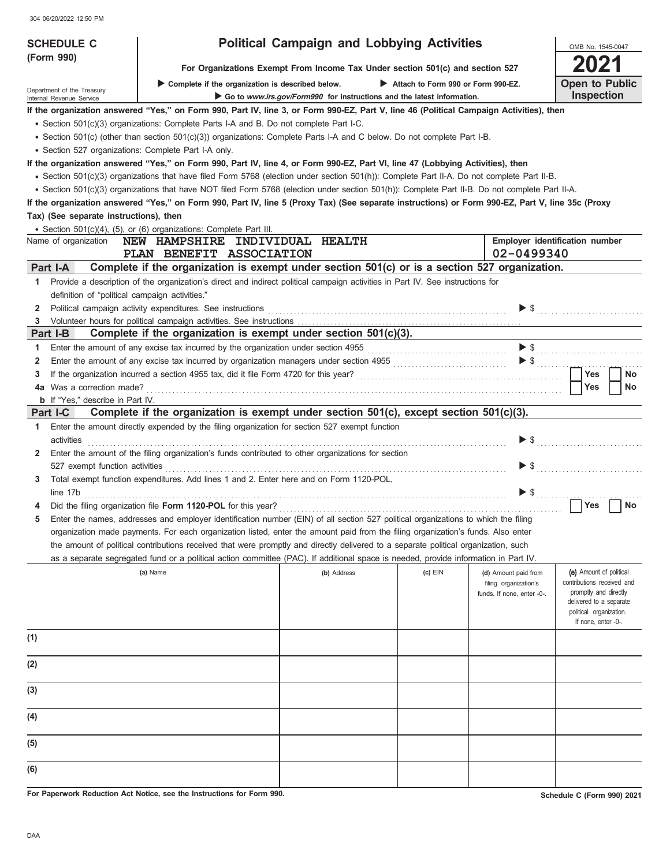304 06/20/2022 12:50 PM

| <b>SCHEDULE C</b>                                                                                                                                                                                                                                                             |                                                                                                                                                                                                                                                                            | <b>Political Campaign and Lobbying Activities</b>                             |                                    |                                               | OMB No. 1545-0047                                |  |  |  |  |  |  |
|-------------------------------------------------------------------------------------------------------------------------------------------------------------------------------------------------------------------------------------------------------------------------------|----------------------------------------------------------------------------------------------------------------------------------------------------------------------------------------------------------------------------------------------------------------------------|-------------------------------------------------------------------------------|------------------------------------|-----------------------------------------------|--------------------------------------------------|--|--|--|--|--|--|
| (Form 990)                                                                                                                                                                                                                                                                    |                                                                                                                                                                                                                                                                            | For Organizations Exempt From Income Tax Under section 501(c) and section 527 |                                    |                                               | 2021                                             |  |  |  |  |  |  |
|                                                                                                                                                                                                                                                                               | Complete if the organization is described below.                                                                                                                                                                                                                           |                                                                               | Attach to Form 990 or Form 990-EZ. |                                               | <b>Open to Public</b>                            |  |  |  |  |  |  |
| Department of the Treasury<br>Internal Revenue Service                                                                                                                                                                                                                        |                                                                                                                                                                                                                                                                            | Go to www.irs.gov/Form990 for instructions and the latest information.        |                                    |                                               | Inspection                                       |  |  |  |  |  |  |
|                                                                                                                                                                                                                                                                               | If the organization answered "Yes," on Form 990, Part IV, line 3, or Form 990-EZ, Part V, line 46 (Political Campaign Activities), then                                                                                                                                    |                                                                               |                                    |                                               |                                                  |  |  |  |  |  |  |
|                                                                                                                                                                                                                                                                               | • Section 501(c)(3) organizations: Complete Parts I-A and B. Do not complete Part I-C.                                                                                                                                                                                     |                                                                               |                                    |                                               |                                                  |  |  |  |  |  |  |
|                                                                                                                                                                                                                                                                               | • Section 501(c) (other than section 501(c)(3)) organizations: Complete Parts I-A and C below. Do not complete Part I-B.                                                                                                                                                   |                                                                               |                                    |                                               |                                                  |  |  |  |  |  |  |
| • Section 527 organizations: Complete Part I-A only.                                                                                                                                                                                                                          |                                                                                                                                                                                                                                                                            |                                                                               |                                    |                                               |                                                  |  |  |  |  |  |  |
| If the organization answered "Yes," on Form 990, Part IV, line 4, or Form 990-EZ, Part VI, line 47 (Lobbying Activities), then<br>· Section 501(c)(3) organizations that have filed Form 5768 (election under section 501(h)): Complete Part II-A. Do not complete Part II-B. |                                                                                                                                                                                                                                                                            |                                                                               |                                    |                                               |                                                  |  |  |  |  |  |  |
| • Section 501(c)(3) organizations that have NOT filed Form 5768 (election under section 501(h)): Complete Part II-B. Do not complete Part II-A.                                                                                                                               |                                                                                                                                                                                                                                                                            |                                                                               |                                    |                                               |                                                  |  |  |  |  |  |  |
| If the organization answered "Yes," on Form 990, Part IV, line 5 (Proxy Tax) (See separate instructions) or Form 990-EZ, Part V, line 35c (Proxy                                                                                                                              |                                                                                                                                                                                                                                                                            |                                                                               |                                    |                                               |                                                  |  |  |  |  |  |  |
| Tax) (See separate instructions), then                                                                                                                                                                                                                                        |                                                                                                                                                                                                                                                                            |                                                                               |                                    |                                               |                                                  |  |  |  |  |  |  |
| • Section 501(c)(4), (5), or (6) organizations: Complete Part III.                                                                                                                                                                                                            |                                                                                                                                                                                                                                                                            |                                                                               |                                    |                                               |                                                  |  |  |  |  |  |  |
| Name of organization                                                                                                                                                                                                                                                          | NEW HAMPSHIRE INDIVIDUAL HEALTH                                                                                                                                                                                                                                            |                                                                               |                                    |                                               | Employer identification number                   |  |  |  |  |  |  |
|                                                                                                                                                                                                                                                                               | PLAN BENEFIT ASSOCIATION                                                                                                                                                                                                                                                   |                                                                               |                                    | 02-0499340                                    |                                                  |  |  |  |  |  |  |
| Part I-A                                                                                                                                                                                                                                                                      | Complete if the organization is exempt under section 501(c) or is a section 527 organization.                                                                                                                                                                              |                                                                               |                                    |                                               |                                                  |  |  |  |  |  |  |
| 1                                                                                                                                                                                                                                                                             | Provide a description of the organization's direct and indirect political campaign activities in Part IV. See instructions for                                                                                                                                             |                                                                               |                                    |                                               |                                                  |  |  |  |  |  |  |
| definition of "political campaign activities."                                                                                                                                                                                                                                |                                                                                                                                                                                                                                                                            |                                                                               |                                    |                                               |                                                  |  |  |  |  |  |  |
| 2<br>3                                                                                                                                                                                                                                                                        | Political campaign activity expenditures. See instructions [11] productions and the control of the control of the control of the control of the control of the control of the control of the control of the control of the con                                             |                                                                               |                                    |                                               | $\triangleright$ \$                              |  |  |  |  |  |  |
| Part I-B                                                                                                                                                                                                                                                                      | Complete if the organization is exempt under section $501(c)(3)$ .                                                                                                                                                                                                         |                                                                               |                                    |                                               |                                                  |  |  |  |  |  |  |
| 1                                                                                                                                                                                                                                                                             | Enter the amount of any excise tax incurred by the organization under section 4955                                                                                                                                                                                         |                                                                               |                                    |                                               | $\blacktriangleright$ \$                         |  |  |  |  |  |  |
| 2                                                                                                                                                                                                                                                                             | Enter the amount of any excise tax incurred by organization managers under section 4955 [[[[[[[[[[[[[[[[[[[[[                                                                                                                                                              |                                                                               |                                    |                                               |                                                  |  |  |  |  |  |  |
| 3                                                                                                                                                                                                                                                                             |                                                                                                                                                                                                                                                                            |                                                                               |                                    |                                               | Yes<br>No                                        |  |  |  |  |  |  |
| 4a Was a correction made?                                                                                                                                                                                                                                                     |                                                                                                                                                                                                                                                                            |                                                                               |                                    |                                               | <b>Yes</b><br>No                                 |  |  |  |  |  |  |
| <b>b</b> If "Yes," describe in Part IV.                                                                                                                                                                                                                                       |                                                                                                                                                                                                                                                                            |                                                                               |                                    |                                               |                                                  |  |  |  |  |  |  |
| Part I-C                                                                                                                                                                                                                                                                      | Complete if the organization is exempt under section 501(c), except section 501(c)(3).                                                                                                                                                                                     |                                                                               |                                    |                                               |                                                  |  |  |  |  |  |  |
| 1<br>activities                                                                                                                                                                                                                                                               | Enter the amount directly expended by the filing organization for section 527 exempt function                                                                                                                                                                              |                                                                               |                                    | $\blacktriangleright$ \$                      |                                                  |  |  |  |  |  |  |
| 2                                                                                                                                                                                                                                                                             | Enter the amount of the filing organization's funds contributed to other organizations for section                                                                                                                                                                         |                                                                               |                                    |                                               |                                                  |  |  |  |  |  |  |
| 527 exempt function activities                                                                                                                                                                                                                                                |                                                                                                                                                                                                                                                                            |                                                                               |                                    |                                               | $\triangleright$ \$                              |  |  |  |  |  |  |
| 3                                                                                                                                                                                                                                                                             | Total exempt function expenditures. Add lines 1 and 2. Enter here and on Form 1120-POL,                                                                                                                                                                                    |                                                                               |                                    |                                               |                                                  |  |  |  |  |  |  |
| line 17b                                                                                                                                                                                                                                                                      |                                                                                                                                                                                                                                                                            |                                                                               |                                    | $\blacktriangleright$ $\mathsf{\$}$           |                                                  |  |  |  |  |  |  |
|                                                                                                                                                                                                                                                                               |                                                                                                                                                                                                                                                                            |                                                                               |                                    |                                               | <b>Yes</b><br>No                                 |  |  |  |  |  |  |
|                                                                                                                                                                                                                                                                               | Enter the names, addresses and employer identification number (EIN) of all section 527 political organizations to which the filing                                                                                                                                         |                                                                               |                                    |                                               |                                                  |  |  |  |  |  |  |
|                                                                                                                                                                                                                                                                               | organization made payments. For each organization listed, enter the amount paid from the filing organization's funds. Also enter                                                                                                                                           |                                                                               |                                    |                                               |                                                  |  |  |  |  |  |  |
|                                                                                                                                                                                                                                                                               | the amount of political contributions received that were promptly and directly delivered to a separate political organization, such<br>as a separate segregated fund or a political action committee (PAC). If additional space is needed, provide information in Part IV. |                                                                               |                                    |                                               |                                                  |  |  |  |  |  |  |
|                                                                                                                                                                                                                                                                               | (a) Name                                                                                                                                                                                                                                                                   | (b) Address                                                                   | $(c)$ EIN                          |                                               | (e) Amount of political                          |  |  |  |  |  |  |
|                                                                                                                                                                                                                                                                               |                                                                                                                                                                                                                                                                            |                                                                               |                                    | (d) Amount paid from<br>filing organization's | contributions received and                       |  |  |  |  |  |  |
|                                                                                                                                                                                                                                                                               |                                                                                                                                                                                                                                                                            |                                                                               |                                    | funds. If none, enter -0-.                    | promptly and directly<br>delivered to a separate |  |  |  |  |  |  |
|                                                                                                                                                                                                                                                                               |                                                                                                                                                                                                                                                                            |                                                                               |                                    |                                               | political organization.                          |  |  |  |  |  |  |
|                                                                                                                                                                                                                                                                               |                                                                                                                                                                                                                                                                            |                                                                               |                                    |                                               | If none, enter -0-.                              |  |  |  |  |  |  |
| (1)                                                                                                                                                                                                                                                                           |                                                                                                                                                                                                                                                                            |                                                                               |                                    |                                               |                                                  |  |  |  |  |  |  |
|                                                                                                                                                                                                                                                                               |                                                                                                                                                                                                                                                                            |                                                                               |                                    |                                               |                                                  |  |  |  |  |  |  |
| (2)                                                                                                                                                                                                                                                                           |                                                                                                                                                                                                                                                                            |                                                                               |                                    |                                               |                                                  |  |  |  |  |  |  |
|                                                                                                                                                                                                                                                                               |                                                                                                                                                                                                                                                                            |                                                                               |                                    |                                               |                                                  |  |  |  |  |  |  |
| (3)                                                                                                                                                                                                                                                                           |                                                                                                                                                                                                                                                                            |                                                                               |                                    |                                               |                                                  |  |  |  |  |  |  |
| (4)                                                                                                                                                                                                                                                                           |                                                                                                                                                                                                                                                                            |                                                                               |                                    |                                               |                                                  |  |  |  |  |  |  |
|                                                                                                                                                                                                                                                                               |                                                                                                                                                                                                                                                                            |                                                                               |                                    |                                               |                                                  |  |  |  |  |  |  |
| (5)                                                                                                                                                                                                                                                                           |                                                                                                                                                                                                                                                                            |                                                                               |                                    |                                               |                                                  |  |  |  |  |  |  |
|                                                                                                                                                                                                                                                                               |                                                                                                                                                                                                                                                                            |                                                                               |                                    |                                               |                                                  |  |  |  |  |  |  |
| (6)                                                                                                                                                                                                                                                                           |                                                                                                                                                                                                                                                                            |                                                                               |                                    |                                               |                                                  |  |  |  |  |  |  |

**For Paperwork Reduction Act Notice, see the Instructions for Form 990.**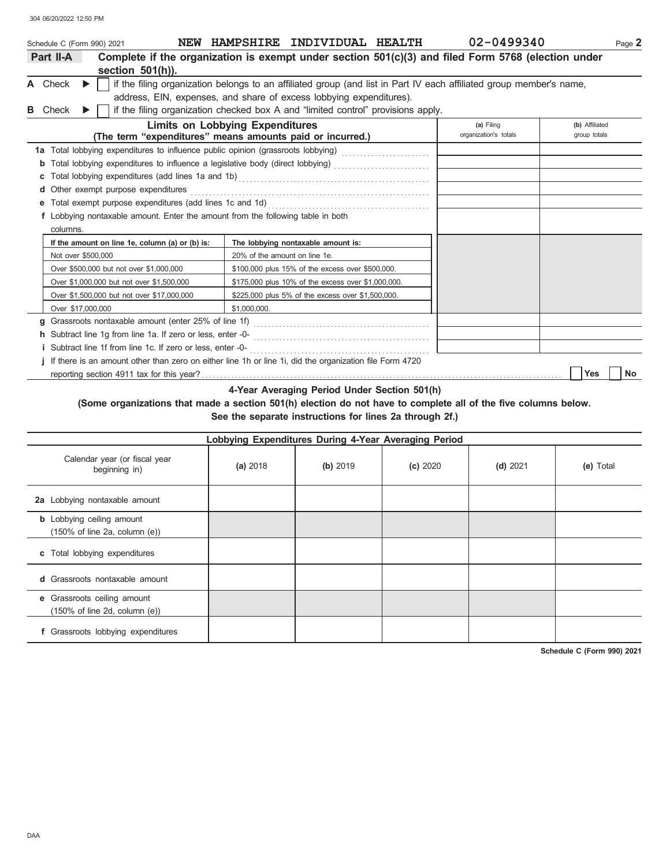304 06/20/2022 12:50 PM

|    | Schedule C (Form 990) 2021 |   |                                                                                                               |                                        | NEW HAMPSHIRE INDIVIDUAL HEALTH                    | 02-0499340                                                                                                          | Page 2         |
|----|----------------------------|---|---------------------------------------------------------------------------------------------------------------|----------------------------------------|----------------------------------------------------|---------------------------------------------------------------------------------------------------------------------|----------------|
|    | Part II-A                  |   | Complete if the organization is exempt under section $501(c)(3)$ and filed Form 5768 (election under          |                                        |                                                    |                                                                                                                     |                |
|    |                            |   | section 501(h)).                                                                                              |                                        |                                                    |                                                                                                                     |                |
|    | A Check                    | ▶ |                                                                                                               |                                        |                                                    | if the filing organization belongs to an affiliated group (and list in Part IV each affiliated group member's name, |                |
|    |                            |   | address, EIN, expenses, and share of excess lobbying expenditures).                                           |                                        |                                                    |                                                                                                                     |                |
| в. | Check                      | ▶ | if the filing organization checked box A and "limited control" provisions apply.                              |                                        |                                                    |                                                                                                                     |                |
|    |                            |   |                                                                                                               | <b>Limits on Lobbying Expenditures</b> |                                                    | (a) Filing                                                                                                          | (b) Affiliated |
|    |                            |   | (The term "expenditures" means amounts paid or incurred.)                                                     |                                        |                                                    | organization's totals                                                                                               | group totals   |
|    |                            |   | 1a Total lobbying expenditures to influence public opinion (grassroots lobbying) [[[[[[[[[[[[[[[[[[[[[[[[[[[[ |                                        |                                                    |                                                                                                                     |                |
|    |                            |   | Total lobbying expenditures to influence a legislative body (direct lobbying) [[[[[[[[[[[[[[[[[[[[[[[[[[[[[[[ |                                        |                                                    |                                                                                                                     |                |
|    |                            |   |                                                                                                               |                                        |                                                    |                                                                                                                     |                |
|    | d                          |   | Other exempt purpose expenditures                                                                             |                                        |                                                    |                                                                                                                     |                |
|    | е                          |   | Total exempt purpose expenditures (add lines 1c and 1d)                                                       |                                        |                                                    |                                                                                                                     |                |
|    |                            |   | f Lobbying nontaxable amount. Enter the amount from the following table in both                               |                                        |                                                    |                                                                                                                     |                |
|    | columns.                   |   |                                                                                                               |                                        |                                                    |                                                                                                                     |                |
|    |                            |   | If the amount on line 1e, column (a) or (b) is:                                                               |                                        | The lobbying nontaxable amount is:                 |                                                                                                                     |                |
|    | Not over \$500,000         |   |                                                                                                               | 20% of the amount on line 1e.          |                                                    |                                                                                                                     |                |
|    |                            |   | Over \$500,000 but not over \$1,000,000                                                                       |                                        | \$100,000 plus 15% of the excess over \$500,000.   |                                                                                                                     |                |
|    |                            |   | Over \$1,000,000 but not over \$1,500,000                                                                     |                                        | \$175,000 plus 10% of the excess over \$1,000,000. |                                                                                                                     |                |
|    |                            |   | Over \$1,500,000 but not over \$17,000,000                                                                    |                                        | \$225,000 plus 5% of the excess over \$1,500,000.  |                                                                                                                     |                |
|    | Over \$17,000,000          |   |                                                                                                               | \$1,000,000.                           |                                                    |                                                                                                                     |                |
|    | g                          |   |                                                                                                               |                                        |                                                    |                                                                                                                     |                |
|    |                            |   |                                                                                                               |                                        |                                                    |                                                                                                                     |                |
|    |                            |   |                                                                                                               |                                        |                                                    |                                                                                                                     |                |
|    |                            |   | If there is an amount other than zero on either line 1h or line 1i, did the organization file Form 4720       |                                        |                                                    |                                                                                                                     |                |
|    |                            |   |                                                                                                               |                                        |                                                    |                                                                                                                     | Yes<br>No      |

**4-Year Averaging Period Under Section 501(h)**

**(Some organizations that made a section 501(h) election do not have to complete all of the five columns below. See the separate instructions for lines 2a through 2f.)**

| Lobbying Expenditures During 4-Year Averaging Period                                   |          |          |          |            |           |  |  |  |  |  |
|----------------------------------------------------------------------------------------|----------|----------|----------|------------|-----------|--|--|--|--|--|
| Calendar year (or fiscal year<br>beginning in)                                         | (a) 2018 | (b) 2019 | (c) 2020 | $(d)$ 2021 | (e) Total |  |  |  |  |  |
| 2a Lobbying nontaxable amount                                                          |          |          |          |            |           |  |  |  |  |  |
| <b>b</b> Lobbying ceiling amount<br>$(150\% \text{ of line } 2a, \text{ column } (e))$ |          |          |          |            |           |  |  |  |  |  |
| c Total lobbying expenditures                                                          |          |          |          |            |           |  |  |  |  |  |
| <b>d</b> Grassroots nontaxable amount                                                  |          |          |          |            |           |  |  |  |  |  |
| e Grassroots ceiling amount<br>$(150\% \text{ of line 2d, column (e))}$                |          |          |          |            |           |  |  |  |  |  |
| f Grassroots lobbying expenditures                                                     |          |          |          |            |           |  |  |  |  |  |

**Schedule C (Form 990) 2021**

DAA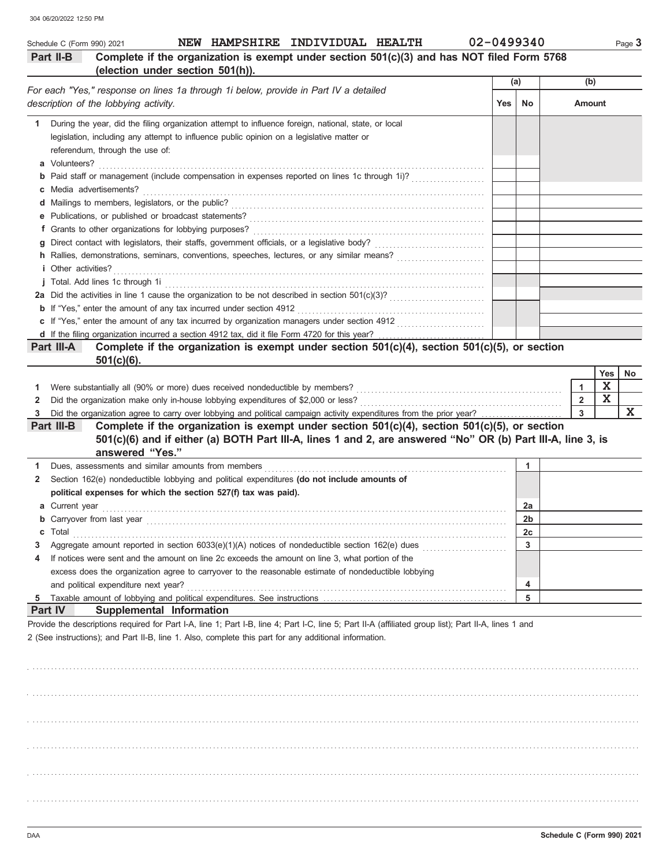| NEW HAMPSHIRE INDIVIDUAL HEALTH<br>Schedule C (Form 990) 2021                                                                                                                                                                                                                                                                                                                 | 02-0499340 |                |                |             | Page 3 |
|-------------------------------------------------------------------------------------------------------------------------------------------------------------------------------------------------------------------------------------------------------------------------------------------------------------------------------------------------------------------------------|------------|----------------|----------------|-------------|--------|
| Complete if the organization is exempt under section 501(c)(3) and has NOT filed Form 5768<br>Part II-B<br>(election under section 501(h)).                                                                                                                                                                                                                                   |            |                |                |             |        |
|                                                                                                                                                                                                                                                                                                                                                                               | (a)        |                | (b)            |             |        |
| For each "Yes," response on lines 1a through 1i below, provide in Part IV a detailed<br>description of the lobbying activity.                                                                                                                                                                                                                                                 | <b>Yes</b> | No             | <b>Amount</b>  |             |        |
| During the year, did the filing organization attempt to influence foreign, national, state, or local<br>1<br>legislation, including any attempt to influence public opinion on a legislative matter or<br>referendum, through the use of:<br><b>b</b> Paid staff or management (include compensation in expenses reported on lines 1c through 1i)?<br>c Media advertisements? |            |                |                |             |        |
|                                                                                                                                                                                                                                                                                                                                                                               |            |                |                |             |        |
| c If "Yes," enter the amount of any tax incurred by organization managers under section 4912                                                                                                                                                                                                                                                                                  |            |                |                |             |        |
| d If the filing organization incurred a section 4912 tax, did it file Form 4720 for this year?                                                                                                                                                                                                                                                                                |            |                |                |             |        |
| Complete if the organization is exempt under section 501(c)(4), section 501(c)(5), or section<br>Part III-A                                                                                                                                                                                                                                                                   |            |                |                |             |        |
| $501(c)(6)$ .                                                                                                                                                                                                                                                                                                                                                                 |            |                |                |             |        |
|                                                                                                                                                                                                                                                                                                                                                                               |            |                |                | Yes         | No     |
| Were substantially all (90% or more) dues received nondeductible by members?<br>1                                                                                                                                                                                                                                                                                             |            |                | 1              | Χ           |        |
| Did the organization make only in-house lobbying expenditures of \$2,000 or less?<br>2                                                                                                                                                                                                                                                                                        |            |                | $\overline{2}$ | $\mathbf X$ |        |
| Did the organization agree to carry over lobbying and political campaign activity expenditures from the prior year?<br>3                                                                                                                                                                                                                                                      |            |                | 3              |             | X      |
| Complete if the organization is exempt under section 501(c)(4), section 501(c)(5), or section<br>Part III-B<br>501(c)(6) and if either (a) BOTH Part III-A, lines 1 and 2, are answered "No" OR (b) Part III-A, line 3, is                                                                                                                                                    |            |                |                |             |        |
| answered "Yes."                                                                                                                                                                                                                                                                                                                                                               |            |                |                |             |        |
| 1                                                                                                                                                                                                                                                                                                                                                                             |            | 1              |                |             |        |
| Section 162(e) nondeductible lobbying and political expenditures (do not include amounts of<br>2                                                                                                                                                                                                                                                                              |            |                |                |             |        |
| political expenses for which the section 527(f) tax was paid).                                                                                                                                                                                                                                                                                                                |            |                |                |             |        |
| a Current year                                                                                                                                                                                                                                                                                                                                                                |            | 2a             |                |             |        |
| <b>b</b> Carryover from last year                                                                                                                                                                                                                                                                                                                                             |            | 2b             |                |             |        |
| Total<br>c                                                                                                                                                                                                                                                                                                                                                                    |            | 2 <sub>c</sub> |                |             |        |
| 3                                                                                                                                                                                                                                                                                                                                                                             |            | 3              |                |             |        |
| If notices were sent and the amount on line 2c exceeds the amount on line 3, what portion of the<br>4                                                                                                                                                                                                                                                                         |            |                |                |             |        |
| excess does the organization agree to carryover to the reasonable estimate of nondeductible lobbying                                                                                                                                                                                                                                                                          |            |                |                |             |        |
|                                                                                                                                                                                                                                                                                                                                                                               |            | 4              |                |             |        |
| and political expenditure next year?                                                                                                                                                                                                                                                                                                                                          |            |                |                |             |        |
| 5                                                                                                                                                                                                                                                                                                                                                                             |            | 5              |                |             |        |
|                                                                                                                                                                                                                                                                                                                                                                               |            |                |                |             |        |
| Part IV<br>Supplemental Information                                                                                                                                                                                                                                                                                                                                           |            |                |                |             |        |
| Provide the descriptions required for Part I-A, line 1; Part I-B, line 4; Part I-C, line 5; Part II-A (affiliated group list); Part II-A, lines 1 and                                                                                                                                                                                                                         |            |                |                |             |        |
| 2 (See instructions); and Part II-B, line 1. Also, complete this part for any additional information.                                                                                                                                                                                                                                                                         |            |                |                |             |        |
|                                                                                                                                                                                                                                                                                                                                                                               |            |                |                |             |        |
|                                                                                                                                                                                                                                                                                                                                                                               |            |                |                |             |        |
|                                                                                                                                                                                                                                                                                                                                                                               |            |                |                |             |        |
|                                                                                                                                                                                                                                                                                                                                                                               |            |                |                |             |        |
|                                                                                                                                                                                                                                                                                                                                                                               |            |                |                |             |        |
|                                                                                                                                                                                                                                                                                                                                                                               |            |                |                |             |        |
|                                                                                                                                                                                                                                                                                                                                                                               |            |                |                |             |        |

. . . . . . . . . . . . . . . . . . . . . . . . . . . . . . . . . . . . . . . . . . . . . . . . . . . . . . . . . . . . . . . . . . . . . . . . . . . . . . . . . . . . . . . . . . . . . . . . . . . . . . . . . . . . . . . . . . . . . . . . . . . . . . . . . . . . . . . . . . . . . . . . . . . . . . . . . . . . . . . . . . . . . .

. . . . . . . . . . . . . . . . . . . . . . . . . . . . . . . . . . . . . . . . . . . . . . . . . . . . . . . . . . . . . . . . . . . . . . . . . . . . . . . . . . . . . . . . . . . . . . . . . . . . . . . . . . . . . . . . . . . . . . . . . . . . . . . . . . . . . . . . . . . . . . . . . . . . . . . . . . . . . . . . . . . . . .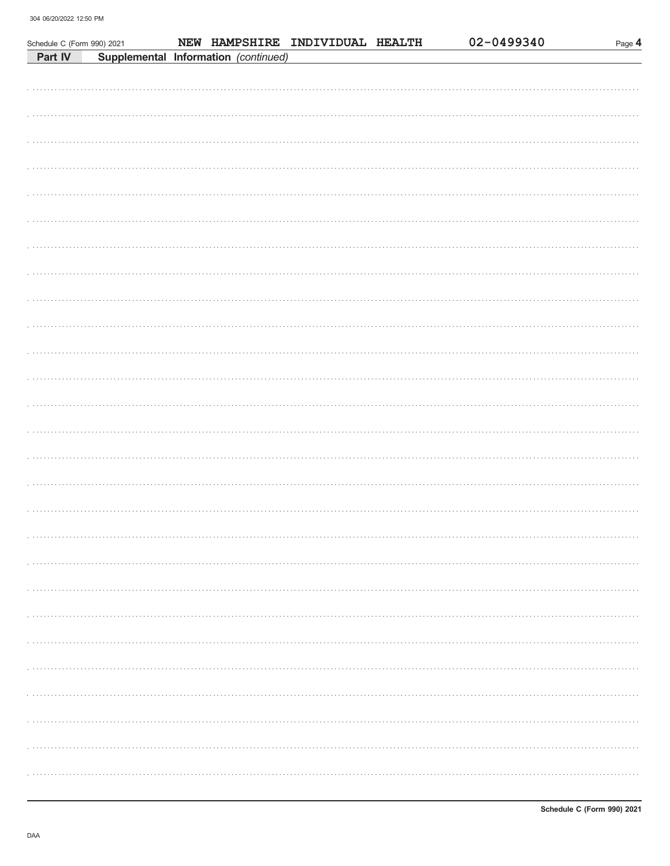| Schedule C (Form 990) 2021 |  |                                      | NEW HAMPSHIRE INDIVIDUAL HEALTH | 02-0499340 | Page 4 |
|----------------------------|--|--------------------------------------|---------------------------------|------------|--------|
| Part IV                    |  | Supplemental Information (continued) |                                 |            |        |
|                            |  |                                      |                                 |            |        |
|                            |  |                                      |                                 |            |        |
|                            |  |                                      |                                 |            |        |
|                            |  |                                      |                                 |            |        |
|                            |  |                                      |                                 |            |        |
|                            |  |                                      |                                 |            |        |
|                            |  |                                      |                                 |            |        |
|                            |  |                                      |                                 |            |        |
|                            |  |                                      |                                 |            |        |
|                            |  |                                      |                                 |            |        |
|                            |  |                                      |                                 |            |        |
|                            |  |                                      |                                 |            |        |
|                            |  |                                      |                                 |            |        |
|                            |  |                                      |                                 |            |        |
|                            |  |                                      |                                 |            |        |
|                            |  |                                      |                                 |            |        |
|                            |  |                                      |                                 |            |        |
|                            |  |                                      |                                 |            |        |
|                            |  |                                      |                                 |            |        |
|                            |  |                                      |                                 |            |        |
|                            |  |                                      |                                 |            |        |
|                            |  |                                      |                                 |            |        |
|                            |  |                                      |                                 |            |        |
|                            |  |                                      |                                 |            |        |
|                            |  |                                      |                                 |            |        |
|                            |  |                                      |                                 |            |        |
|                            |  |                                      |                                 |            |        |
|                            |  |                                      |                                 |            |        |
|                            |  |                                      |                                 |            |        |
|                            |  |                                      |                                 |            |        |
|                            |  |                                      |                                 |            |        |
|                            |  |                                      |                                 |            |        |
|                            |  |                                      |                                 |            |        |
|                            |  |                                      |                                 |            |        |
|                            |  |                                      |                                 |            |        |
|                            |  |                                      |                                 |            |        |
|                            |  |                                      |                                 |            |        |
|                            |  |                                      |                                 |            |        |
|                            |  |                                      |                                 |            |        |
|                            |  |                                      |                                 |            |        |
|                            |  |                                      |                                 |            |        |
|                            |  |                                      |                                 |            |        |
|                            |  |                                      |                                 |            |        |
|                            |  |                                      |                                 |            |        |
|                            |  |                                      |                                 |            |        |
|                            |  |                                      |                                 |            |        |
|                            |  |                                      |                                 |            |        |
|                            |  |                                      |                                 |            |        |
|                            |  |                                      |                                 |            |        |
|                            |  |                                      |                                 |            |        |
|                            |  |                                      |                                 |            |        |
|                            |  |                                      |                                 |            |        |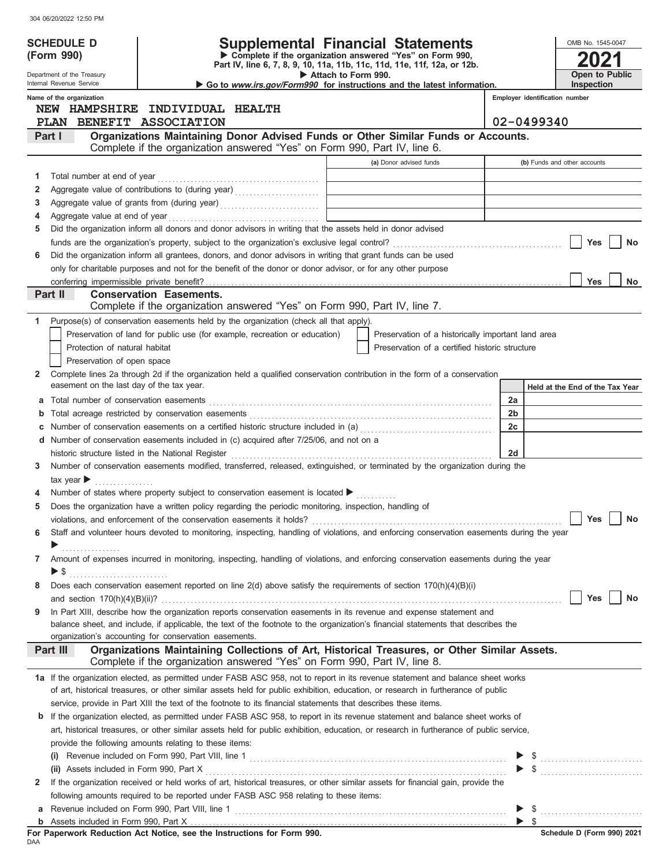| <b>Supplemental Financial Statements</b><br><b>SCHEDULE D</b><br>OMB No. 1545-0047<br>Complete if the organization answered "Yes" on Form 990,<br>(Form 990)<br>Part IV, line 6, 7, 8, 9, 10, 11a, 11b, 11c, 11d, 11e, 11f, 12a, or 12b.<br>Open to Public<br>Attach to Form 990.<br>Department of the Treasury<br>Internal Revenue Service<br>Inspection<br>Go to www.irs.gov/Form990 for instructions and the latest information.<br>Name of the organization<br>Employer identification number<br>NEW HAMPSHIRE INDIVIDUAL HEALTH<br>PLAN BENEFIT ASSOCIATION<br>02-0499340<br>Organizations Maintaining Donor Advised Funds or Other Similar Funds or Accounts.<br>Part I<br>Complete if the organization answered "Yes" on Form 990, Part IV, line 6.<br>(a) Donor advised funds<br>(b) Funds and other accounts<br>Total number at end of year<br>1<br>Aggregate value of contributions to (during year) [10] Manuscription and the matter of contributions to (during year) [10] Manuscription and the matter of the matter of the matter of the matter of the matter of the matter<br>2<br>3<br>Aggregate value at end of year<br>4<br>Did the organization inform all donors and donor advisors in writing that the assets held in donor advised<br>5<br>Yes<br>No<br>Did the organization inform all grantees, donors, and donor advisors in writing that grant funds can be used<br>6<br>only for charitable purposes and not for the benefit of the donor or donor advisor, or for any other purpose<br><b>Yes</b><br>No<br>Part II<br><b>Conservation Easements.</b><br>Complete if the organization answered "Yes" on Form 990, Part IV, line 7.<br>Purpose(s) of conservation easements held by the organization (check all that apply).<br>1<br>Preservation of land for public use (for example, recreation or education)<br>Preservation of a historically important land area<br>Protection of natural habitat<br>Preservation of a certified historic structure<br>Preservation of open space<br>Complete lines 2a through 2d if the organization held a qualified conservation contribution in the form of a conservation<br>2<br>easement on the last day of the tax year.<br>Held at the End of the Tax Year<br>2a<br>а<br>2 <sub>b</sub><br>b<br>Number of conservation easements on a certified historic structure included in (a) [[[[[[[[[[[[[[[[[[[[[[[[[]]]]]]]<br>2c<br>d Number of conservation easements included in (c) acquired after 7/25/06, and not on a<br>2d<br>historic structure listed in the National Register<br>Number of conservation easements modified, transferred, released, extinguished, or terminated by the organization during the<br>3<br>tax year $\blacktriangleright$<br>Number of states where property subject to conservation easement is located ▶<br>Does the organization have a written policy regarding the periodic monitoring, inspection, handling of<br>5<br>Yes<br>No<br>Staff and volunteer hours devoted to monitoring, inspecting, handling of violations, and enforcing conservation easements during the year<br>6<br>.<br>Amount of expenses incurred in monitoring, inspecting, handling of violations, and enforcing conservation easements during the year<br>7<br>Does each conservation easement reported on line 2(d) above satisfy the requirements of section 170(h)(4)(B)(i)<br>8<br>Yes<br>No<br>In Part XIII, describe how the organization reports conservation easements in its revenue and expense statement and<br>9<br>balance sheet, and include, if applicable, the text of the footnote to the organization's financial statements that describes the<br>organization's accounting for conservation easements.<br>Organizations Maintaining Collections of Art, Historical Treasures, or Other Similar Assets.<br>Part III<br>Complete if the organization answered "Yes" on Form 990, Part IV, line 8.<br>1a If the organization elected, as permitted under FASB ASC 958, not to report in its revenue statement and balance sheet works<br>of art, historical treasures, or other similar assets held for public exhibition, education, or research in furtherance of public<br>service, provide in Part XIII the text of the footnote to its financial statements that describes these items.<br>If the organization elected, as permitted under FASB ASC 958, to report in its revenue statement and balance sheet works of<br>b<br>art, historical treasures, or other similar assets held for public exhibition, education, or research in furtherance of public service,<br>provide the following amounts relating to these items:<br>If the organization received or held works of art, historical treasures, or other similar assets for financial gain, provide the<br>2<br>following amounts required to be reported under FASB ASC 958 relating to these items:<br>а<br>b<br>For Paperwork Reduction Act Notice, see the Instructions for Form 990.<br>DAA | JU4 UU/ZU/ZUZZ TZ.JU FIVI |  |  |  |
|--------------------------------------------------------------------------------------------------------------------------------------------------------------------------------------------------------------------------------------------------------------------------------------------------------------------------------------------------------------------------------------------------------------------------------------------------------------------------------------------------------------------------------------------------------------------------------------------------------------------------------------------------------------------------------------------------------------------------------------------------------------------------------------------------------------------------------------------------------------------------------------------------------------------------------------------------------------------------------------------------------------------------------------------------------------------------------------------------------------------------------------------------------------------------------------------------------------------------------------------------------------------------------------------------------------------------------------------------------------------------------------------------------------------------------------------------------------------------------------------------------------------------------------------------------------------------------------------------------------------------------------------------------------------------------------------------------------------------------------------------------------------------------------------------------------------------------------------------------------------------------------------------------------------------------------------------------------------------------------------------------------------------------------------------------------------------------------------------------------------------------------------------------------------------------------------------------------------------------------------------------------------------------------------------------------------------------------------------------------------------------------------------------------------------------------------------------------------------------------------------------------------------------------------------------------------------------------------------------------------------------------------------------------------------------------------------------------------------------------------------------------------------------------------------------------------------------------------------------------------------------------------------------------------------------------------------------------------------------------------------------------------------------------------------------------------------------------------------------------------------------------------------------------------------------------------------------------------------------------------------------------------------------------------------------------------------------------------------------------------------------------------------------------------------------------------------------------------------------------------------------------------------------------------------------------------------------------------------------------------------------------------------------------------------------------------------------------------------------------------------------------------------------------------------------------------------------------------------------------------------------------------------------------------------------------------------------------------------------------------------------------------------------------------------------------------------------------------------------------------------------------------------------------------------------------------------------------------------------------------------------------------------------------------------------------------------------------------------------------------------------------------------------------------------------------------------------------------------------------------------------------------------------------------------------------------------------------------------------------------------------------------------------------------------------------------------------------------------------------------------------------------------------------------------------------------------------------------------------------------------------------------------------------------------------------------------------------------------|---------------------------|--|--|--|
|                                                                                                                                                                                                                                                                                                                                                                                                                                                                                                                                                                                                                                                                                                                                                                                                                                                                                                                                                                                                                                                                                                                                                                                                                                                                                                                                                                                                                                                                                                                                                                                                                                                                                                                                                                                                                                                                                                                                                                                                                                                                                                                                                                                                                                                                                                                                                                                                                                                                                                                                                                                                                                                                                                                                                                                                                                                                                                                                                                                                                                                                                                                                                                                                                                                                                                                                                                                                                                                                                                                                                                                                                                                                                                                                                                                                                                                                                                                                                                                                                                                                                                                                                                                                                                                                                                                                                                                                                                                                                                                                                                                                                                                                                                                                                                                                                                                                                                                                                                          |                           |  |  |  |
|                                                                                                                                                                                                                                                                                                                                                                                                                                                                                                                                                                                                                                                                                                                                                                                                                                                                                                                                                                                                                                                                                                                                                                                                                                                                                                                                                                                                                                                                                                                                                                                                                                                                                                                                                                                                                                                                                                                                                                                                                                                                                                                                                                                                                                                                                                                                                                                                                                                                                                                                                                                                                                                                                                                                                                                                                                                                                                                                                                                                                                                                                                                                                                                                                                                                                                                                                                                                                                                                                                                                                                                                                                                                                                                                                                                                                                                                                                                                                                                                                                                                                                                                                                                                                                                                                                                                                                                                                                                                                                                                                                                                                                                                                                                                                                                                                                                                                                                                                                          |                           |  |  |  |
|                                                                                                                                                                                                                                                                                                                                                                                                                                                                                                                                                                                                                                                                                                                                                                                                                                                                                                                                                                                                                                                                                                                                                                                                                                                                                                                                                                                                                                                                                                                                                                                                                                                                                                                                                                                                                                                                                                                                                                                                                                                                                                                                                                                                                                                                                                                                                                                                                                                                                                                                                                                                                                                                                                                                                                                                                                                                                                                                                                                                                                                                                                                                                                                                                                                                                                                                                                                                                                                                                                                                                                                                                                                                                                                                                                                                                                                                                                                                                                                                                                                                                                                                                                                                                                                                                                                                                                                                                                                                                                                                                                                                                                                                                                                                                                                                                                                                                                                                                                          |                           |  |  |  |
|                                                                                                                                                                                                                                                                                                                                                                                                                                                                                                                                                                                                                                                                                                                                                                                                                                                                                                                                                                                                                                                                                                                                                                                                                                                                                                                                                                                                                                                                                                                                                                                                                                                                                                                                                                                                                                                                                                                                                                                                                                                                                                                                                                                                                                                                                                                                                                                                                                                                                                                                                                                                                                                                                                                                                                                                                                                                                                                                                                                                                                                                                                                                                                                                                                                                                                                                                                                                                                                                                                                                                                                                                                                                                                                                                                                                                                                                                                                                                                                                                                                                                                                                                                                                                                                                                                                                                                                                                                                                                                                                                                                                                                                                                                                                                                                                                                                                                                                                                                          |                           |  |  |  |
|                                                                                                                                                                                                                                                                                                                                                                                                                                                                                                                                                                                                                                                                                                                                                                                                                                                                                                                                                                                                                                                                                                                                                                                                                                                                                                                                                                                                                                                                                                                                                                                                                                                                                                                                                                                                                                                                                                                                                                                                                                                                                                                                                                                                                                                                                                                                                                                                                                                                                                                                                                                                                                                                                                                                                                                                                                                                                                                                                                                                                                                                                                                                                                                                                                                                                                                                                                                                                                                                                                                                                                                                                                                                                                                                                                                                                                                                                                                                                                                                                                                                                                                                                                                                                                                                                                                                                                                                                                                                                                                                                                                                                                                                                                                                                                                                                                                                                                                                                                          |                           |  |  |  |
|                                                                                                                                                                                                                                                                                                                                                                                                                                                                                                                                                                                                                                                                                                                                                                                                                                                                                                                                                                                                                                                                                                                                                                                                                                                                                                                                                                                                                                                                                                                                                                                                                                                                                                                                                                                                                                                                                                                                                                                                                                                                                                                                                                                                                                                                                                                                                                                                                                                                                                                                                                                                                                                                                                                                                                                                                                                                                                                                                                                                                                                                                                                                                                                                                                                                                                                                                                                                                                                                                                                                                                                                                                                                                                                                                                                                                                                                                                                                                                                                                                                                                                                                                                                                                                                                                                                                                                                                                                                                                                                                                                                                                                                                                                                                                                                                                                                                                                                                                                          |                           |  |  |  |
|                                                                                                                                                                                                                                                                                                                                                                                                                                                                                                                                                                                                                                                                                                                                                                                                                                                                                                                                                                                                                                                                                                                                                                                                                                                                                                                                                                                                                                                                                                                                                                                                                                                                                                                                                                                                                                                                                                                                                                                                                                                                                                                                                                                                                                                                                                                                                                                                                                                                                                                                                                                                                                                                                                                                                                                                                                                                                                                                                                                                                                                                                                                                                                                                                                                                                                                                                                                                                                                                                                                                                                                                                                                                                                                                                                                                                                                                                                                                                                                                                                                                                                                                                                                                                                                                                                                                                                                                                                                                                                                                                                                                                                                                                                                                                                                                                                                                                                                                                                          |                           |  |  |  |
|                                                                                                                                                                                                                                                                                                                                                                                                                                                                                                                                                                                                                                                                                                                                                                                                                                                                                                                                                                                                                                                                                                                                                                                                                                                                                                                                                                                                                                                                                                                                                                                                                                                                                                                                                                                                                                                                                                                                                                                                                                                                                                                                                                                                                                                                                                                                                                                                                                                                                                                                                                                                                                                                                                                                                                                                                                                                                                                                                                                                                                                                                                                                                                                                                                                                                                                                                                                                                                                                                                                                                                                                                                                                                                                                                                                                                                                                                                                                                                                                                                                                                                                                                                                                                                                                                                                                                                                                                                                                                                                                                                                                                                                                                                                                                                                                                                                                                                                                                                          |                           |  |  |  |
|                                                                                                                                                                                                                                                                                                                                                                                                                                                                                                                                                                                                                                                                                                                                                                                                                                                                                                                                                                                                                                                                                                                                                                                                                                                                                                                                                                                                                                                                                                                                                                                                                                                                                                                                                                                                                                                                                                                                                                                                                                                                                                                                                                                                                                                                                                                                                                                                                                                                                                                                                                                                                                                                                                                                                                                                                                                                                                                                                                                                                                                                                                                                                                                                                                                                                                                                                                                                                                                                                                                                                                                                                                                                                                                                                                                                                                                                                                                                                                                                                                                                                                                                                                                                                                                                                                                                                                                                                                                                                                                                                                                                                                                                                                                                                                                                                                                                                                                                                                          |                           |  |  |  |
|                                                                                                                                                                                                                                                                                                                                                                                                                                                                                                                                                                                                                                                                                                                                                                                                                                                                                                                                                                                                                                                                                                                                                                                                                                                                                                                                                                                                                                                                                                                                                                                                                                                                                                                                                                                                                                                                                                                                                                                                                                                                                                                                                                                                                                                                                                                                                                                                                                                                                                                                                                                                                                                                                                                                                                                                                                                                                                                                                                                                                                                                                                                                                                                                                                                                                                                                                                                                                                                                                                                                                                                                                                                                                                                                                                                                                                                                                                                                                                                                                                                                                                                                                                                                                                                                                                                                                                                                                                                                                                                                                                                                                                                                                                                                                                                                                                                                                                                                                                          |                           |  |  |  |
|                                                                                                                                                                                                                                                                                                                                                                                                                                                                                                                                                                                                                                                                                                                                                                                                                                                                                                                                                                                                                                                                                                                                                                                                                                                                                                                                                                                                                                                                                                                                                                                                                                                                                                                                                                                                                                                                                                                                                                                                                                                                                                                                                                                                                                                                                                                                                                                                                                                                                                                                                                                                                                                                                                                                                                                                                                                                                                                                                                                                                                                                                                                                                                                                                                                                                                                                                                                                                                                                                                                                                                                                                                                                                                                                                                                                                                                                                                                                                                                                                                                                                                                                                                                                                                                                                                                                                                                                                                                                                                                                                                                                                                                                                                                                                                                                                                                                                                                                                                          |                           |  |  |  |
|                                                                                                                                                                                                                                                                                                                                                                                                                                                                                                                                                                                                                                                                                                                                                                                                                                                                                                                                                                                                                                                                                                                                                                                                                                                                                                                                                                                                                                                                                                                                                                                                                                                                                                                                                                                                                                                                                                                                                                                                                                                                                                                                                                                                                                                                                                                                                                                                                                                                                                                                                                                                                                                                                                                                                                                                                                                                                                                                                                                                                                                                                                                                                                                                                                                                                                                                                                                                                                                                                                                                                                                                                                                                                                                                                                                                                                                                                                                                                                                                                                                                                                                                                                                                                                                                                                                                                                                                                                                                                                                                                                                                                                                                                                                                                                                                                                                                                                                                                                          |                           |  |  |  |
|                                                                                                                                                                                                                                                                                                                                                                                                                                                                                                                                                                                                                                                                                                                                                                                                                                                                                                                                                                                                                                                                                                                                                                                                                                                                                                                                                                                                                                                                                                                                                                                                                                                                                                                                                                                                                                                                                                                                                                                                                                                                                                                                                                                                                                                                                                                                                                                                                                                                                                                                                                                                                                                                                                                                                                                                                                                                                                                                                                                                                                                                                                                                                                                                                                                                                                                                                                                                                                                                                                                                                                                                                                                                                                                                                                                                                                                                                                                                                                                                                                                                                                                                                                                                                                                                                                                                                                                                                                                                                                                                                                                                                                                                                                                                                                                                                                                                                                                                                                          |                           |  |  |  |
|                                                                                                                                                                                                                                                                                                                                                                                                                                                                                                                                                                                                                                                                                                                                                                                                                                                                                                                                                                                                                                                                                                                                                                                                                                                                                                                                                                                                                                                                                                                                                                                                                                                                                                                                                                                                                                                                                                                                                                                                                                                                                                                                                                                                                                                                                                                                                                                                                                                                                                                                                                                                                                                                                                                                                                                                                                                                                                                                                                                                                                                                                                                                                                                                                                                                                                                                                                                                                                                                                                                                                                                                                                                                                                                                                                                                                                                                                                                                                                                                                                                                                                                                                                                                                                                                                                                                                                                                                                                                                                                                                                                                                                                                                                                                                                                                                                                                                                                                                                          |                           |  |  |  |
|                                                                                                                                                                                                                                                                                                                                                                                                                                                                                                                                                                                                                                                                                                                                                                                                                                                                                                                                                                                                                                                                                                                                                                                                                                                                                                                                                                                                                                                                                                                                                                                                                                                                                                                                                                                                                                                                                                                                                                                                                                                                                                                                                                                                                                                                                                                                                                                                                                                                                                                                                                                                                                                                                                                                                                                                                                                                                                                                                                                                                                                                                                                                                                                                                                                                                                                                                                                                                                                                                                                                                                                                                                                                                                                                                                                                                                                                                                                                                                                                                                                                                                                                                                                                                                                                                                                                                                                                                                                                                                                                                                                                                                                                                                                                                                                                                                                                                                                                                                          |                           |  |  |  |
|                                                                                                                                                                                                                                                                                                                                                                                                                                                                                                                                                                                                                                                                                                                                                                                                                                                                                                                                                                                                                                                                                                                                                                                                                                                                                                                                                                                                                                                                                                                                                                                                                                                                                                                                                                                                                                                                                                                                                                                                                                                                                                                                                                                                                                                                                                                                                                                                                                                                                                                                                                                                                                                                                                                                                                                                                                                                                                                                                                                                                                                                                                                                                                                                                                                                                                                                                                                                                                                                                                                                                                                                                                                                                                                                                                                                                                                                                                                                                                                                                                                                                                                                                                                                                                                                                                                                                                                                                                                                                                                                                                                                                                                                                                                                                                                                                                                                                                                                                                          |                           |  |  |  |
|                                                                                                                                                                                                                                                                                                                                                                                                                                                                                                                                                                                                                                                                                                                                                                                                                                                                                                                                                                                                                                                                                                                                                                                                                                                                                                                                                                                                                                                                                                                                                                                                                                                                                                                                                                                                                                                                                                                                                                                                                                                                                                                                                                                                                                                                                                                                                                                                                                                                                                                                                                                                                                                                                                                                                                                                                                                                                                                                                                                                                                                                                                                                                                                                                                                                                                                                                                                                                                                                                                                                                                                                                                                                                                                                                                                                                                                                                                                                                                                                                                                                                                                                                                                                                                                                                                                                                                                                                                                                                                                                                                                                                                                                                                                                                                                                                                                                                                                                                                          |                           |  |  |  |
|                                                                                                                                                                                                                                                                                                                                                                                                                                                                                                                                                                                                                                                                                                                                                                                                                                                                                                                                                                                                                                                                                                                                                                                                                                                                                                                                                                                                                                                                                                                                                                                                                                                                                                                                                                                                                                                                                                                                                                                                                                                                                                                                                                                                                                                                                                                                                                                                                                                                                                                                                                                                                                                                                                                                                                                                                                                                                                                                                                                                                                                                                                                                                                                                                                                                                                                                                                                                                                                                                                                                                                                                                                                                                                                                                                                                                                                                                                                                                                                                                                                                                                                                                                                                                                                                                                                                                                                                                                                                                                                                                                                                                                                                                                                                                                                                                                                                                                                                                                          |                           |  |  |  |
|                                                                                                                                                                                                                                                                                                                                                                                                                                                                                                                                                                                                                                                                                                                                                                                                                                                                                                                                                                                                                                                                                                                                                                                                                                                                                                                                                                                                                                                                                                                                                                                                                                                                                                                                                                                                                                                                                                                                                                                                                                                                                                                                                                                                                                                                                                                                                                                                                                                                                                                                                                                                                                                                                                                                                                                                                                                                                                                                                                                                                                                                                                                                                                                                                                                                                                                                                                                                                                                                                                                                                                                                                                                                                                                                                                                                                                                                                                                                                                                                                                                                                                                                                                                                                                                                                                                                                                                                                                                                                                                                                                                                                                                                                                                                                                                                                                                                                                                                                                          |                           |  |  |  |
|                                                                                                                                                                                                                                                                                                                                                                                                                                                                                                                                                                                                                                                                                                                                                                                                                                                                                                                                                                                                                                                                                                                                                                                                                                                                                                                                                                                                                                                                                                                                                                                                                                                                                                                                                                                                                                                                                                                                                                                                                                                                                                                                                                                                                                                                                                                                                                                                                                                                                                                                                                                                                                                                                                                                                                                                                                                                                                                                                                                                                                                                                                                                                                                                                                                                                                                                                                                                                                                                                                                                                                                                                                                                                                                                                                                                                                                                                                                                                                                                                                                                                                                                                                                                                                                                                                                                                                                                                                                                                                                                                                                                                                                                                                                                                                                                                                                                                                                                                                          |                           |  |  |  |
| $\blacktriangleright$ \$<br>$\triangleright$ \$<br>Schedule D (Form 990) 2021                                                                                                                                                                                                                                                                                                                                                                                                                                                                                                                                                                                                                                                                                                                                                                                                                                                                                                                                                                                                                                                                                                                                                                                                                                                                                                                                                                                                                                                                                                                                                                                                                                                                                                                                                                                                                                                                                                                                                                                                                                                                                                                                                                                                                                                                                                                                                                                                                                                                                                                                                                                                                                                                                                                                                                                                                                                                                                                                                                                                                                                                                                                                                                                                                                                                                                                                                                                                                                                                                                                                                                                                                                                                                                                                                                                                                                                                                                                                                                                                                                                                                                                                                                                                                                                                                                                                                                                                                                                                                                                                                                                                                                                                                                                                                                                                                                                                                            |                           |  |  |  |
|                                                                                                                                                                                                                                                                                                                                                                                                                                                                                                                                                                                                                                                                                                                                                                                                                                                                                                                                                                                                                                                                                                                                                                                                                                                                                                                                                                                                                                                                                                                                                                                                                                                                                                                                                                                                                                                                                                                                                                                                                                                                                                                                                                                                                                                                                                                                                                                                                                                                                                                                                                                                                                                                                                                                                                                                                                                                                                                                                                                                                                                                                                                                                                                                                                                                                                                                                                                                                                                                                                                                                                                                                                                                                                                                                                                                                                                                                                                                                                                                                                                                                                                                                                                                                                                                                                                                                                                                                                                                                                                                                                                                                                                                                                                                                                                                                                                                                                                                                                          |                           |  |  |  |
|                                                                                                                                                                                                                                                                                                                                                                                                                                                                                                                                                                                                                                                                                                                                                                                                                                                                                                                                                                                                                                                                                                                                                                                                                                                                                                                                                                                                                                                                                                                                                                                                                                                                                                                                                                                                                                                                                                                                                                                                                                                                                                                                                                                                                                                                                                                                                                                                                                                                                                                                                                                                                                                                                                                                                                                                                                                                                                                                                                                                                                                                                                                                                                                                                                                                                                                                                                                                                                                                                                                                                                                                                                                                                                                                                                                                                                                                                                                                                                                                                                                                                                                                                                                                                                                                                                                                                                                                                                                                                                                                                                                                                                                                                                                                                                                                                                                                                                                                                                          |                           |  |  |  |
|                                                                                                                                                                                                                                                                                                                                                                                                                                                                                                                                                                                                                                                                                                                                                                                                                                                                                                                                                                                                                                                                                                                                                                                                                                                                                                                                                                                                                                                                                                                                                                                                                                                                                                                                                                                                                                                                                                                                                                                                                                                                                                                                                                                                                                                                                                                                                                                                                                                                                                                                                                                                                                                                                                                                                                                                                                                                                                                                                                                                                                                                                                                                                                                                                                                                                                                                                                                                                                                                                                                                                                                                                                                                                                                                                                                                                                                                                                                                                                                                                                                                                                                                                                                                                                                                                                                                                                                                                                                                                                                                                                                                                                                                                                                                                                                                                                                                                                                                                                          |                           |  |  |  |
|                                                                                                                                                                                                                                                                                                                                                                                                                                                                                                                                                                                                                                                                                                                                                                                                                                                                                                                                                                                                                                                                                                                                                                                                                                                                                                                                                                                                                                                                                                                                                                                                                                                                                                                                                                                                                                                                                                                                                                                                                                                                                                                                                                                                                                                                                                                                                                                                                                                                                                                                                                                                                                                                                                                                                                                                                                                                                                                                                                                                                                                                                                                                                                                                                                                                                                                                                                                                                                                                                                                                                                                                                                                                                                                                                                                                                                                                                                                                                                                                                                                                                                                                                                                                                                                                                                                                                                                                                                                                                                                                                                                                                                                                                                                                                                                                                                                                                                                                                                          |                           |  |  |  |
|                                                                                                                                                                                                                                                                                                                                                                                                                                                                                                                                                                                                                                                                                                                                                                                                                                                                                                                                                                                                                                                                                                                                                                                                                                                                                                                                                                                                                                                                                                                                                                                                                                                                                                                                                                                                                                                                                                                                                                                                                                                                                                                                                                                                                                                                                                                                                                                                                                                                                                                                                                                                                                                                                                                                                                                                                                                                                                                                                                                                                                                                                                                                                                                                                                                                                                                                                                                                                                                                                                                                                                                                                                                                                                                                                                                                                                                                                                                                                                                                                                                                                                                                                                                                                                                                                                                                                                                                                                                                                                                                                                                                                                                                                                                                                                                                                                                                                                                                                                          |                           |  |  |  |
|                                                                                                                                                                                                                                                                                                                                                                                                                                                                                                                                                                                                                                                                                                                                                                                                                                                                                                                                                                                                                                                                                                                                                                                                                                                                                                                                                                                                                                                                                                                                                                                                                                                                                                                                                                                                                                                                                                                                                                                                                                                                                                                                                                                                                                                                                                                                                                                                                                                                                                                                                                                                                                                                                                                                                                                                                                                                                                                                                                                                                                                                                                                                                                                                                                                                                                                                                                                                                                                                                                                                                                                                                                                                                                                                                                                                                                                                                                                                                                                                                                                                                                                                                                                                                                                                                                                                                                                                                                                                                                                                                                                                                                                                                                                                                                                                                                                                                                                                                                          |                           |  |  |  |
|                                                                                                                                                                                                                                                                                                                                                                                                                                                                                                                                                                                                                                                                                                                                                                                                                                                                                                                                                                                                                                                                                                                                                                                                                                                                                                                                                                                                                                                                                                                                                                                                                                                                                                                                                                                                                                                                                                                                                                                                                                                                                                                                                                                                                                                                                                                                                                                                                                                                                                                                                                                                                                                                                                                                                                                                                                                                                                                                                                                                                                                                                                                                                                                                                                                                                                                                                                                                                                                                                                                                                                                                                                                                                                                                                                                                                                                                                                                                                                                                                                                                                                                                                                                                                                                                                                                                                                                                                                                                                                                                                                                                                                                                                                                                                                                                                                                                                                                                                                          |                           |  |  |  |
|                                                                                                                                                                                                                                                                                                                                                                                                                                                                                                                                                                                                                                                                                                                                                                                                                                                                                                                                                                                                                                                                                                                                                                                                                                                                                                                                                                                                                                                                                                                                                                                                                                                                                                                                                                                                                                                                                                                                                                                                                                                                                                                                                                                                                                                                                                                                                                                                                                                                                                                                                                                                                                                                                                                                                                                                                                                                                                                                                                                                                                                                                                                                                                                                                                                                                                                                                                                                                                                                                                                                                                                                                                                                                                                                                                                                                                                                                                                                                                                                                                                                                                                                                                                                                                                                                                                                                                                                                                                                                                                                                                                                                                                                                                                                                                                                                                                                                                                                                                          |                           |  |  |  |
|                                                                                                                                                                                                                                                                                                                                                                                                                                                                                                                                                                                                                                                                                                                                                                                                                                                                                                                                                                                                                                                                                                                                                                                                                                                                                                                                                                                                                                                                                                                                                                                                                                                                                                                                                                                                                                                                                                                                                                                                                                                                                                                                                                                                                                                                                                                                                                                                                                                                                                                                                                                                                                                                                                                                                                                                                                                                                                                                                                                                                                                                                                                                                                                                                                                                                                                                                                                                                                                                                                                                                                                                                                                                                                                                                                                                                                                                                                                                                                                                                                                                                                                                                                                                                                                                                                                                                                                                                                                                                                                                                                                                                                                                                                                                                                                                                                                                                                                                                                          |                           |  |  |  |
|                                                                                                                                                                                                                                                                                                                                                                                                                                                                                                                                                                                                                                                                                                                                                                                                                                                                                                                                                                                                                                                                                                                                                                                                                                                                                                                                                                                                                                                                                                                                                                                                                                                                                                                                                                                                                                                                                                                                                                                                                                                                                                                                                                                                                                                                                                                                                                                                                                                                                                                                                                                                                                                                                                                                                                                                                                                                                                                                                                                                                                                                                                                                                                                                                                                                                                                                                                                                                                                                                                                                                                                                                                                                                                                                                                                                                                                                                                                                                                                                                                                                                                                                                                                                                                                                                                                                                                                                                                                                                                                                                                                                                                                                                                                                                                                                                                                                                                                                                                          |                           |  |  |  |
|                                                                                                                                                                                                                                                                                                                                                                                                                                                                                                                                                                                                                                                                                                                                                                                                                                                                                                                                                                                                                                                                                                                                                                                                                                                                                                                                                                                                                                                                                                                                                                                                                                                                                                                                                                                                                                                                                                                                                                                                                                                                                                                                                                                                                                                                                                                                                                                                                                                                                                                                                                                                                                                                                                                                                                                                                                                                                                                                                                                                                                                                                                                                                                                                                                                                                                                                                                                                                                                                                                                                                                                                                                                                                                                                                                                                                                                                                                                                                                                                                                                                                                                                                                                                                                                                                                                                                                                                                                                                                                                                                                                                                                                                                                                                                                                                                                                                                                                                                                          |                           |  |  |  |
|                                                                                                                                                                                                                                                                                                                                                                                                                                                                                                                                                                                                                                                                                                                                                                                                                                                                                                                                                                                                                                                                                                                                                                                                                                                                                                                                                                                                                                                                                                                                                                                                                                                                                                                                                                                                                                                                                                                                                                                                                                                                                                                                                                                                                                                                                                                                                                                                                                                                                                                                                                                                                                                                                                                                                                                                                                                                                                                                                                                                                                                                                                                                                                                                                                                                                                                                                                                                                                                                                                                                                                                                                                                                                                                                                                                                                                                                                                                                                                                                                                                                                                                                                                                                                                                                                                                                                                                                                                                                                                                                                                                                                                                                                                                                                                                                                                                                                                                                                                          |                           |  |  |  |
|                                                                                                                                                                                                                                                                                                                                                                                                                                                                                                                                                                                                                                                                                                                                                                                                                                                                                                                                                                                                                                                                                                                                                                                                                                                                                                                                                                                                                                                                                                                                                                                                                                                                                                                                                                                                                                                                                                                                                                                                                                                                                                                                                                                                                                                                                                                                                                                                                                                                                                                                                                                                                                                                                                                                                                                                                                                                                                                                                                                                                                                                                                                                                                                                                                                                                                                                                                                                                                                                                                                                                                                                                                                                                                                                                                                                                                                                                                                                                                                                                                                                                                                                                                                                                                                                                                                                                                                                                                                                                                                                                                                                                                                                                                                                                                                                                                                                                                                                                                          |                           |  |  |  |
|                                                                                                                                                                                                                                                                                                                                                                                                                                                                                                                                                                                                                                                                                                                                                                                                                                                                                                                                                                                                                                                                                                                                                                                                                                                                                                                                                                                                                                                                                                                                                                                                                                                                                                                                                                                                                                                                                                                                                                                                                                                                                                                                                                                                                                                                                                                                                                                                                                                                                                                                                                                                                                                                                                                                                                                                                                                                                                                                                                                                                                                                                                                                                                                                                                                                                                                                                                                                                                                                                                                                                                                                                                                                                                                                                                                                                                                                                                                                                                                                                                                                                                                                                                                                                                                                                                                                                                                                                                                                                                                                                                                                                                                                                                                                                                                                                                                                                                                                                                          |                           |  |  |  |
|                                                                                                                                                                                                                                                                                                                                                                                                                                                                                                                                                                                                                                                                                                                                                                                                                                                                                                                                                                                                                                                                                                                                                                                                                                                                                                                                                                                                                                                                                                                                                                                                                                                                                                                                                                                                                                                                                                                                                                                                                                                                                                                                                                                                                                                                                                                                                                                                                                                                                                                                                                                                                                                                                                                                                                                                                                                                                                                                                                                                                                                                                                                                                                                                                                                                                                                                                                                                                                                                                                                                                                                                                                                                                                                                                                                                                                                                                                                                                                                                                                                                                                                                                                                                                                                                                                                                                                                                                                                                                                                                                                                                                                                                                                                                                                                                                                                                                                                                                                          |                           |  |  |  |
|                                                                                                                                                                                                                                                                                                                                                                                                                                                                                                                                                                                                                                                                                                                                                                                                                                                                                                                                                                                                                                                                                                                                                                                                                                                                                                                                                                                                                                                                                                                                                                                                                                                                                                                                                                                                                                                                                                                                                                                                                                                                                                                                                                                                                                                                                                                                                                                                                                                                                                                                                                                                                                                                                                                                                                                                                                                                                                                                                                                                                                                                                                                                                                                                                                                                                                                                                                                                                                                                                                                                                                                                                                                                                                                                                                                                                                                                                                                                                                                                                                                                                                                                                                                                                                                                                                                                                                                                                                                                                                                                                                                                                                                                                                                                                                                                                                                                                                                                                                          |                           |  |  |  |
|                                                                                                                                                                                                                                                                                                                                                                                                                                                                                                                                                                                                                                                                                                                                                                                                                                                                                                                                                                                                                                                                                                                                                                                                                                                                                                                                                                                                                                                                                                                                                                                                                                                                                                                                                                                                                                                                                                                                                                                                                                                                                                                                                                                                                                                                                                                                                                                                                                                                                                                                                                                                                                                                                                                                                                                                                                                                                                                                                                                                                                                                                                                                                                                                                                                                                                                                                                                                                                                                                                                                                                                                                                                                                                                                                                                                                                                                                                                                                                                                                                                                                                                                                                                                                                                                                                                                                                                                                                                                                                                                                                                                                                                                                                                                                                                                                                                                                                                                                                          |                           |  |  |  |
|                                                                                                                                                                                                                                                                                                                                                                                                                                                                                                                                                                                                                                                                                                                                                                                                                                                                                                                                                                                                                                                                                                                                                                                                                                                                                                                                                                                                                                                                                                                                                                                                                                                                                                                                                                                                                                                                                                                                                                                                                                                                                                                                                                                                                                                                                                                                                                                                                                                                                                                                                                                                                                                                                                                                                                                                                                                                                                                                                                                                                                                                                                                                                                                                                                                                                                                                                                                                                                                                                                                                                                                                                                                                                                                                                                                                                                                                                                                                                                                                                                                                                                                                                                                                                                                                                                                                                                                                                                                                                                                                                                                                                                                                                                                                                                                                                                                                                                                                                                          |                           |  |  |  |
|                                                                                                                                                                                                                                                                                                                                                                                                                                                                                                                                                                                                                                                                                                                                                                                                                                                                                                                                                                                                                                                                                                                                                                                                                                                                                                                                                                                                                                                                                                                                                                                                                                                                                                                                                                                                                                                                                                                                                                                                                                                                                                                                                                                                                                                                                                                                                                                                                                                                                                                                                                                                                                                                                                                                                                                                                                                                                                                                                                                                                                                                                                                                                                                                                                                                                                                                                                                                                                                                                                                                                                                                                                                                                                                                                                                                                                                                                                                                                                                                                                                                                                                                                                                                                                                                                                                                                                                                                                                                                                                                                                                                                                                                                                                                                                                                                                                                                                                                                                          |                           |  |  |  |
|                                                                                                                                                                                                                                                                                                                                                                                                                                                                                                                                                                                                                                                                                                                                                                                                                                                                                                                                                                                                                                                                                                                                                                                                                                                                                                                                                                                                                                                                                                                                                                                                                                                                                                                                                                                                                                                                                                                                                                                                                                                                                                                                                                                                                                                                                                                                                                                                                                                                                                                                                                                                                                                                                                                                                                                                                                                                                                                                                                                                                                                                                                                                                                                                                                                                                                                                                                                                                                                                                                                                                                                                                                                                                                                                                                                                                                                                                                                                                                                                                                                                                                                                                                                                                                                                                                                                                                                                                                                                                                                                                                                                                                                                                                                                                                                                                                                                                                                                                                          |                           |  |  |  |
|                                                                                                                                                                                                                                                                                                                                                                                                                                                                                                                                                                                                                                                                                                                                                                                                                                                                                                                                                                                                                                                                                                                                                                                                                                                                                                                                                                                                                                                                                                                                                                                                                                                                                                                                                                                                                                                                                                                                                                                                                                                                                                                                                                                                                                                                                                                                                                                                                                                                                                                                                                                                                                                                                                                                                                                                                                                                                                                                                                                                                                                                                                                                                                                                                                                                                                                                                                                                                                                                                                                                                                                                                                                                                                                                                                                                                                                                                                                                                                                                                                                                                                                                                                                                                                                                                                                                                                                                                                                                                                                                                                                                                                                                                                                                                                                                                                                                                                                                                                          |                           |  |  |  |
|                                                                                                                                                                                                                                                                                                                                                                                                                                                                                                                                                                                                                                                                                                                                                                                                                                                                                                                                                                                                                                                                                                                                                                                                                                                                                                                                                                                                                                                                                                                                                                                                                                                                                                                                                                                                                                                                                                                                                                                                                                                                                                                                                                                                                                                                                                                                                                                                                                                                                                                                                                                                                                                                                                                                                                                                                                                                                                                                                                                                                                                                                                                                                                                                                                                                                                                                                                                                                                                                                                                                                                                                                                                                                                                                                                                                                                                                                                                                                                                                                                                                                                                                                                                                                                                                                                                                                                                                                                                                                                                                                                                                                                                                                                                                                                                                                                                                                                                                                                          |                           |  |  |  |
|                                                                                                                                                                                                                                                                                                                                                                                                                                                                                                                                                                                                                                                                                                                                                                                                                                                                                                                                                                                                                                                                                                                                                                                                                                                                                                                                                                                                                                                                                                                                                                                                                                                                                                                                                                                                                                                                                                                                                                                                                                                                                                                                                                                                                                                                                                                                                                                                                                                                                                                                                                                                                                                                                                                                                                                                                                                                                                                                                                                                                                                                                                                                                                                                                                                                                                                                                                                                                                                                                                                                                                                                                                                                                                                                                                                                                                                                                                                                                                                                                                                                                                                                                                                                                                                                                                                                                                                                                                                                                                                                                                                                                                                                                                                                                                                                                                                                                                                                                                          |                           |  |  |  |
|                                                                                                                                                                                                                                                                                                                                                                                                                                                                                                                                                                                                                                                                                                                                                                                                                                                                                                                                                                                                                                                                                                                                                                                                                                                                                                                                                                                                                                                                                                                                                                                                                                                                                                                                                                                                                                                                                                                                                                                                                                                                                                                                                                                                                                                                                                                                                                                                                                                                                                                                                                                                                                                                                                                                                                                                                                                                                                                                                                                                                                                                                                                                                                                                                                                                                                                                                                                                                                                                                                                                                                                                                                                                                                                                                                                                                                                                                                                                                                                                                                                                                                                                                                                                                                                                                                                                                                                                                                                                                                                                                                                                                                                                                                                                                                                                                                                                                                                                                                          |                           |  |  |  |
|                                                                                                                                                                                                                                                                                                                                                                                                                                                                                                                                                                                                                                                                                                                                                                                                                                                                                                                                                                                                                                                                                                                                                                                                                                                                                                                                                                                                                                                                                                                                                                                                                                                                                                                                                                                                                                                                                                                                                                                                                                                                                                                                                                                                                                                                                                                                                                                                                                                                                                                                                                                                                                                                                                                                                                                                                                                                                                                                                                                                                                                                                                                                                                                                                                                                                                                                                                                                                                                                                                                                                                                                                                                                                                                                                                                                                                                                                                                                                                                                                                                                                                                                                                                                                                                                                                                                                                                                                                                                                                                                                                                                                                                                                                                                                                                                                                                                                                                                                                          |                           |  |  |  |
|                                                                                                                                                                                                                                                                                                                                                                                                                                                                                                                                                                                                                                                                                                                                                                                                                                                                                                                                                                                                                                                                                                                                                                                                                                                                                                                                                                                                                                                                                                                                                                                                                                                                                                                                                                                                                                                                                                                                                                                                                                                                                                                                                                                                                                                                                                                                                                                                                                                                                                                                                                                                                                                                                                                                                                                                                                                                                                                                                                                                                                                                                                                                                                                                                                                                                                                                                                                                                                                                                                                                                                                                                                                                                                                                                                                                                                                                                                                                                                                                                                                                                                                                                                                                                                                                                                                                                                                                                                                                                                                                                                                                                                                                                                                                                                                                                                                                                                                                                                          |                           |  |  |  |
|                                                                                                                                                                                                                                                                                                                                                                                                                                                                                                                                                                                                                                                                                                                                                                                                                                                                                                                                                                                                                                                                                                                                                                                                                                                                                                                                                                                                                                                                                                                                                                                                                                                                                                                                                                                                                                                                                                                                                                                                                                                                                                                                                                                                                                                                                                                                                                                                                                                                                                                                                                                                                                                                                                                                                                                                                                                                                                                                                                                                                                                                                                                                                                                                                                                                                                                                                                                                                                                                                                                                                                                                                                                                                                                                                                                                                                                                                                                                                                                                                                                                                                                                                                                                                                                                                                                                                                                                                                                                                                                                                                                                                                                                                                                                                                                                                                                                                                                                                                          |                           |  |  |  |
|                                                                                                                                                                                                                                                                                                                                                                                                                                                                                                                                                                                                                                                                                                                                                                                                                                                                                                                                                                                                                                                                                                                                                                                                                                                                                                                                                                                                                                                                                                                                                                                                                                                                                                                                                                                                                                                                                                                                                                                                                                                                                                                                                                                                                                                                                                                                                                                                                                                                                                                                                                                                                                                                                                                                                                                                                                                                                                                                                                                                                                                                                                                                                                                                                                                                                                                                                                                                                                                                                                                                                                                                                                                                                                                                                                                                                                                                                                                                                                                                                                                                                                                                                                                                                                                                                                                                                                                                                                                                                                                                                                                                                                                                                                                                                                                                                                                                                                                                                                          |                           |  |  |  |
|                                                                                                                                                                                                                                                                                                                                                                                                                                                                                                                                                                                                                                                                                                                                                                                                                                                                                                                                                                                                                                                                                                                                                                                                                                                                                                                                                                                                                                                                                                                                                                                                                                                                                                                                                                                                                                                                                                                                                                                                                                                                                                                                                                                                                                                                                                                                                                                                                                                                                                                                                                                                                                                                                                                                                                                                                                                                                                                                                                                                                                                                                                                                                                                                                                                                                                                                                                                                                                                                                                                                                                                                                                                                                                                                                                                                                                                                                                                                                                                                                                                                                                                                                                                                                                                                                                                                                                                                                                                                                                                                                                                                                                                                                                                                                                                                                                                                                                                                                                          |                           |  |  |  |
|                                                                                                                                                                                                                                                                                                                                                                                                                                                                                                                                                                                                                                                                                                                                                                                                                                                                                                                                                                                                                                                                                                                                                                                                                                                                                                                                                                                                                                                                                                                                                                                                                                                                                                                                                                                                                                                                                                                                                                                                                                                                                                                                                                                                                                                                                                                                                                                                                                                                                                                                                                                                                                                                                                                                                                                                                                                                                                                                                                                                                                                                                                                                                                                                                                                                                                                                                                                                                                                                                                                                                                                                                                                                                                                                                                                                                                                                                                                                                                                                                                                                                                                                                                                                                                                                                                                                                                                                                                                                                                                                                                                                                                                                                                                                                                                                                                                                                                                                                                          |                           |  |  |  |
|                                                                                                                                                                                                                                                                                                                                                                                                                                                                                                                                                                                                                                                                                                                                                                                                                                                                                                                                                                                                                                                                                                                                                                                                                                                                                                                                                                                                                                                                                                                                                                                                                                                                                                                                                                                                                                                                                                                                                                                                                                                                                                                                                                                                                                                                                                                                                                                                                                                                                                                                                                                                                                                                                                                                                                                                                                                                                                                                                                                                                                                                                                                                                                                                                                                                                                                                                                                                                                                                                                                                                                                                                                                                                                                                                                                                                                                                                                                                                                                                                                                                                                                                                                                                                                                                                                                                                                                                                                                                                                                                                                                                                                                                                                                                                                                                                                                                                                                                                                          |                           |  |  |  |
|                                                                                                                                                                                                                                                                                                                                                                                                                                                                                                                                                                                                                                                                                                                                                                                                                                                                                                                                                                                                                                                                                                                                                                                                                                                                                                                                                                                                                                                                                                                                                                                                                                                                                                                                                                                                                                                                                                                                                                                                                                                                                                                                                                                                                                                                                                                                                                                                                                                                                                                                                                                                                                                                                                                                                                                                                                                                                                                                                                                                                                                                                                                                                                                                                                                                                                                                                                                                                                                                                                                                                                                                                                                                                                                                                                                                                                                                                                                                                                                                                                                                                                                                                                                                                                                                                                                                                                                                                                                                                                                                                                                                                                                                                                                                                                                                                                                                                                                                                                          |                           |  |  |  |
|                                                                                                                                                                                                                                                                                                                                                                                                                                                                                                                                                                                                                                                                                                                                                                                                                                                                                                                                                                                                                                                                                                                                                                                                                                                                                                                                                                                                                                                                                                                                                                                                                                                                                                                                                                                                                                                                                                                                                                                                                                                                                                                                                                                                                                                                                                                                                                                                                                                                                                                                                                                                                                                                                                                                                                                                                                                                                                                                                                                                                                                                                                                                                                                                                                                                                                                                                                                                                                                                                                                                                                                                                                                                                                                                                                                                                                                                                                                                                                                                                                                                                                                                                                                                                                                                                                                                                                                                                                                                                                                                                                                                                                                                                                                                                                                                                                                                                                                                                                          |                           |  |  |  |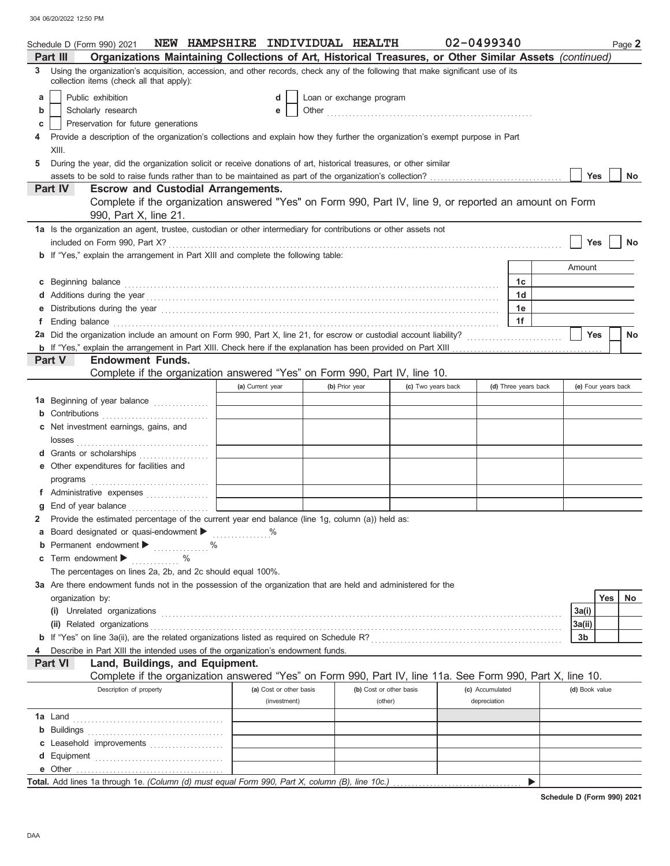304 06/20/2022 12:50 PM

|              | NEW HAMPSHIRE INDIVIDUAL HEALTH<br>Schedule D (Form 990) 2021                                                                                                                                                                                              |                  |                         |                |                         |  | 02-0499340         |                 |                      |  |                     |     | Page 2    |
|--------------|------------------------------------------------------------------------------------------------------------------------------------------------------------------------------------------------------------------------------------------------------------|------------------|-------------------------|----------------|-------------------------|--|--------------------|-----------------|----------------------|--|---------------------|-----|-----------|
|              | Organizations Maintaining Collections of Art, Historical Treasures, or Other Similar Assets (continued)<br>Part III                                                                                                                                        |                  |                         |                |                         |  |                    |                 |                      |  |                     |     |           |
| 3            | Using the organization's acquisition, accession, and other records, check any of the following that make significant use of its<br>collection items (check all that apply):                                                                                |                  |                         |                |                         |  |                    |                 |                      |  |                     |     |           |
| a            | Public exhibition<br>Loan or exchange program<br>d                                                                                                                                                                                                         |                  |                         |                |                         |  |                    |                 |                      |  |                     |     |           |
| b            | Scholarly research                                                                                                                                                                                                                                         |                  | е                       |                |                         |  |                    |                 |                      |  |                     |     |           |
| С            | Preservation for future generations                                                                                                                                                                                                                        |                  |                         |                |                         |  |                    |                 |                      |  |                     |     |           |
|              | Provide a description of the organization's collections and explain how they further the organization's exempt purpose in Part                                                                                                                             |                  |                         |                |                         |  |                    |                 |                      |  |                     |     |           |
|              | XIII.                                                                                                                                                                                                                                                      |                  |                         |                |                         |  |                    |                 |                      |  |                     |     |           |
| 5            | During the year, did the organization solicit or receive donations of art, historical treasures, or other similar                                                                                                                                          |                  |                         |                |                         |  |                    |                 |                      |  |                     |     |           |
|              |                                                                                                                                                                                                                                                            |                  |                         |                |                         |  |                    |                 |                      |  | <b>Yes</b>          |     | No        |
|              | <b>Part IV</b><br><b>Escrow and Custodial Arrangements.</b>                                                                                                                                                                                                |                  |                         |                |                         |  |                    |                 |                      |  |                     |     |           |
|              | Complete if the organization answered "Yes" on Form 990, Part IV, line 9, or reported an amount on Form<br>990, Part X, line 21.                                                                                                                           |                  |                         |                |                         |  |                    |                 |                      |  |                     |     |           |
|              | 1a Is the organization an agent, trustee, custodian or other intermediary for contributions or other assets not                                                                                                                                            |                  |                         |                |                         |  |                    |                 |                      |  |                     |     |           |
|              |                                                                                                                                                                                                                                                            |                  |                         |                |                         |  |                    |                 |                      |  | Yes                 |     | No        |
|              | <b>b</b> If "Yes," explain the arrangement in Part XIII and complete the following table:                                                                                                                                                                  |                  |                         |                |                         |  |                    |                 |                      |  |                     |     |           |
|              |                                                                                                                                                                                                                                                            |                  |                         |                |                         |  |                    |                 |                      |  | Amount              |     |           |
| c            |                                                                                                                                                                                                                                                            |                  |                         |                |                         |  |                    |                 | 1c                   |  |                     |     |           |
|              |                                                                                                                                                                                                                                                            |                  |                         |                |                         |  |                    |                 | 1d                   |  |                     |     |           |
| е            | Distributions during the year manufactured and contact the state of the state of the state of the state of the state of the state of the state of the state of the state of the state of the state of the state of the state o                             |                  |                         |                |                         |  |                    |                 | 1е                   |  |                     |     |           |
| f            | Ending balance <b>construction and the construction of the construction</b> of the construction of the construction of the construction of the construction of the construction of the construction of the construction of the cons                        |                  |                         |                |                         |  |                    |                 | 1f                   |  |                     |     |           |
|              | 2a Did the organization include an amount on Form 990, Part X, line 21, for escrow or custodial account liability?                                                                                                                                         |                  |                         |                |                         |  |                    |                 |                      |  | <b>Yes</b>          |     | No        |
|              |                                                                                                                                                                                                                                                            |                  |                         |                |                         |  |                    |                 |                      |  |                     |     |           |
|              | <b>Endowment Funds.</b><br>Part V                                                                                                                                                                                                                          |                  |                         |                |                         |  |                    |                 |                      |  |                     |     |           |
|              | Complete if the organization answered "Yes" on Form 990, Part IV, line 10.                                                                                                                                                                                 |                  |                         |                |                         |  |                    |                 |                      |  |                     |     |           |
|              |                                                                                                                                                                                                                                                            | (a) Current year |                         | (b) Prior year |                         |  | (c) Two years back |                 | (d) Three years back |  | (e) Four years back |     |           |
|              | 1a Beginning of year balance                                                                                                                                                                                                                               |                  |                         |                |                         |  |                    |                 |                      |  |                     |     |           |
|              | <b>b</b> Contributions <b>contributions</b>                                                                                                                                                                                                                |                  |                         |                |                         |  |                    |                 |                      |  |                     |     |           |
|              | c Net investment earnings, gains, and                                                                                                                                                                                                                      |                  |                         |                |                         |  |                    |                 |                      |  |                     |     |           |
|              |                                                                                                                                                                                                                                                            |                  |                         |                |                         |  |                    |                 |                      |  |                     |     |           |
|              | d Grants or scholarships                                                                                                                                                                                                                                   |                  |                         |                |                         |  |                    |                 |                      |  |                     |     |           |
|              | Other expenditures for facilities and                                                                                                                                                                                                                      |                  |                         |                |                         |  |                    |                 |                      |  |                     |     |           |
|              | programs with the contract of the contract of the contract of the contract of the contract of the contract of the contract of the contract of the contract of the contract of the contract of the contract of the contract of<br>f Administrative expenses |                  |                         |                |                         |  |                    |                 |                      |  |                     |     |           |
|              |                                                                                                                                                                                                                                                            |                  |                         |                |                         |  |                    |                 |                      |  |                     |     |           |
| $\mathbf{2}$ | Provide the estimated percentage of the current year end balance (line 1g, column (a)) held as:                                                                                                                                                            |                  |                         |                |                         |  |                    |                 |                      |  |                     |     |           |
|              | a Board designated or quasi-endowment >                                                                                                                                                                                                                    |                  |                         |                |                         |  |                    |                 |                      |  |                     |     |           |
| b            | Permanent endowment >                                                                                                                                                                                                                                      |                  |                         |                |                         |  |                    |                 |                      |  |                     |     |           |
| c            | Term endowment $\blacktriangleright$<br>an Barat Ing                                                                                                                                                                                                       |                  |                         |                |                         |  |                    |                 |                      |  |                     |     |           |
|              | The percentages on lines 2a, 2b, and 2c should equal 100%.                                                                                                                                                                                                 |                  |                         |                |                         |  |                    |                 |                      |  |                     |     |           |
|              | 3a Are there endowment funds not in the possession of the organization that are held and administered for the                                                                                                                                              |                  |                         |                |                         |  |                    |                 |                      |  |                     |     |           |
|              | organization by:                                                                                                                                                                                                                                           |                  |                         |                |                         |  |                    |                 |                      |  |                     | Yes | <b>No</b> |
|              | (i) Unrelated organizations <b>constants</b> and constants a constant of the constant of the constant of the constants of the constant of the constant of the constant of the constant of the constant of the constant of the const                        |                  |                         |                |                         |  |                    |                 |                      |  | 3a(i)               |     |           |
|              | (ii) Related organizations <b>contained a set of the contact of the contact of the contact of the contact of the contact of the contact of the contact of the contact of the contact of the contact of the contact of the contac</b>                       |                  |                         |                |                         |  |                    |                 |                      |  | 3a(ii)              |     |           |
|              |                                                                                                                                                                                                                                                            |                  |                         |                |                         |  |                    |                 |                      |  | 3b                  |     |           |
|              | Describe in Part XIII the intended uses of the organization's endowment funds.                                                                                                                                                                             |                  |                         |                |                         |  |                    |                 |                      |  |                     |     |           |
|              | Land, Buildings, and Equipment.<br><b>Part VI</b>                                                                                                                                                                                                          |                  |                         |                |                         |  |                    |                 |                      |  |                     |     |           |
|              | Complete if the organization answered "Yes" on Form 990, Part IV, line 11a. See Form 990, Part X, line 10.                                                                                                                                                 |                  |                         |                |                         |  |                    |                 |                      |  |                     |     |           |
|              | Description of property                                                                                                                                                                                                                                    |                  | (a) Cost or other basis |                | (b) Cost or other basis |  |                    | (c) Accumulated |                      |  | (d) Book value      |     |           |
|              |                                                                                                                                                                                                                                                            |                  | (investment)            |                | (other)                 |  |                    | depreciation    |                      |  |                     |     |           |
|              |                                                                                                                                                                                                                                                            |                  |                         |                |                         |  |                    |                 |                      |  |                     |     |           |
|              |                                                                                                                                                                                                                                                            |                  |                         |                |                         |  |                    |                 |                      |  |                     |     |           |
| С            | Leasehold improvements                                                                                                                                                                                                                                     |                  |                         |                |                         |  |                    |                 |                      |  |                     |     |           |
| d            |                                                                                                                                                                                                                                                            |                  |                         |                |                         |  |                    |                 |                      |  |                     |     |           |
|              |                                                                                                                                                                                                                                                            |                  |                         |                |                         |  |                    |                 | ▶                    |  |                     |     |           |
|              |                                                                                                                                                                                                                                                            |                  |                         |                |                         |  |                    |                 |                      |  |                     |     |           |

**Schedule D (Form 990) 2021**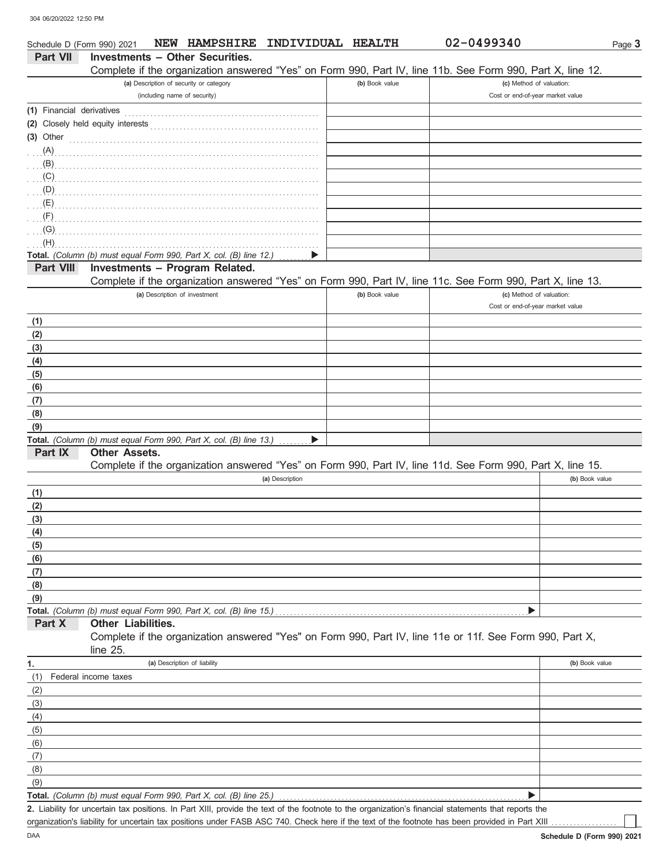| Schedule D (Form 990) 2021 | NEW HAMPSHIRE<br><b>INDIVIDUAL HEALTH</b>                                                                                                                                                                                                                                                     |                | 02-0499340                       | Page 3         |
|----------------------------|-----------------------------------------------------------------------------------------------------------------------------------------------------------------------------------------------------------------------------------------------------------------------------------------------|----------------|----------------------------------|----------------|
| <b>Part VII</b>            | <b>Investments - Other Securities.</b>                                                                                                                                                                                                                                                        |                |                                  |                |
|                            | Complete if the organization answered "Yes" on Form 990, Part IV, line 11b. See Form 990, Part X, line 12.                                                                                                                                                                                    |                |                                  |                |
|                            | (a) Description of security or category                                                                                                                                                                                                                                                       | (b) Book value | (c) Method of valuation:         |                |
|                            | (including name of security)                                                                                                                                                                                                                                                                  |                | Cost or end-of-year market value |                |
| (1) Financial derivatives  |                                                                                                                                                                                                                                                                                               |                |                                  |                |
|                            |                                                                                                                                                                                                                                                                                               |                |                                  |                |
| $(3)$ Other                |                                                                                                                                                                                                                                                                                               |                |                                  |                |
| $(A)$ .                    |                                                                                                                                                                                                                                                                                               |                |                                  |                |
|                            | $\mathbb{B}$ ) and $\mathbb{B}$ (B) and all $\mathbb{B}$ and all $\mathbb{B}$ and all $\mathbb{B}$ and $\mathbb{B}$ and $\mathbb{B}$ and $\mathbb{B}$ and $\mathbb{B}$ and $\mathbb{B}$ and $\mathbb{B}$ and $\mathbb{B}$ and $\mathbb{B}$ and $\mathbb{B}$ and $\mathbb{B}$ and $\mathbb{B}$ |                |                                  |                |
|                            | $(C)$ (C)                                                                                                                                                                                                                                                                                     |                |                                  |                |
|                            |                                                                                                                                                                                                                                                                                               |                |                                  |                |
|                            |                                                                                                                                                                                                                                                                                               |                |                                  |                |
| (F)                        |                                                                                                                                                                                                                                                                                               |                |                                  |                |
| (G)<br>(H)                 |                                                                                                                                                                                                                                                                                               |                |                                  |                |
|                            | Total. (Column (b) must equal Form 990, Part X, col. (B) line 12.)                                                                                                                                                                                                                            |                |                                  |                |
| <b>Part VIII</b>           | Investments - Program Related.                                                                                                                                                                                                                                                                |                |                                  |                |
|                            | Complete if the organization answered "Yes" on Form 990, Part IV, line 11c. See Form 990, Part X, line 13.                                                                                                                                                                                    |                |                                  |                |
|                            | (a) Description of investment                                                                                                                                                                                                                                                                 | (b) Book value | (c) Method of valuation:         |                |
|                            |                                                                                                                                                                                                                                                                                               |                | Cost or end-of-year market value |                |
| (1)                        |                                                                                                                                                                                                                                                                                               |                |                                  |                |
| (2)                        |                                                                                                                                                                                                                                                                                               |                |                                  |                |
| (3)                        |                                                                                                                                                                                                                                                                                               |                |                                  |                |
| (4)                        |                                                                                                                                                                                                                                                                                               |                |                                  |                |
| (5)                        |                                                                                                                                                                                                                                                                                               |                |                                  |                |
| (6)                        |                                                                                                                                                                                                                                                                                               |                |                                  |                |
| (7)                        |                                                                                                                                                                                                                                                                                               |                |                                  |                |
| (8)                        |                                                                                                                                                                                                                                                                                               |                |                                  |                |
| (9)                        |                                                                                                                                                                                                                                                                                               |                |                                  |                |
|                            | Total. (Column (b) must equal Form 990, Part X, col. (B) line 13.)                                                                                                                                                                                                                            |                |                                  |                |
| Part IX                    | <b>Other Assets.</b>                                                                                                                                                                                                                                                                          |                |                                  |                |
|                            | Complete if the organization answered "Yes" on Form 990, Part IV, line 11d. See Form 990, Part X, line 15.                                                                                                                                                                                    |                |                                  |                |
|                            | (a) Description                                                                                                                                                                                                                                                                               |                |                                  | (b) Book value |
| (1)                        |                                                                                                                                                                                                                                                                                               |                |                                  |                |
| (2)                        |                                                                                                                                                                                                                                                                                               |                |                                  |                |
| (3)                        |                                                                                                                                                                                                                                                                                               |                |                                  |                |
| (4)                        |                                                                                                                                                                                                                                                                                               |                |                                  |                |
| (5)<br>(6)                 |                                                                                                                                                                                                                                                                                               |                |                                  |                |
| (7)                        |                                                                                                                                                                                                                                                                                               |                |                                  |                |
| (8)                        |                                                                                                                                                                                                                                                                                               |                |                                  |                |
| (9)                        |                                                                                                                                                                                                                                                                                               |                |                                  |                |
|                            | Total. (Column (b) must equal Form 990, Part X, col. (B) line 15.)                                                                                                                                                                                                                            |                |                                  |                |
| Part X                     | Other Liabilities.                                                                                                                                                                                                                                                                            |                |                                  |                |
|                            | Complete if the organization answered "Yes" on Form 990, Part IV, line 11e or 11f. See Form 990, Part X,<br>line 25.                                                                                                                                                                          |                |                                  |                |
| 1.                         | (a) Description of liability                                                                                                                                                                                                                                                                  |                |                                  | (b) Book value |
| (1)                        | Federal income taxes                                                                                                                                                                                                                                                                          |                |                                  |                |
| (2)                        |                                                                                                                                                                                                                                                                                               |                |                                  |                |
| (3)                        |                                                                                                                                                                                                                                                                                               |                |                                  |                |
| (4)                        |                                                                                                                                                                                                                                                                                               |                |                                  |                |
| (5)                        |                                                                                                                                                                                                                                                                                               |                |                                  |                |
| (6)                        |                                                                                                                                                                                                                                                                                               |                |                                  |                |
| (7)                        |                                                                                                                                                                                                                                                                                               |                |                                  |                |
| (8)                        |                                                                                                                                                                                                                                                                                               |                |                                  |                |
| (9)                        |                                                                                                                                                                                                                                                                                               |                |                                  |                |
|                            | Total. (Column (b) must equal Form 990, Part X, col. (B) line 25.)                                                                                                                                                                                                                            |                |                                  |                |
|                            | 2. Liability for uncertain tax positions. In Part XIII, provide the text of the footnote to the organization's financial statements that reports the                                                                                                                                          |                |                                  |                |

organization's liability for uncertain tax positions under FASB ASC 740. Check here if the text of the footnote has been provided in Part XIII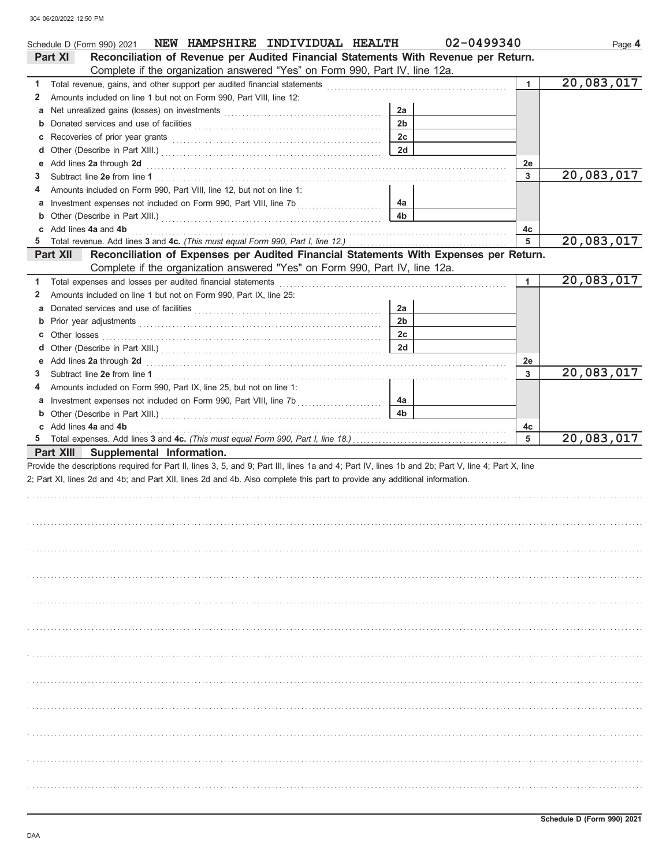|             | Schedule D (Form 990) 2021 NEW HAMPSHIRE INDIVIDUAL HEALTH                                                                                                                                                                                                                       |                | 02-0499340   | Page 4     |
|-------------|----------------------------------------------------------------------------------------------------------------------------------------------------------------------------------------------------------------------------------------------------------------------------------|----------------|--------------|------------|
|             | Reconciliation of Revenue per Audited Financial Statements With Revenue per Return.<br>Part XI                                                                                                                                                                                   |                |              |            |
|             | Complete if the organization answered "Yes" on Form 990, Part IV, line 12a.                                                                                                                                                                                                      |                |              |            |
| 1.          |                                                                                                                                                                                                                                                                                  |                | $\mathbf{1}$ | 20,083,017 |
| 2           | Amounts included on line 1 but not on Form 990, Part VIII, line 12:                                                                                                                                                                                                              |                |              |            |
| а           |                                                                                                                                                                                                                                                                                  | 2a             |              |            |
| $\mathbf b$ |                                                                                                                                                                                                                                                                                  | 2 <sub>b</sub> |              |            |
| с           |                                                                                                                                                                                                                                                                                  | 2c             |              |            |
| d           |                                                                                                                                                                                                                                                                                  | 2d             |              |            |
|             | Add lines 2a through 2d                                                                                                                                                                                                                                                          |                | 2e           |            |
| З           |                                                                                                                                                                                                                                                                                  |                | 3            | 20,083,017 |
| 4           | Amounts included on Form 990, Part VIII, line 12, but not on line 1:                                                                                                                                                                                                             |                |              |            |
| а           |                                                                                                                                                                                                                                                                                  | 4а             |              |            |
| $\mathbf b$ |                                                                                                                                                                                                                                                                                  | 4 <sub>b</sub> |              |            |
|             | Add lines 4a and 4b                                                                                                                                                                                                                                                              |                | 4c           |            |
|             |                                                                                                                                                                                                                                                                                  |                | 5            | 20,083,017 |
|             | Reconciliation of Expenses per Audited Financial Statements With Expenses per Return.<br>Part XII                                                                                                                                                                                |                |              |            |
|             | Complete if the organization answered "Yes" on Form 990, Part IV, line 12a.                                                                                                                                                                                                      |                |              |            |
| 1           | Total expenses and losses per audited financial statements                                                                                                                                                                                                                       |                | 1            | 20,083,017 |
| 2           | Amounts included on line 1 but not on Form 990, Part IX, line 25:                                                                                                                                                                                                                |                |              |            |
| а           |                                                                                                                                                                                                                                                                                  | 2a             |              |            |
| $\mathbf b$ |                                                                                                                                                                                                                                                                                  | 2 <sub>b</sub> |              |            |
| с           | Other losses                                                                                                                                                                                                                                                                     | 2c             |              |            |
| a           |                                                                                                                                                                                                                                                                                  | 2d             |              |            |
|             | Add lines 2a through 2d <b>contained a contained a contained a contained a contained a contained a contained a contained a contained a contained a contained a contained a contained a contained a contained a contained a conta</b>                                             |                | 2e           |            |
| З           |                                                                                                                                                                                                                                                                                  |                | 3            | 20,083,017 |
|             | Amounts included on Form 990, Part IX, line 25, but not on line 1:                                                                                                                                                                                                               |                |              |            |
| а           |                                                                                                                                                                                                                                                                                  | 4a             |              |            |
| $\mathbf b$ |                                                                                                                                                                                                                                                                                  | 4 <sub>b</sub> |              |            |
| С           | Add lines 4a and 4b                                                                                                                                                                                                                                                              |                | 4c           |            |
| 5           |                                                                                                                                                                                                                                                                                  |                | 5            | 20,083,017 |
|             | Part XIII Supplemental Information.                                                                                                                                                                                                                                              |                |              |            |
|             | Provide the descriptions required for Part II, lines 3, 5, and 9; Part III, lines 1a and 4; Part IV, lines 1b and 2b; Part V, line 4; Part X, line<br>2; Part XI, lines 2d and 4b; and Part XII, lines 2d and 4b. Also complete this part to provide any additional information. |                |              |            |
|             |                                                                                                                                                                                                                                                                                  |                |              |            |
|             |                                                                                                                                                                                                                                                                                  |                |              |            |
|             |                                                                                                                                                                                                                                                                                  |                |              |            |
|             |                                                                                                                                                                                                                                                                                  |                |              |            |
|             |                                                                                                                                                                                                                                                                                  |                |              |            |
|             |                                                                                                                                                                                                                                                                                  |                |              |            |
|             |                                                                                                                                                                                                                                                                                  |                |              |            |
|             |                                                                                                                                                                                                                                                                                  |                |              |            |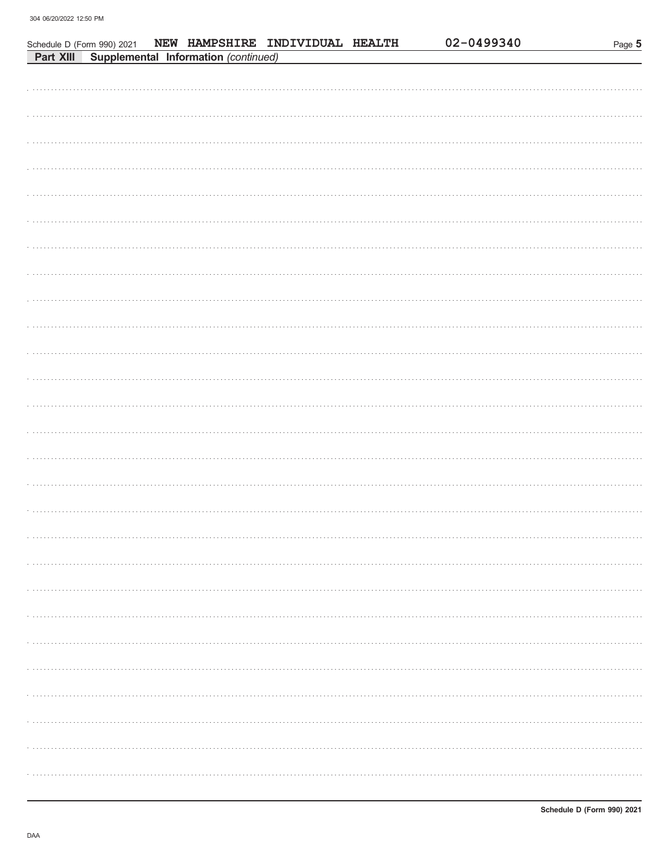Schedule D (Form 990) 2021 NEW HAMPSHIRE INDIVIDUAL HEALTH

| Part XIII Supplemental Information (continued) |
|------------------------------------------------|
|                                                |
|                                                |
|                                                |
|                                                |
|                                                |
|                                                |
|                                                |
|                                                |
|                                                |
|                                                |
|                                                |
|                                                |
|                                                |
|                                                |
|                                                |
|                                                |
|                                                |
|                                                |
|                                                |
|                                                |
|                                                |
|                                                |
|                                                |
|                                                |
|                                                |
|                                                |
|                                                |
|                                                |
|                                                |
|                                                |

02-0499340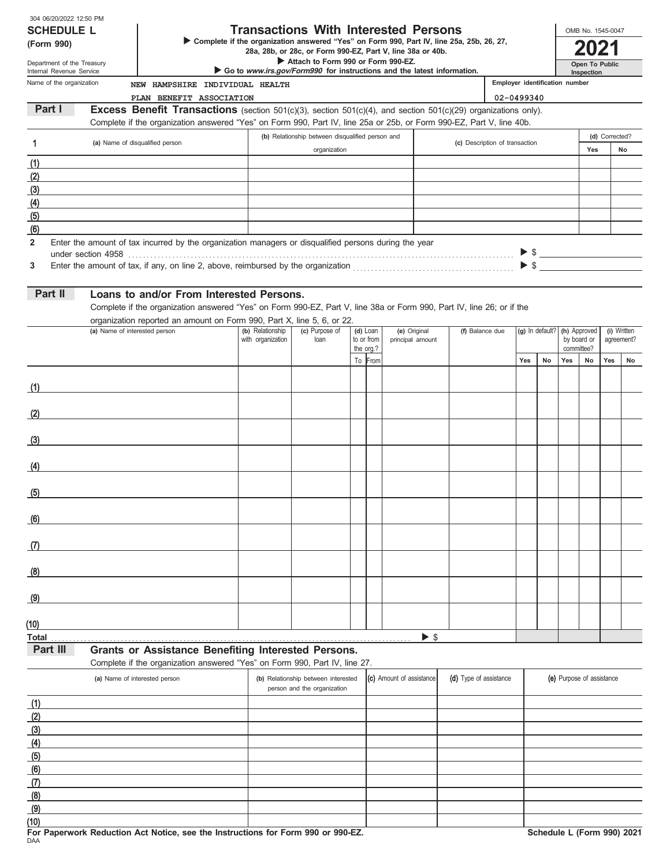| 304 06/20/2022 12:50 PM |  |
|-------------------------|--|
| COUFNU F I              |  |

| JUT UUIZUIZUZZ TZJJU FIVI<br><b>SCHEDULE L</b>                                                           |                               |                                                                                                                                                                                                                                             | <b>Transactions With Interested Persons</b> |                                                  |  |                                                                        |                                                            |  |                                |                                | OMB No. 1545-0047 |            |                           |                |             |
|----------------------------------------------------------------------------------------------------------|-------------------------------|---------------------------------------------------------------------------------------------------------------------------------------------------------------------------------------------------------------------------------------------|---------------------------------------------|--------------------------------------------------|--|------------------------------------------------------------------------|------------------------------------------------------------|--|--------------------------------|--------------------------------|-------------------|------------|---------------------------|----------------|-------------|
| > Complete if the organization answered "Yes" on Form 990, Part IV, line 25a, 25b, 26, 27,<br>(Form 990) |                               |                                                                                                                                                                                                                                             |                                             |                                                  |  |                                                                        |                                                            |  |                                |                                |                   |            |                           |                |             |
| Department of the Treasury                                                                               |                               |                                                                                                                                                                                                                                             |                                             | Attach to Form 990 or Form 990-EZ.               |  |                                                                        | 28a, 28b, or 28c, or Form 990-EZ, Part V, line 38a or 40b. |  |                                |                                | Open To Public    |            |                           |                |             |
| Internal Revenue Service                                                                                 |                               |                                                                                                                                                                                                                                             |                                             |                                                  |  | Go to www.irs.gov/Form990 for instructions and the latest information. |                                                            |  |                                |                                |                   | Inspection |                           |                |             |
| Name of the organization                                                                                 |                               | NEW HAMPSHIRE INDIVIDUAL HEALTH                                                                                                                                                                                                             |                                             |                                                  |  |                                                                        |                                                            |  |                                | Employer identification number |                   |            |                           |                |             |
| Part I                                                                                                   |                               | PLAN BENEFIT ASSOCIATION<br><b>Excess Benefit Transactions</b> (section $501(c)(3)$ , section $501(c)(4)$ , and section $501(c)(29)$ organizations only).                                                                                   |                                             |                                                  |  |                                                                        |                                                            |  |                                | 02-0499340                     |                   |            |                           |                |             |
|                                                                                                          |                               | Complete if the organization answered "Yes" on Form 990, Part IV, line 25a or 25b, or Form 990-EZ, Part V, line 40b.                                                                                                                        |                                             |                                                  |  |                                                                        |                                                            |  |                                |                                |                   |            |                           |                |             |
| 1                                                                                                        |                               | (a) Name of disqualified person                                                                                                                                                                                                             |                                             | (b) Relationship between disqualified person and |  |                                                                        |                                                            |  | (c) Description of transaction |                                |                   |            |                           | (d) Corrected? |             |
|                                                                                                          |                               |                                                                                                                                                                                                                                             |                                             | organization                                     |  |                                                                        |                                                            |  |                                |                                |                   |            | Yes                       |                | No          |
| (1)                                                                                                      |                               | the control of the control of the control of the control of the control of the control of                                                                                                                                                   |                                             |                                                  |  |                                                                        |                                                            |  |                                |                                |                   |            |                           |                |             |
| (2)                                                                                                      |                               |                                                                                                                                                                                                                                             |                                             |                                                  |  |                                                                        |                                                            |  |                                |                                |                   |            |                           |                |             |
| (3)                                                                                                      |                               |                                                                                                                                                                                                                                             |                                             |                                                  |  |                                                                        |                                                            |  |                                |                                |                   |            |                           |                |             |
| (4)                                                                                                      |                               |                                                                                                                                                                                                                                             |                                             |                                                  |  |                                                                        |                                                            |  |                                |                                |                   |            |                           |                |             |
| (5)                                                                                                      |                               |                                                                                                                                                                                                                                             |                                             |                                                  |  |                                                                        |                                                            |  |                                |                                |                   |            |                           |                |             |
| (6)<br>$\mathbf{2}$                                                                                      |                               | Enter the amount of tax incurred by the organization managers or disqualified persons during the year                                                                                                                                       |                                             |                                                  |  |                                                                        |                                                            |  |                                |                                |                   |            |                           |                |             |
|                                                                                                          |                               |                                                                                                                                                                                                                                             |                                             |                                                  |  |                                                                        |                                                            |  |                                |                                |                   |            | $>$ \$                    |                |             |
| 3                                                                                                        |                               |                                                                                                                                                                                                                                             |                                             |                                                  |  |                                                                        |                                                            |  |                                |                                |                   |            | $\blacktriangleright$ \$  |                |             |
|                                                                                                          |                               |                                                                                                                                                                                                                                             |                                             |                                                  |  |                                                                        |                                                            |  |                                |                                |                   |            |                           |                |             |
| Part II                                                                                                  |                               | Loans to and/or From Interested Persons.<br>Complete if the organization answered "Yes" on Form 990-EZ, Part V, line 38a or Form 990, Part IV, line 26; or if the<br>organization reported an amount on Form 990, Part X, line 5, 6, or 22. |                                             |                                                  |  |                                                                        |                                                            |  |                                |                                |                   |            |                           |                |             |
|                                                                                                          | (a) Name of interested person |                                                                                                                                                                                                                                             | (b) Relationship                            | (c) Purpose of                                   |  | (d) Loan                                                               | (e) Original                                               |  | (f) Balance due                |                                | (g) In default?   |            | (h) Approved              |                | (i) Written |
|                                                                                                          |                               |                                                                                                                                                                                                                                             | with organization                           | loan                                             |  | to or from<br>the org.?                                                | principal amount                                           |  |                                |                                |                   |            | by board or<br>committee? |                | agreement?  |
|                                                                                                          |                               |                                                                                                                                                                                                                                             |                                             |                                                  |  | To From                                                                |                                                            |  |                                | Yes                            | No                | Yes        | No<br>Yes                 |                | No          |
|                                                                                                          |                               |                                                                                                                                                                                                                                             |                                             |                                                  |  |                                                                        |                                                            |  |                                |                                |                   |            |                           |                |             |
| (1)                                                                                                      |                               |                                                                                                                                                                                                                                             |                                             |                                                  |  |                                                                        |                                                            |  |                                |                                |                   |            |                           |                |             |
|                                                                                                          |                               |                                                                                                                                                                                                                                             |                                             |                                                  |  |                                                                        |                                                            |  |                                |                                |                   |            |                           |                |             |
| (2)                                                                                                      |                               | <u> 1980 - Andrea Andrew Maria (b. 1980)</u>                                                                                                                                                                                                |                                             |                                                  |  |                                                                        |                                                            |  |                                |                                |                   |            |                           |                |             |
| (3)                                                                                                      |                               |                                                                                                                                                                                                                                             |                                             |                                                  |  |                                                                        |                                                            |  |                                |                                |                   |            |                           |                |             |
|                                                                                                          |                               |                                                                                                                                                                                                                                             |                                             |                                                  |  |                                                                        |                                                            |  |                                |                                |                   |            |                           |                |             |
|                                                                                                          |                               | the contract of the contract of the contract of                                                                                                                                                                                             |                                             |                                                  |  |                                                                        |                                                            |  |                                |                                |                   |            |                           |                |             |
|                                                                                                          |                               |                                                                                                                                                                                                                                             |                                             |                                                  |  |                                                                        |                                                            |  |                                |                                |                   |            |                           |                |             |
| (5)                                                                                                      |                               |                                                                                                                                                                                                                                             |                                             |                                                  |  |                                                                        |                                                            |  |                                |                                |                   |            |                           |                |             |
|                                                                                                          |                               |                                                                                                                                                                                                                                             |                                             |                                                  |  |                                                                        |                                                            |  |                                |                                |                   |            |                           |                |             |
| (6)                                                                                                      |                               |                                                                                                                                                                                                                                             |                                             |                                                  |  |                                                                        |                                                            |  |                                |                                |                   |            |                           |                |             |
|                                                                                                          |                               |                                                                                                                                                                                                                                             |                                             |                                                  |  |                                                                        |                                                            |  |                                |                                |                   |            |                           |                |             |
| (7)                                                                                                      |                               |                                                                                                                                                                                                                                             |                                             |                                                  |  |                                                                        |                                                            |  |                                |                                |                   |            |                           |                |             |
| (8)                                                                                                      |                               |                                                                                                                                                                                                                                             |                                             |                                                  |  |                                                                        |                                                            |  |                                |                                |                   |            |                           |                |             |
| (9)                                                                                                      |                               |                                                                                                                                                                                                                                             |                                             |                                                  |  |                                                                        |                                                            |  |                                |                                |                   |            |                           |                |             |
|                                                                                                          |                               |                                                                                                                                                                                                                                             |                                             |                                                  |  |                                                                        |                                                            |  |                                |                                |                   |            |                           |                |             |
| (10)                                                                                                     |                               |                                                                                                                                                                                                                                             |                                             |                                                  |  |                                                                        |                                                            |  |                                |                                |                   |            |                           |                |             |
| <b>Total</b>                                                                                             |                               |                                                                                                                                                                                                                                             |                                             |                                                  |  |                                                                        | $\blacktriangleright$ \$                                   |  |                                |                                |                   |            |                           |                |             |

**Part III Grants or Assistance Benefiting Interested Persons.** 

Complete if the organization answered "Yes" on Form 990, Part IV, line 27.

| (a) Name of interested person | (b) Relationship between interested<br>person and the organization | (c) Amount of assistance | (d) Type of assistance | (e) Purpose of assistance |
|-------------------------------|--------------------------------------------------------------------|--------------------------|------------------------|---------------------------|
| (1)                           |                                                                    |                          |                        |                           |
| (2)                           |                                                                    |                          |                        |                           |
| (3)                           |                                                                    |                          |                        |                           |
| (4)                           |                                                                    |                          |                        |                           |
| (5)                           |                                                                    |                          |                        |                           |
| (6)                           |                                                                    |                          |                        |                           |
| (7)                           |                                                                    |                          |                        |                           |
| (8)                           |                                                                    |                          |                        |                           |
| (9)                           |                                                                    |                          |                        |                           |
| (10)                          |                                                                    |                          |                        |                           |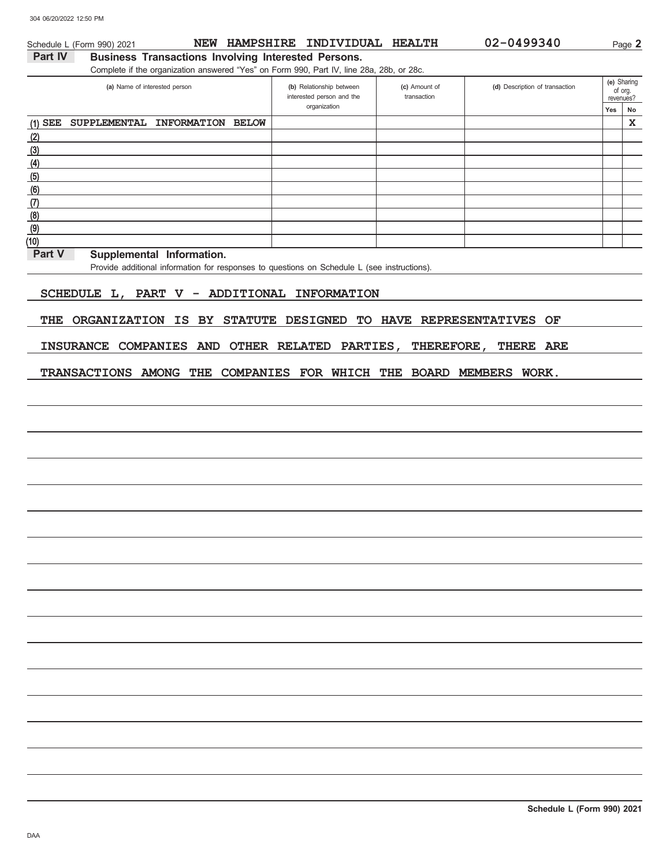(10)

### **Yes No** of org.<br>revenues? **(e)** Sharing (d) Description of transaction interested person and the Part IV Business Transactions Involving Interested Persons. Complete if the organization answered "Yes" on Form 990, Part IV, line 28a, 28b, or 28c. **(a)** Name of interested person **(b)** Relationship between organization **(c)** Amount of transaction Schedule L (Form 990) 2021 **NEW HAMPSHIRE INDIVIDUAL HEALTH 02-0499340** Page 2 (6) (5) (4) (3)  $(2)$ (1) (7) (8) (9) **SUPPLEMENTAL INFORMATION BELOW X**

Part V Supplemental Information.

Provide additional information for responses to questions on Schedule L (see instructions).

### **SCHEDULE L, PART V - ADDITIONAL INFORMATION**

**THE ORGANIZATION IS BY STATUTE DESIGNED TO HAVE REPRESENTATIVES OF**

**INSURANCE COMPANIES AND OTHER RELATED PARTIES, THEREFORE, THERE ARE**

**TRANSACTIONS AMONG THE COMPANIES FOR WHICH THE BOARD MEMBERS WORK.**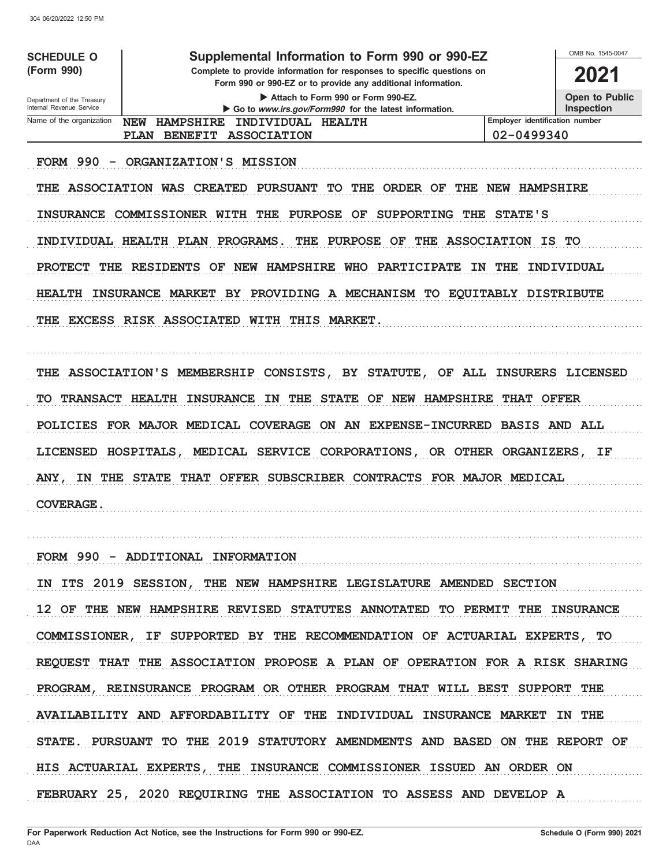| <b>SCHEDULE O</b><br>(Form 990)                        | Supplemental Information to Form 990 or 990-EZ<br>Complete to provide information for responses to specific questions on<br>Form 990 or 990-EZ or to provide any additional information. | OMB No. 1545-0047<br>2021                  |  |  |  |
|--------------------------------------------------------|------------------------------------------------------------------------------------------------------------------------------------------------------------------------------------------|--------------------------------------------|--|--|--|
| Department of the Treasury<br>Internal Revenue Service | Attach to Form 990 or Form 990-EZ.<br>Go to www.irs.gov/Form990 for the latest information.                                                                                              | <b>Open to Public</b><br><b>Inspection</b> |  |  |  |
| Name of the organization                               | <b>NFW</b><br><b>HAMPSHIRE</b><br>INDIVIDUAL<br><b>HEALTH</b>                                                                                                                            | Employer identification number             |  |  |  |
|                                                        | BENEFIT ASSOCIATION<br><b>PLAN</b>                                                                                                                                                       | 02-0499340                                 |  |  |  |
| 990<br><b>FORM</b>                                     | ORGANIZATION'S MISSION                                                                                                                                                                   |                                            |  |  |  |

THE ASSOCIATION WAS CREATED PURSUANT TO THE ORDER OF THE NEW HAMPSHIRE INSURANCE COMMISSIONER WITH THE PURPOSE OF SUPPORTING THE STATE'S INDIVIDUAL HEALTH PLAN PROGRAMS. THE PURPOSE OF THE ASSOCIATION IS TO PROTECT THE RESIDENTS OF NEW HAMPSHIRE WHO PARTICIPATE IN THE INDIVIDUAL HEALTH INSURANCE MARKET BY PROVIDING A MECHANISM TO EQUITABLY DISTRIBUTE THE EXCESS RISK ASSOCIATED WITH THIS MARKET.

THE ASSOCIATION'S MEMBERSHIP CONSISTS, BY STATUTE, OF ALL INSURERS LICENSED TO TRANSACT HEALTH INSURANCE IN THE STATE OF NEW HAMPSHIRE THAT OFFER POLICIES FOR MAJOR MEDICAL COVERAGE ON AN EXPENSE-INCURRED BASIS AND ALL LICENSED HOSPITALS, MEDICAL SERVICE CORPORATIONS, OR OTHER ORGANIZERS, IF ANY, IN THE STATE THAT OFFER SUBSCRIBER CONTRACTS FOR MAJOR MEDICAL COVERAGE.

FORM 990 - ADDITIONAL INFORMATION

IN ITS 2019 SESSION, THE NEW HAMPSHIRE LEGISLATURE AMENDED SECTION 12 OF THE NEW HAMPSHIRE REVISED STATUTES ANNOTATED TO PERMIT THE INSURANCE COMMISSIONER, IF SUPPORTED BY THE RECOMMENDATION OF ACTUARIAL EXPERTS, TO REQUEST THAT THE ASSOCIATION PROPOSE A PLAN OF OPERATION FOR A RISK SHARING PROGRAM, REINSURANCE PROGRAM OR OTHER PROGRAM THAT WILL BEST SUPPORT THE AVAILABILITY AND AFFORDABILITY OF THE INDIVIDUAL INSURANCE MARKET IN THE STATE. PURSUANT TO THE 2019 STATUTORY AMENDMENTS AND BASED ON THE REPORT OF HIS ACTUARIAL EXPERTS, THE INSURANCE COMMISSIONER ISSUED AN ORDER ON FEBRUARY 25, 2020 REQUIRING THE ASSOCIATION TO ASSESS AND DEVELOP A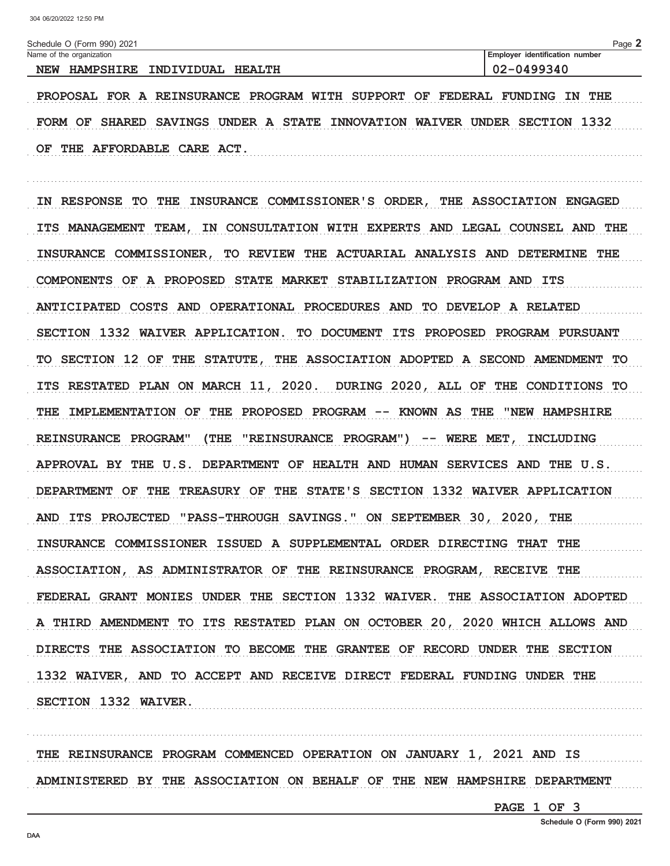Schedule O (Form 990) 2021

| Name of the organization                                             | <b>Employer identification number</b> |
|----------------------------------------------------------------------|---------------------------------------|
| <b>INDIVIDUAL</b><br><b>HAMPSHIRE</b><br><b>HEALTH</b><br><b>NEW</b> | 9340<br>◡∠                            |

PROPOSAL FOR A REINSURANCE PROGRAM WITH SUPPORT OF FEDERAL FUNDING IN THE FORM OF SHARED SAVINGS UNDER A STATE INNOVATION WAIVER UNDER SECTION 1332 OF THE AFFORDABLE CARE ACT.

IN RESPONSE TO THE INSURANCE COMMISSIONER'S ORDER, THE ASSOCIATION ENGAGED ITS MANAGEMENT TEAM, IN CONSULTATION WITH EXPERTS AND LEGAL COUNSEL AND THE INSURANCE COMMISSIONER, TO REVIEW THE ACTUARIAL ANALYSIS AND DETERMINE THE COMPONENTS OF A PROPOSED STATE MARKET STABILIZATION PROGRAM AND ITS ANTICIPATED COSTS AND OPERATIONAL PROCEDURES AND TO DEVELOP A RELATED SECTION 1332 WAIVER APPLICATION. TO DOCUMENT ITS PROPOSED PROGRAM PURSUANT TO SECTION 12 OF THE STATUTE, THE ASSOCIATION ADOPTED A SECOND AMENDMENT TO ITS RESTATED PLAN ON MARCH 11, 2020. DURING 2020, ALL OF THE CONDITIONS TO THE IMPLEMENTATION OF THE PROPOSED PROGRAM -- KNOWN AS THE "NEW HAMPSHIRE REINSURANCE PROGRAM" (THE "REINSURANCE PROGRAM") -- WERE MET, INCLUDING APPROVAL BY THE U.S. DEPARTMENT OF HEALTH AND HUMAN SERVICES AND THE U.S. DEPARTMENT OF THE TREASURY OF THE STATE'S SECTION 1332 WAIVER APPLICATION AND ITS PROJECTED "PASS-THROUGH SAVINGS." ON SEPTEMBER 30, 2020, THE INSURANCE COMMISSIONER ISSUED A SUPPLEMENTAL ORDER DIRECTING THAT THE ASSOCIATION, AS ADMINISTRATOR OF THE REINSURANCE PROGRAM, RECEIVE THE FEDERAL GRANT MONIES UNDER THE SECTION 1332 WAIVER. THE ASSOCIATION ADOPTED A THIRD AMENDMENT TO ITS RESTATED PLAN ON OCTOBER 20, 2020 WHICH ALLOWS AND DIRECTS THE ASSOCIATION TO BECOME THE GRANTEE OF RECORD UNDER THE SECTION 1332 WAIVER, AND TO ACCEPT AND RECEIVE DIRECT FEDERAL FUNDING UNDER THE SECTION 1332 WAIVER.

THE REINSURANCE PROGRAM COMMENCED OPERATION ON JANUARY 1, 2021 AND IS ADMINISTERED BY THE ASSOCIATION ON BEHALF OF THE NEW HAMPSHIRE DEPARTMENT

PAGE 1 OF 3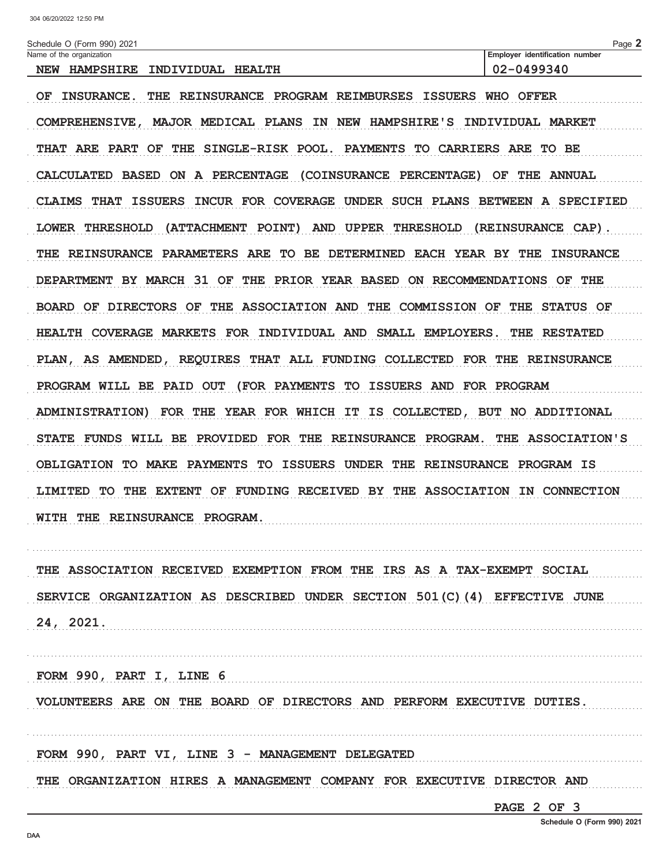| Schedule O (Form 990) 2021                                                          | Page 2                         |
|-------------------------------------------------------------------------------------|--------------------------------|
| Name of the organization                                                            | Employer identification number |
| NEW HAMPSHIRE<br>INDIVIDUAL HEALTH                                                  | 02-0499340                     |
| THE REINSURANCE PROGRAM REIMBURSES ISSUERS WHO OFFER<br>OF<br><b>INSURANCE.</b>     |                                |
| MAJOR MEDICAL PLANS IN NEW HAMPSHIRE'S INDIVIDUAL MARKET<br><b>COMPREHENSIVE ,</b>  |                                |
| THAT ARE PART OF THE SINGLE-RISK POOL. PAYMENTS TO CARRIERS ARE TO BE               |                                |
| CALCULATED BASED ON A PERCENTAGE (COINSURANCE PERCENTAGE) OF THE ANNUAL             |                                |
| INCUR FOR COVERAGE UNDER SUCH PLANS BETWEEN A SPECIFIED<br>CLAIMS THAT ISSUERS      |                                |
| LOWER THRESHOLD<br>(ATTACHMENT POINT)<br>AND UPPER THRESHOLD                        | (REINSURANCE CAP).             |
| THE REINSURANCE PARAMETERS ARE<br>TO BE DETERMINED EACH YEAR BY THE                 | <b>INSURANCE</b>               |
| DEPARTMENT BY MARCH 31 OF THE PRIOR YEAR BASED ON RECOMMENDATIONS OF THE            |                                |
| BOARD OF DIRECTORS OF THE ASSOCIATION AND THE COMMISSION OF THE STATUS OF           |                                |
| HEALTH COVERAGE MARKETS FOR INDIVIDUAL AND SMALL EMPLOYERS.                         | THE RESTATED                   |
| REQUIRES THAT ALL FUNDING COLLECTED FOR THE REINSURANCE<br>PLAN, AS AMENDED,        |                                |
| PROGRAM WILL BE PAID OUT (FOR PAYMENTS TO ISSUERS AND FOR PROGRAM                   |                                |
| FOR THE YEAR FOR WHICH IT IS COLLECTED, BUT NO ADDITIONAL<br><b>ADMINISTRATION)</b> |                                |
| STATE FUNDS WILL BE PROVIDED FOR THE REINSURANCE PROGRAM.                           | THE ASSOCIATION'S              |
| OBLIGATION TO MAKE PAYMENTS TO ISSUERS UNDER THE REINSURANCE PROGRAM IS             |                                |
| LIMITED TO THE EXTENT OF FUNDING RECEIVED BY THE ASSOCIATION IN CONNECTION          |                                |
| WITH THE REINSURANCE PROGRAM.                                                       |                                |
|                                                                                     |                                |

THE ASSOCIATION RECEIVED EXEMPTION FROM THE IRS AS A TAX-EXEMPT SOCIAL SERVICE ORGANIZATION AS DESCRIBED UNDER SECTION 501(C)(4) EFFECTIVE JUNE  $24, 2021.$ 

FORM 990, PART I, LINE 6 

VOLUNTEERS ARE ON THE BOARD OF DIRECTORS AND PERFORM EXECUTIVE DUTIES.

FORM  $990$ , PART VI, LINE  $3$  – MANAGEMENT DELEGATED

THE ORGANIZATION HIRES A MANAGEMENT COMPANY FOR EXECUTIVE DIRECTOR AND

PAGE 2 OF 3